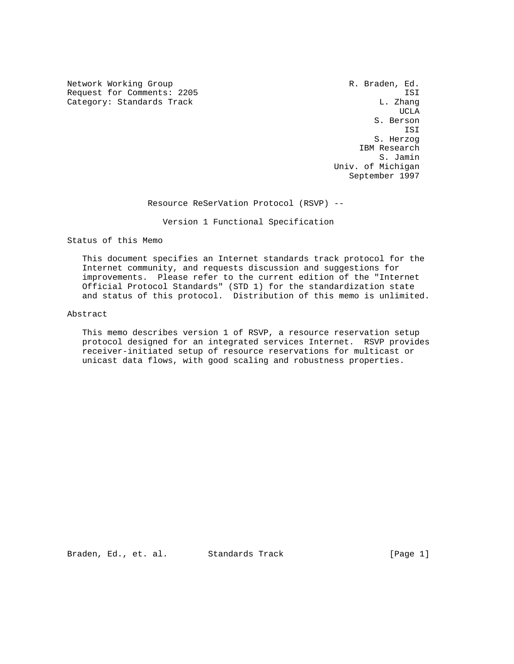Network Working Group and the control of the R. Braden, Ed. Request for Comments: 2205 ISI ISS<br>Category: Standards Track Gategory: L. Zhang Category: Standards Track

UCLA CONTROL CONTROL CONTROL CONTROL CONTROL CONTROL CONTROL CONTROL CONTROL CONTROL CONTROL CONTROL CONTROL CO S. Berson ISI S. Herzog IBM Research S. Jamin Univ. of Michigan September 1997

Resource ReSerVation Protocol (RSVP) --

Version 1 Functional Specification

Status of this Memo

 This document specifies an Internet standards track protocol for the Internet community, and requests discussion and suggestions for improvements. Please refer to the current edition of the "Internet Official Protocol Standards" (STD 1) for the standardization state and status of this protocol. Distribution of this memo is unlimited.

# Abstract

 This memo describes version 1 of RSVP, a resource reservation setup protocol designed for an integrated services Internet. RSVP provides receiver-initiated setup of resource reservations for multicast or unicast data flows, with good scaling and robustness properties.

Braden, Ed., et. al. Standards Track [Page 1]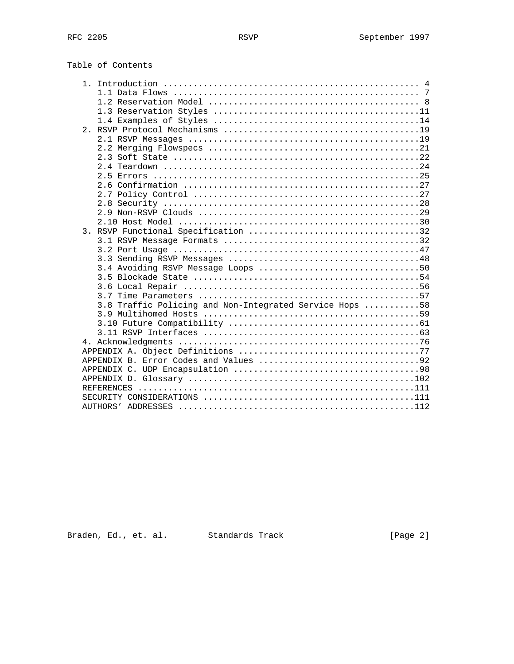|  | 3.8 Traffic Policing and Non-Integrated Service Hops 58 |  |
|--|---------------------------------------------------------|--|
|  |                                                         |  |
|  |                                                         |  |
|  |                                                         |  |
|  |                                                         |  |
|  |                                                         |  |
|  |                                                         |  |
|  |                                                         |  |
|  |                                                         |  |
|  |                                                         |  |
|  |                                                         |  |
|  |                                                         |  |

Braden, Ed., et. al. Standards Track (Page 2)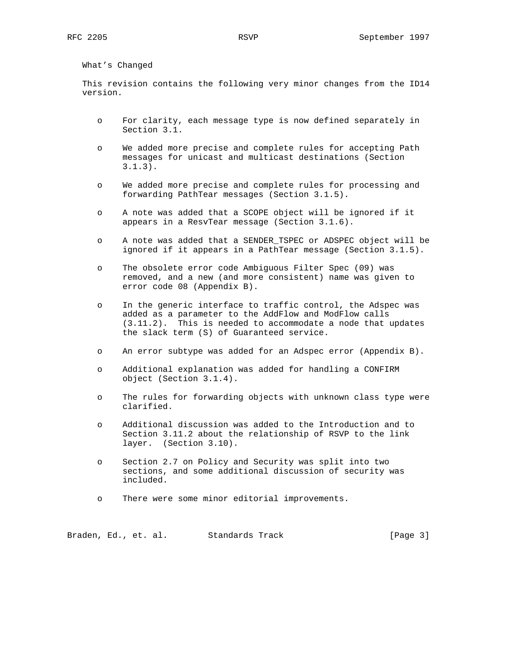What's Changed

 This revision contains the following very minor changes from the ID14 version.

- o For clarity, each message type is now defined separately in Section 3.1.
- o We added more precise and complete rules for accepting Path messages for unicast and multicast destinations (Section 3.1.3).
- o We added more precise and complete rules for processing and forwarding PathTear messages (Section 3.1.5).
- o A note was added that a SCOPE object will be ignored if it appears in a ResvTear message (Section 3.1.6).
- o A note was added that a SENDER\_TSPEC or ADSPEC object will be ignored if it appears in a PathTear message (Section 3.1.5).
- o The obsolete error code Ambiguous Filter Spec (09) was removed, and a new (and more consistent) name was given to error code 08 (Appendix B).
- o In the generic interface to traffic control, the Adspec was added as a parameter to the AddFlow and ModFlow calls (3.11.2). This is needed to accommodate a node that updates the slack term (S) of Guaranteed service.
- o An error subtype was added for an Adspec error (Appendix B).
- o Additional explanation was added for handling a CONFIRM object (Section 3.1.4).
- o The rules for forwarding objects with unknown class type were clarified.
- o Additional discussion was added to the Introduction and to Section 3.11.2 about the relationship of RSVP to the link layer. (Section 3.10).
- o Section 2.7 on Policy and Security was split into two sections, and some additional discussion of security was included.
- o There were some minor editorial improvements.

Braden, Ed., et. al. Standards Track (Page 3)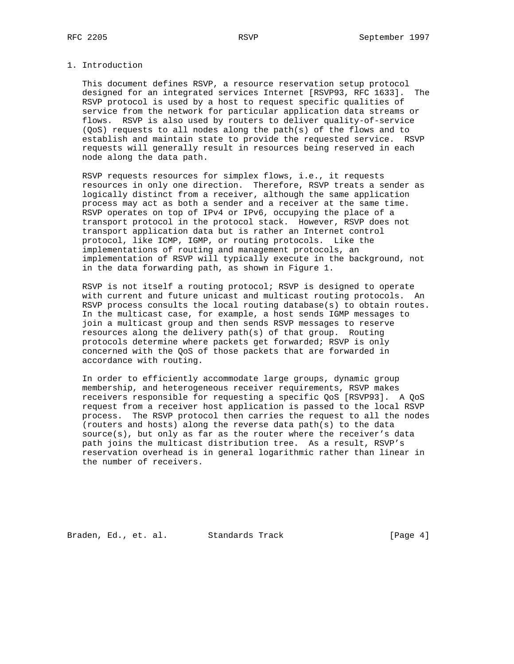# 1. Introduction

 This document defines RSVP, a resource reservation setup protocol designed for an integrated services Internet [RSVP93, RFC 1633]. The RSVP protocol is used by a host to request specific qualities of service from the network for particular application data streams or flows. RSVP is also used by routers to deliver quality-of-service (QoS) requests to all nodes along the path(s) of the flows and to establish and maintain state to provide the requested service. RSVP requests will generally result in resources being reserved in each node along the data path.

 RSVP requests resources for simplex flows, i.e., it requests resources in only one direction. Therefore, RSVP treats a sender as logically distinct from a receiver, although the same application process may act as both a sender and a receiver at the same time. RSVP operates on top of IPv4 or IPv6, occupying the place of a transport protocol in the protocol stack. However, RSVP does not transport application data but is rather an Internet control protocol, like ICMP, IGMP, or routing protocols. Like the implementations of routing and management protocols, an implementation of RSVP will typically execute in the background, not in the data forwarding path, as shown in Figure 1.

 RSVP is not itself a routing protocol; RSVP is designed to operate with current and future unicast and multicast routing protocols. An RSVP process consults the local routing database(s) to obtain routes. In the multicast case, for example, a host sends IGMP messages to join a multicast group and then sends RSVP messages to reserve resources along the delivery path(s) of that group. Routing protocols determine where packets get forwarded; RSVP is only concerned with the QoS of those packets that are forwarded in accordance with routing.

 In order to efficiently accommodate large groups, dynamic group membership, and heterogeneous receiver requirements, RSVP makes receivers responsible for requesting a specific QoS [RSVP93]. A QoS request from a receiver host application is passed to the local RSVP process. The RSVP protocol then carries the request to all the nodes (routers and hosts) along the reverse data path(s) to the data source(s), but only as far as the router where the receiver's data path joins the multicast distribution tree. As a result, RSVP's reservation overhead is in general logarithmic rather than linear in the number of receivers.

Braden, Ed., et. al. Standards Track [Page 4]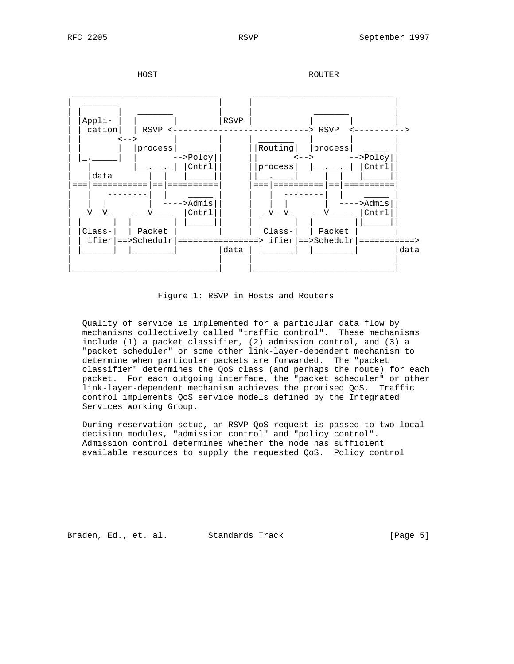

Figure 1: RSVP in Hosts and Routers

 Quality of service is implemented for a particular data flow by mechanisms collectively called "traffic control". These mechanisms include (1) a packet classifier, (2) admission control, and (3) a "packet scheduler" or some other link-layer-dependent mechanism to determine when particular packets are forwarded. The "packet classifier" determines the QoS class (and perhaps the route) for each packet. For each outgoing interface, the "packet scheduler" or other link-layer-dependent mechanism achieves the promised QoS. Traffic control implements QoS service models defined by the Integrated Services Working Group.

 During reservation setup, an RSVP QoS request is passed to two local decision modules, "admission control" and "policy control". Admission control determines whether the node has sufficient available resources to supply the requested QoS. Policy control

Braden, Ed., et. al. Standards Track [Page 5]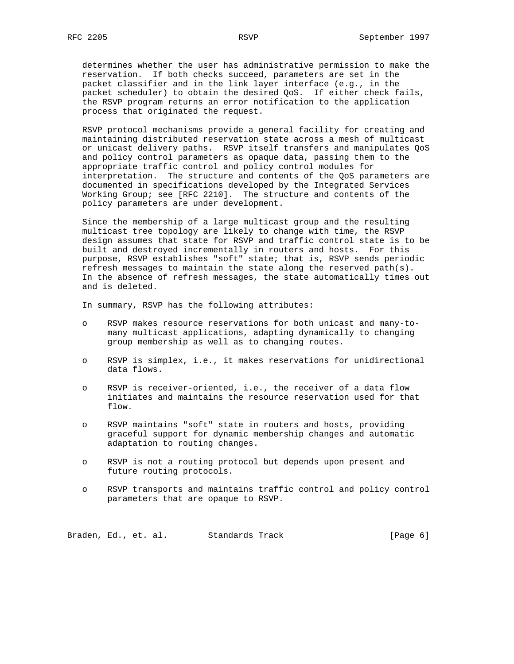determines whether the user has administrative permission to make the reservation. If both checks succeed, parameters are set in the packet classifier and in the link layer interface (e.g., in the packet scheduler) to obtain the desired QoS. If either check fails, the RSVP program returns an error notification to the application process that originated the request.

 RSVP protocol mechanisms provide a general facility for creating and maintaining distributed reservation state across a mesh of multicast or unicast delivery paths. RSVP itself transfers and manipulates QoS and policy control parameters as opaque data, passing them to the appropriate traffic control and policy control modules for interpretation. The structure and contents of the QoS parameters are documented in specifications developed by the Integrated Services Working Group; see [RFC 2210]. The structure and contents of the policy parameters are under development.

 Since the membership of a large multicast group and the resulting multicast tree topology are likely to change with time, the RSVP design assumes that state for RSVP and traffic control state is to be built and destroyed incrementally in routers and hosts. For this purpose, RSVP establishes "soft" state; that is, RSVP sends periodic refresh messages to maintain the state along the reserved path(s). In the absence of refresh messages, the state automatically times out and is deleted.

In summary, RSVP has the following attributes:

- o RSVP makes resource reservations for both unicast and many-to many multicast applications, adapting dynamically to changing group membership as well as to changing routes.
- o RSVP is simplex, i.e., it makes reservations for unidirectional data flows.
- o RSVP is receiver-oriented, i.e., the receiver of a data flow initiates and maintains the resource reservation used for that flow.
- o RSVP maintains "soft" state in routers and hosts, providing graceful support for dynamic membership changes and automatic adaptation to routing changes.
- o RSVP is not a routing protocol but depends upon present and future routing protocols.
- o RSVP transports and maintains traffic control and policy control parameters that are opaque to RSVP.

Braden, Ed., et. al. Standards Track (Page 6)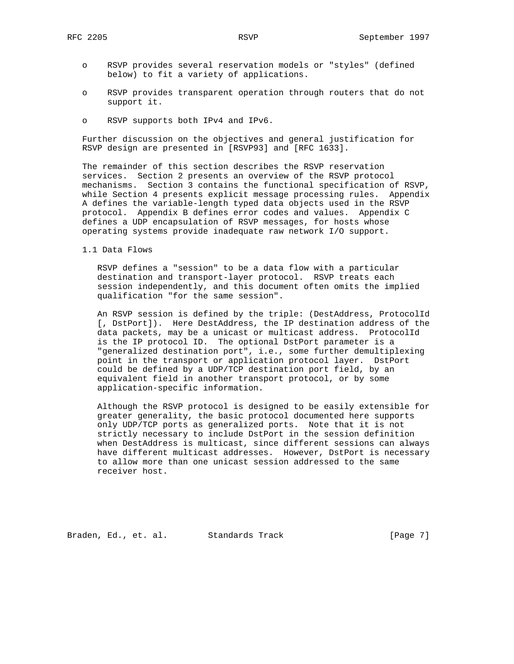- o RSVP provides several reservation models or "styles" (defined below) to fit a variety of applications.
- o RSVP provides transparent operation through routers that do not support it.
- o RSVP supports both IPv4 and IPv6.

 Further discussion on the objectives and general justification for RSVP design are presented in [RSVP93] and [RFC 1633].

 The remainder of this section describes the RSVP reservation services. Section 2 presents an overview of the RSVP protocol mechanisms. Section 3 contains the functional specification of RSVP, while Section 4 presents explicit message processing rules. Appendix A defines the variable-length typed data objects used in the RSVP protocol. Appendix B defines error codes and values. Appendix C defines a UDP encapsulation of RSVP messages, for hosts whose operating systems provide inadequate raw network I/O support.

1.1 Data Flows

 RSVP defines a "session" to be a data flow with a particular destination and transport-layer protocol. RSVP treats each session independently, and this document often omits the implied qualification "for the same session".

 An RSVP session is defined by the triple: (DestAddress, ProtocolId [, DstPort]). Here DestAddress, the IP destination address of the data packets, may be a unicast or multicast address. ProtocolId is the IP protocol ID. The optional DstPort parameter is a "generalized destination port", i.e., some further demultiplexing point in the transport or application protocol layer. DstPort could be defined by a UDP/TCP destination port field, by an equivalent field in another transport protocol, or by some application-specific information.

 Although the RSVP protocol is designed to be easily extensible for greater generality, the basic protocol documented here supports only UDP/TCP ports as generalized ports. Note that it is not strictly necessary to include DstPort in the session definition when DestAddress is multicast, since different sessions can always have different multicast addresses. However, DstPort is necessary to allow more than one unicast session addressed to the same receiver host.

Braden, Ed., et. al. Standards Track [Page 7]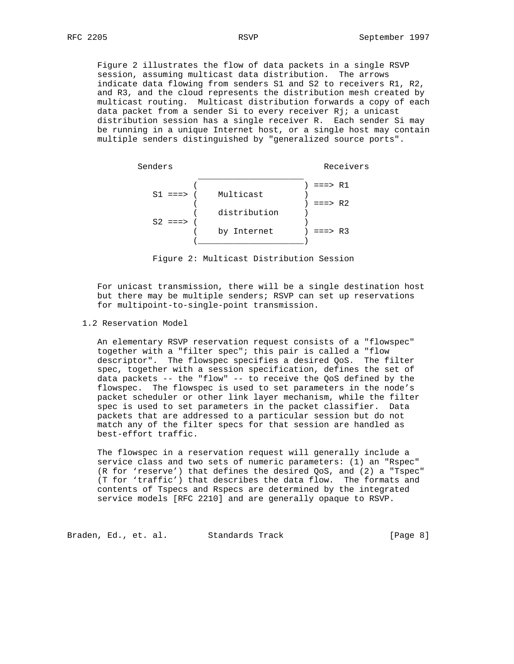Figure 2 illustrates the flow of data packets in a single RSVP session, assuming multicast data distribution. The arrows indicate data flowing from senders S1 and S2 to receivers R1, R2, and R3, and the cloud represents the distribution mesh created by multicast routing. Multicast distribution forwards a copy of each data packet from a sender Si to every receiver Rj; a unicast distribution session has a single receiver R. Each sender Si may be running in a unique Internet host, or a single host may contain multiple senders distinguished by "generalized source ports".



Figure 2: Multicast Distribution Session

 For unicast transmission, there will be a single destination host but there may be multiple senders; RSVP can set up reservations for multipoint-to-single-point transmission.

1.2 Reservation Model

 An elementary RSVP reservation request consists of a "flowspec" together with a "filter spec"; this pair is called a "flow descriptor". The flowspec specifies a desired QoS. The filter spec, together with a session specification, defines the set of data packets -- the "flow" -- to receive the QoS defined by the flowspec. The flowspec is used to set parameters in the node's packet scheduler or other link layer mechanism, while the filter spec is used to set parameters in the packet classifier. Data packets that are addressed to a particular session but do not match any of the filter specs for that session are handled as best-effort traffic.

 The flowspec in a reservation request will generally include a service class and two sets of numeric parameters: (1) an "Rspec" (R for 'reserve') that defines the desired QoS, and (2) a "Tspec" (T for 'traffic') that describes the data flow. The formats and contents of Tspecs and Rspecs are determined by the integrated service models [RFC 2210] and are generally opaque to RSVP.

Braden, Ed., et. al. Standards Track (Page 8)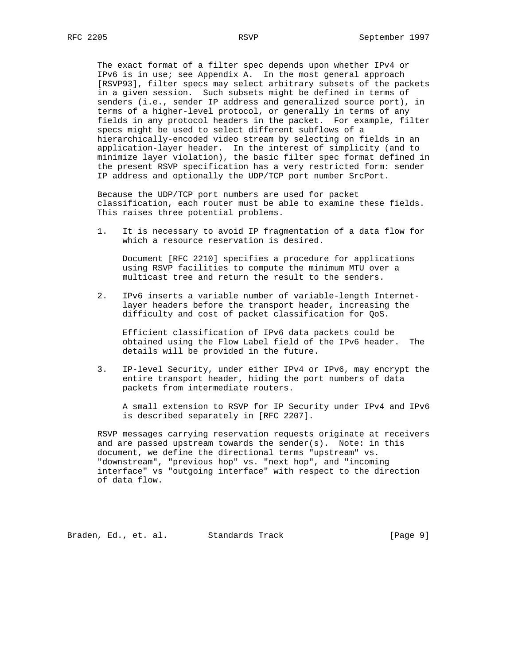The exact format of a filter spec depends upon whether IPv4 or IPv6 is in use; see Appendix A. In the most general approach [RSVP93], filter specs may select arbitrary subsets of the packets in a given session. Such subsets might be defined in terms of senders (i.e., sender IP address and generalized source port), in terms of a higher-level protocol, or generally in terms of any fields in any protocol headers in the packet. For example, filter specs might be used to select different subflows of a hierarchically-encoded video stream by selecting on fields in an application-layer header. In the interest of simplicity (and to minimize layer violation), the basic filter spec format defined in the present RSVP specification has a very restricted form: sender IP address and optionally the UDP/TCP port number SrcPort.

 Because the UDP/TCP port numbers are used for packet classification, each router must be able to examine these fields. This raises three potential problems.

 1. It is necessary to avoid IP fragmentation of a data flow for which a resource reservation is desired.

 Document [RFC 2210] specifies a procedure for applications using RSVP facilities to compute the minimum MTU over a multicast tree and return the result to the senders.

 2. IPv6 inserts a variable number of variable-length Internet layer headers before the transport header, increasing the difficulty and cost of packet classification for QoS.

 Efficient classification of IPv6 data packets could be obtained using the Flow Label field of the IPv6 header. The details will be provided in the future.

 3. IP-level Security, under either IPv4 or IPv6, may encrypt the entire transport header, hiding the port numbers of data packets from intermediate routers.

 A small extension to RSVP for IP Security under IPv4 and IPv6 is described separately in [RFC 2207].

 RSVP messages carrying reservation requests originate at receivers and are passed upstream towards the sender(s). Note: in this document, we define the directional terms "upstream" vs. "downstream", "previous hop" vs. "next hop", and "incoming interface" vs "outgoing interface" with respect to the direction of data flow.

Braden, Ed., et. al. Standards Track [Page 9]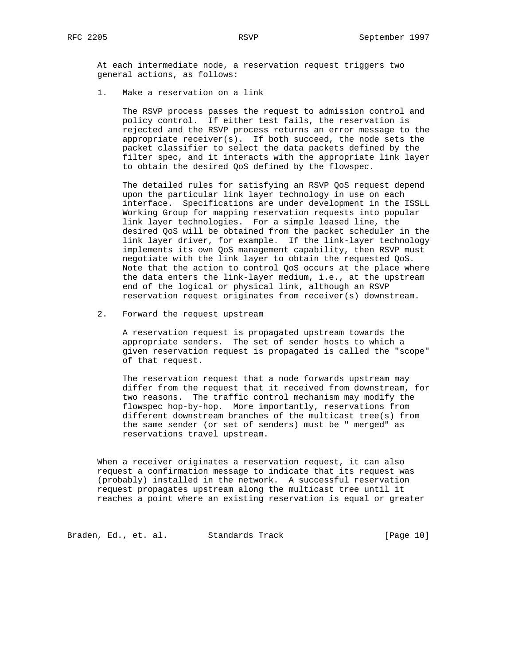At each intermediate node, a reservation request triggers two general actions, as follows:

1. Make a reservation on a link

 The RSVP process passes the request to admission control and policy control. If either test fails, the reservation is rejected and the RSVP process returns an error message to the appropriate  $receiver(s)$ . If both succeed, the node sets the packet classifier to select the data packets defined by the filter spec, and it interacts with the appropriate link layer to obtain the desired QoS defined by the flowspec.

 The detailed rules for satisfying an RSVP QoS request depend upon the particular link layer technology in use on each interface. Specifications are under development in the ISSLL Working Group for mapping reservation requests into popular link layer technologies. For a simple leased line, the desired QoS will be obtained from the packet scheduler in the link layer driver, for example. If the link-layer technology implements its own QoS management capability, then RSVP must negotiate with the link layer to obtain the requested QoS. Note that the action to control QoS occurs at the place where the data enters the link-layer medium, i.e., at the upstream end of the logical or physical link, although an RSVP reservation request originates from receiver(s) downstream.

2. Forward the request upstream

 A reservation request is propagated upstream towards the appropriate senders. The set of sender hosts to which a given reservation request is propagated is called the "scope" of that request.

 The reservation request that a node forwards upstream may differ from the request that it received from downstream, for two reasons. The traffic control mechanism may modify the flowspec hop-by-hop. More importantly, reservations from different downstream branches of the multicast tree(s) from the same sender (or set of senders) must be " merged" as reservations travel upstream.

 When a receiver originates a reservation request, it can also request a confirmation message to indicate that its request was (probably) installed in the network. A successful reservation request propagates upstream along the multicast tree until it reaches a point where an existing reservation is equal or greater

Braden, Ed., et. al. Standards Track [Page 10]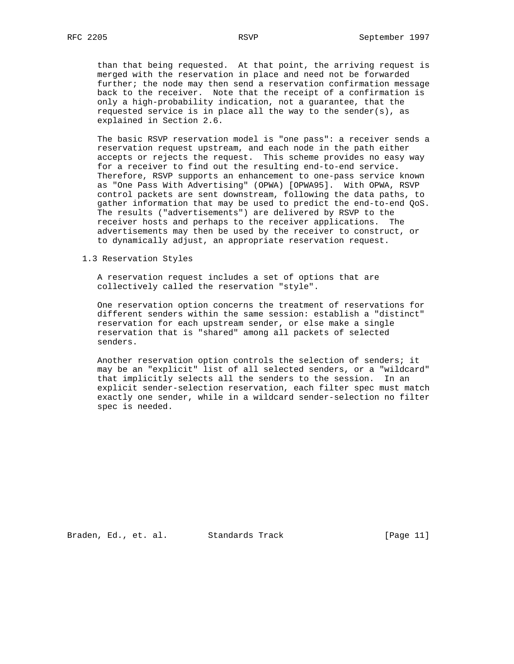than that being requested. At that point, the arriving request is merged with the reservation in place and need not be forwarded further; the node may then send a reservation confirmation message back to the receiver. Note that the receipt of a confirmation is only a high-probability indication, not a guarantee, that the requested service is in place all the way to the sender(s), as explained in Section 2.6.

 The basic RSVP reservation model is "one pass": a receiver sends a reservation request upstream, and each node in the path either accepts or rejects the request. This scheme provides no easy way for a receiver to find out the resulting end-to-end service. Therefore, RSVP supports an enhancement to one-pass service known as "One Pass With Advertising" (OPWA) [OPWA95]. With OPWA, RSVP control packets are sent downstream, following the data paths, to gather information that may be used to predict the end-to-end QoS. The results ("advertisements") are delivered by RSVP to the receiver hosts and perhaps to the receiver applications. The advertisements may then be used by the receiver to construct, or to dynamically adjust, an appropriate reservation request.

1.3 Reservation Styles

 A reservation request includes a set of options that are collectively called the reservation "style".

 One reservation option concerns the treatment of reservations for different senders within the same session: establish a "distinct" reservation for each upstream sender, or else make a single reservation that is "shared" among all packets of selected senders.

 Another reservation option controls the selection of senders; it may be an "explicit" list of all selected senders, or a "wildcard" that implicitly selects all the senders to the session. In an explicit sender-selection reservation, each filter spec must match exactly one sender, while in a wildcard sender-selection no filter spec is needed.

Braden, Ed., et. al. Standards Track [Page 11]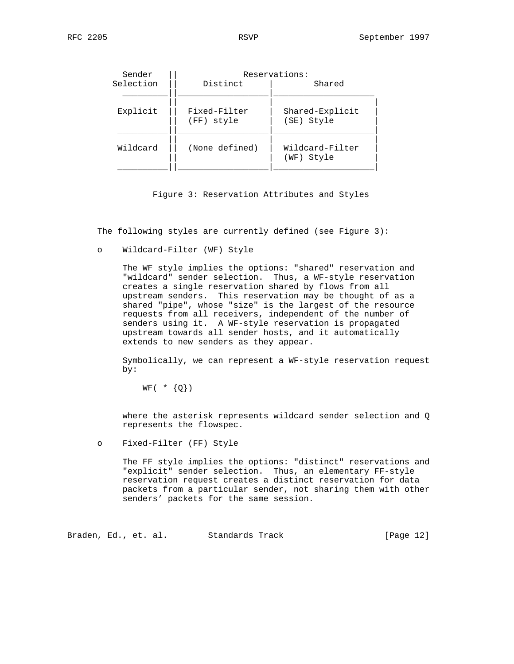| Sender    | Reservations:              |                               |  |
|-----------|----------------------------|-------------------------------|--|
| Selection | Distinct                   | Shared                        |  |
|           |                            |                               |  |
| Explicit  | Fixed-Filter<br>(FF) style | Shared-Explicit<br>(SE) Style |  |
| Wildcard  | (None defined)             | Wildcard-Filter<br>(WF) Style |  |
|           |                            |                               |  |

Figure 3: Reservation Attributes and Styles

The following styles are currently defined (see Figure 3):

o Wildcard-Filter (WF) Style

 The WF style implies the options: "shared" reservation and "wildcard" sender selection. Thus, a WF-style reservation creates a single reservation shared by flows from all upstream senders. This reservation may be thought of as a shared "pipe", whose "size" is the largest of the resource requests from all receivers, independent of the number of senders using it. A WF-style reservation is propagated upstream towards all sender hosts, and it automatically extends to new senders as they appear.

 Symbolically, we can represent a WF-style reservation request by:

 $WF( * {Q})$ 

 where the asterisk represents wildcard sender selection and Q represents the flowspec.

o Fixed-Filter (FF) Style

 The FF style implies the options: "distinct" reservations and "explicit" sender selection. Thus, an elementary FF-style reservation request creates a distinct reservation for data packets from a particular sender, not sharing them with other senders' packets for the same session.

Braden, Ed., et. al. Standards Track [Page 12]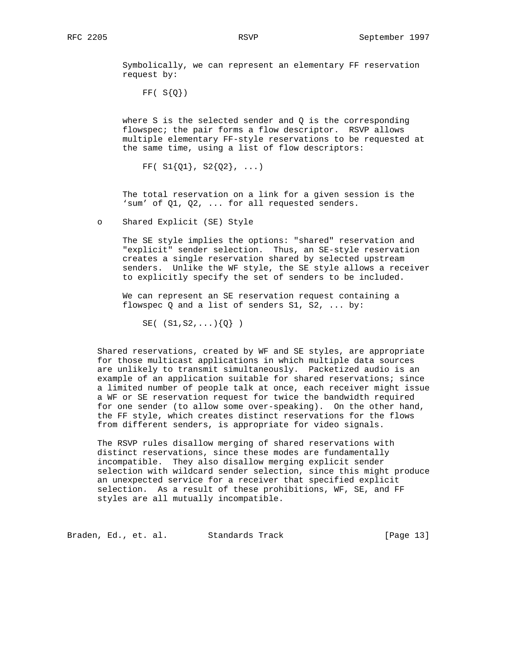Symbolically, we can represent an elementary FF reservation request by:

 $FF( S{Q})$ 

where S is the selected sender and  $Q$  is the corresponding flowspec; the pair forms a flow descriptor. RSVP allows multiple elementary FF-style reservations to be requested at the same time, using a list of flow descriptors:

FF(  $SI{Q1}$ ,  $S2{Q2}$ , ...)

 The total reservation on a link for a given session is the 'sum' of Q1, Q2, ... for all requested senders.

o Shared Explicit (SE) Style

 The SE style implies the options: "shared" reservation and "explicit" sender selection. Thus, an SE-style reservation creates a single reservation shared by selected upstream senders. Unlike the WF style, the SE style allows a receiver to explicitly specify the set of senders to be included.

 We can represent an SE reservation request containing a flowspec Q and a list of senders S1, S2, ... by:

 $SE($  (S1, S2, ...) $\{Q\}$ )

 Shared reservations, created by WF and SE styles, are appropriate for those multicast applications in which multiple data sources are unlikely to transmit simultaneously. Packetized audio is an example of an application suitable for shared reservations; since a limited number of people talk at once, each receiver might issue a WF or SE reservation request for twice the bandwidth required for one sender (to allow some over-speaking). On the other hand, the FF style, which creates distinct reservations for the flows from different senders, is appropriate for video signals.

 The RSVP rules disallow merging of shared reservations with distinct reservations, since these modes are fundamentally incompatible. They also disallow merging explicit sender selection with wildcard sender selection, since this might produce an unexpected service for a receiver that specified explicit selection. As a result of these prohibitions, WF, SE, and FF styles are all mutually incompatible.

Braden, Ed., et. al. Standards Track [Page 13]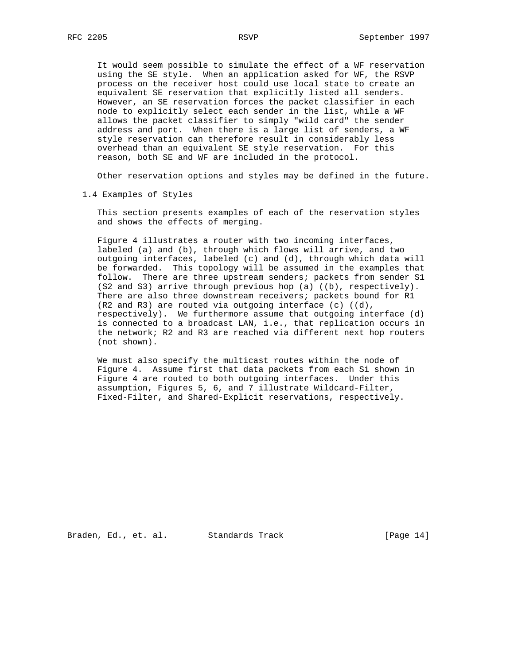It would seem possible to simulate the effect of a WF reservation using the SE style. When an application asked for WF, the RSVP process on the receiver host could use local state to create an equivalent SE reservation that explicitly listed all senders. However, an SE reservation forces the packet classifier in each node to explicitly select each sender in the list, while a WF allows the packet classifier to simply "wild card" the sender address and port. When there is a large list of senders, a WF style reservation can therefore result in considerably less overhead than an equivalent SE style reservation. For this reason, both SE and WF are included in the protocol.

Other reservation options and styles may be defined in the future.

1.4 Examples of Styles

 This section presents examples of each of the reservation styles and shows the effects of merging.

 Figure 4 illustrates a router with two incoming interfaces, labeled (a) and (b), through which flows will arrive, and two outgoing interfaces, labeled (c) and (d), through which data will be forwarded. This topology will be assumed in the examples that follow. There are three upstream senders; packets from sender S1 (S2 and S3) arrive through previous hop (a) ((b), respectively). There are also three downstream receivers; packets bound for R1 (R2 and R3) are routed via outgoing interface (c) ((d), respectively). We furthermore assume that outgoing interface (d) is connected to a broadcast LAN, i.e., that replication occurs in the network; R2 and R3 are reached via different next hop routers (not shown).

 We must also specify the multicast routes within the node of Figure 4. Assume first that data packets from each Si shown in Figure 4 are routed to both outgoing interfaces. Under this assumption, Figures 5, 6, and 7 illustrate Wildcard-Filter, Fixed-Filter, and Shared-Explicit reservations, respectively.

Braden, Ed., et. al. Standards Track [Page 14]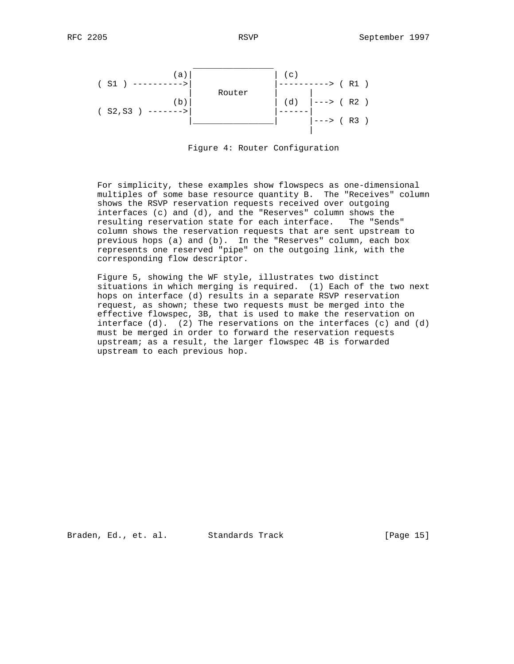

Figure 4: Router Configuration

 For simplicity, these examples show flowspecs as one-dimensional multiples of some base resource quantity B. The "Receives" column shows the RSVP reservation requests received over outgoing interfaces (c) and (d), and the "Reserves" column shows the resulting reservation state for each interface. The "Sends" column shows the reservation requests that are sent upstream to previous hops (a) and (b). In the "Reserves" column, each box represents one reserved "pipe" on the outgoing link, with the corresponding flow descriptor.

 Figure 5, showing the WF style, illustrates two distinct situations in which merging is required. (1) Each of the two next hops on interface (d) results in a separate RSVP reservation request, as shown; these two requests must be merged into the effective flowspec, 3B, that is used to make the reservation on interface (d). (2) The reservations on the interfaces (c) and (d) must be merged in order to forward the reservation requests upstream; as a result, the larger flowspec 4B is forwarded upstream to each previous hop.

Braden, Ed., et. al. Standards Track [Page 15]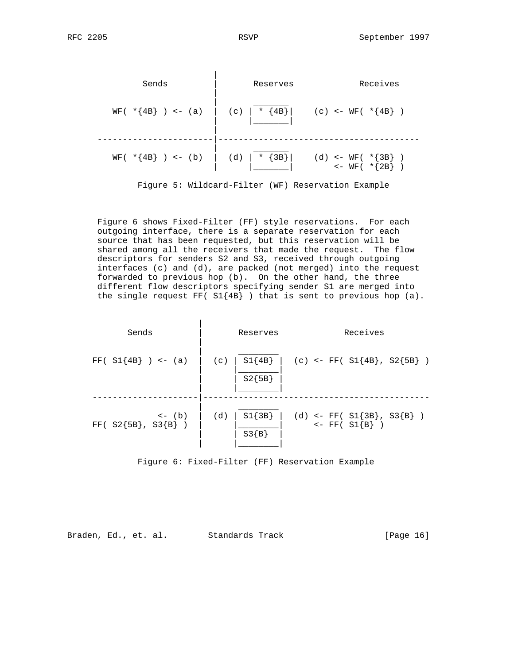



 Figure 6 shows Fixed-Filter (FF) style reservations. For each outgoing interface, there is a separate reservation for each source that has been requested, but this reservation will be shared among all the receivers that made the request. The flow descriptors for senders S2 and S3, received through outgoing interfaces (c) and (d), are packed (not merged) into the request forwarded to previous hop (b). On the other hand, the three different flow descriptors specifying sender S1 are merged into the single request FF( $SI{4B}$ ) that is sent to previous hop (a).

| Sends                                        | Reserves                    | Receives                                            |
|----------------------------------------------|-----------------------------|-----------------------------------------------------|
| $FF( SI {4B} ) < - (a)$                      | $SI{4B}$<br>(c)<br>$S2{5B}$ | (c) <- FF( $SI{4B}$ , $S2{5B}$ )                    |
| $\leftarrow$ (b)<br>FF( $S2{5B}$ , $S3{B}$ ) | $SI{3B}$<br>(d)<br>$S3{B}$  | (d) <- FF( $SI{3B}$ , $S3{B}$ )<br><- FF( $SI{B}$ ) |

Figure 6: Fixed-Filter (FF) Reservation Example

Braden, Ed., et. al. Standards Track [Page 16]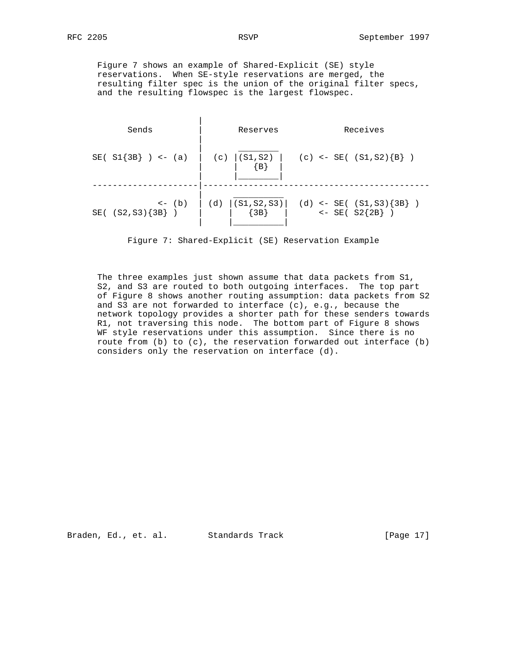Figure 7 shows an example of Shared-Explicit (SE) style reservations. When SE-style reservations are merged, the resulting filter spec is the union of the original filter specs, and the resulting flowspec is the largest flowspec.

| Sends                                               | Reserves                    | Receives                                           |
|-----------------------------------------------------|-----------------------------|----------------------------------------------------|
| $SE( SI{3B} ) < - (a)$                              | (c) $  (S1, S2)  $<br>${B}$ | (c) <- SE( $(S1, S2)$ {B} )                        |
| $\left\langle -\right  (b)$<br>$SE( (S2, S3) {3B})$ | (S1, S2, S3)<br>(d)<br>3B   | (d) <- SE( $(S1, S3)$ {3B} )<br><- SE( $S2$ {2B} ) |

Figure 7: Shared-Explicit (SE) Reservation Example

 The three examples just shown assume that data packets from S1, S2, and S3 are routed to both outgoing interfaces. The top part of Figure 8 shows another routing assumption: data packets from S2 and S3 are not forwarded to interface (c), e.g., because the network topology provides a shorter path for these senders towards R1, not traversing this node. The bottom part of Figure 8 shows WF style reservations under this assumption. Since there is no route from (b) to (c), the reservation forwarded out interface (b) considers only the reservation on interface (d).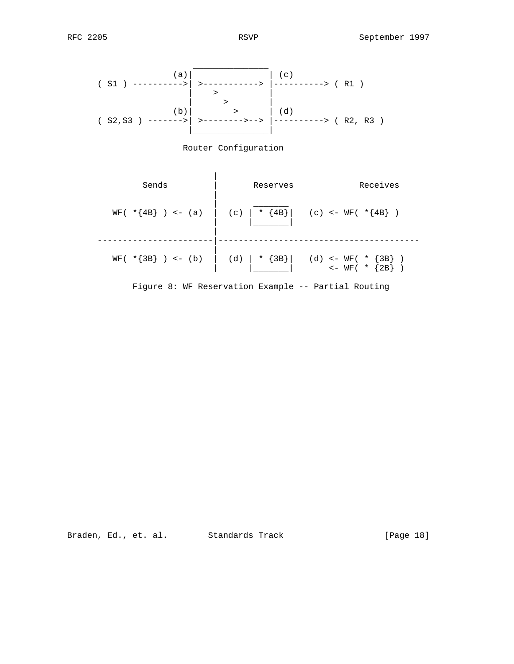





Braden, Ed., et. al. Standards Track [Page 18]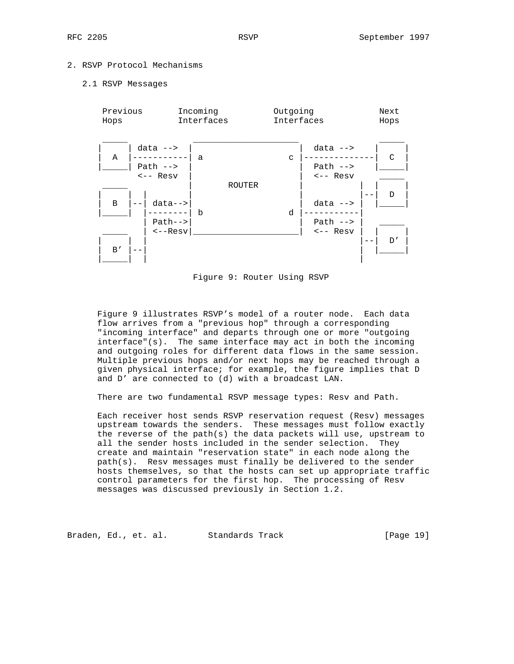# 2. RSVP Protocol Mechanisms

#### 2.1 RSVP Messages



Figure 9: Router Using RSVP

 Figure 9 illustrates RSVP's model of a router node. Each data flow arrives from a "previous hop" through a corresponding "incoming interface" and departs through one or more "outgoing interface"(s). The same interface may act in both the incoming and outgoing roles for different data flows in the same session. Multiple previous hops and/or next hops may be reached through a given physical interface; for example, the figure implies that D and D' are connected to (d) with a broadcast LAN.

There are two fundamental RSVP message types: Resv and Path.

 Each receiver host sends RSVP reservation request (Resv) messages upstream towards the senders. These messages must follow exactly the reverse of the path(s) the data packets will use, upstream to all the sender hosts included in the sender selection. They create and maintain "reservation state" in each node along the path(s). Resv messages must finally be delivered to the sender hosts themselves, so that the hosts can set up appropriate traffic control parameters for the first hop. The processing of Resv messages was discussed previously in Section 1.2.

Braden, Ed., et. al. Standards Track [Page 19]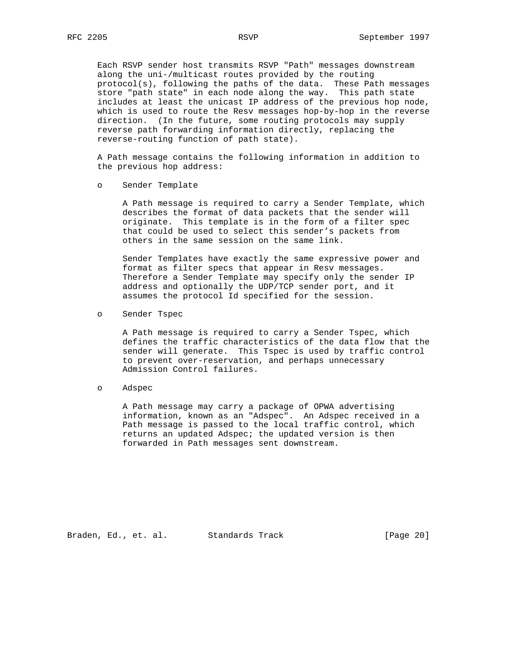Each RSVP sender host transmits RSVP "Path" messages downstream along the uni-/multicast routes provided by the routing protocol(s), following the paths of the data. These Path messages store "path state" in each node along the way. This path state includes at least the unicast IP address of the previous hop node, which is used to route the Resv messages hop-by-hop in the reverse direction. (In the future, some routing protocols may supply reverse path forwarding information directly, replacing the reverse-routing function of path state).

 A Path message contains the following information in addition to the previous hop address:

o Sender Template

 A Path message is required to carry a Sender Template, which describes the format of data packets that the sender will originate. This template is in the form of a filter spec that could be used to select this sender's packets from others in the same session on the same link.

 Sender Templates have exactly the same expressive power and format as filter specs that appear in Resv messages. Therefore a Sender Template may specify only the sender IP address and optionally the UDP/TCP sender port, and it assumes the protocol Id specified for the session.

o Sender Tspec

 A Path message is required to carry a Sender Tspec, which defines the traffic characteristics of the data flow that the sender will generate. This Tspec is used by traffic control to prevent over-reservation, and perhaps unnecessary Admission Control failures.

o Adspec

 A Path message may carry a package of OPWA advertising information, known as an "Adspec". An Adspec received in a Path message is passed to the local traffic control, which returns an updated Adspec; the updated version is then forwarded in Path messages sent downstream.

Braden, Ed., et. al. Standards Track [Page 20]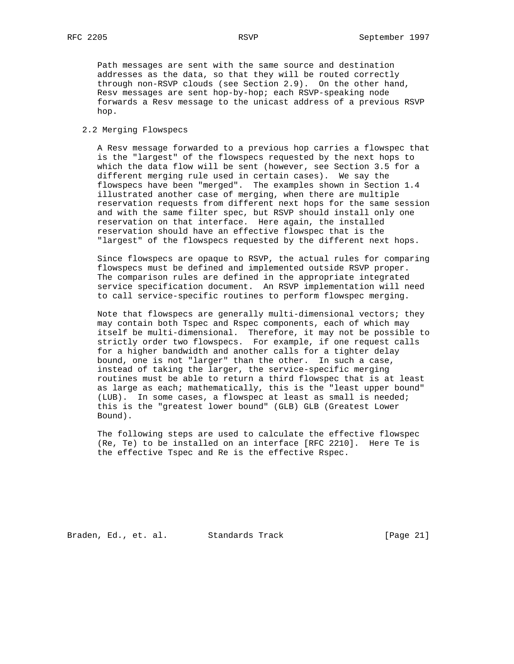Path messages are sent with the same source and destination addresses as the data, so that they will be routed correctly through non-RSVP clouds (see Section 2.9). On the other hand, Resv messages are sent hop-by-hop; each RSVP-speaking node forwards a Resv message to the unicast address of a previous RSVP hop.

# 2.2 Merging Flowspecs

 A Resv message forwarded to a previous hop carries a flowspec that is the "largest" of the flowspecs requested by the next hops to which the data flow will be sent (however, see Section 3.5 for a different merging rule used in certain cases). We say the flowspecs have been "merged". The examples shown in Section 1.4 illustrated another case of merging, when there are multiple reservation requests from different next hops for the same session and with the same filter spec, but RSVP should install only one reservation on that interface. Here again, the installed reservation should have an effective flowspec that is the "largest" of the flowspecs requested by the different next hops.

 Since flowspecs are opaque to RSVP, the actual rules for comparing flowspecs must be defined and implemented outside RSVP proper. The comparison rules are defined in the appropriate integrated service specification document. An RSVP implementation will need to call service-specific routines to perform flowspec merging.

 Note that flowspecs are generally multi-dimensional vectors; they may contain both Tspec and Rspec components, each of which may itself be multi-dimensional. Therefore, it may not be possible to strictly order two flowspecs. For example, if one request calls for a higher bandwidth and another calls for a tighter delay bound, one is not "larger" than the other. In such a case, instead of taking the larger, the service-specific merging routines must be able to return a third flowspec that is at least as large as each; mathematically, this is the "least upper bound" (LUB). In some cases, a flowspec at least as small is needed; this is the "greatest lower bound" (GLB) GLB (Greatest Lower Bound).

 The following steps are used to calculate the effective flowspec (Re, Te) to be installed on an interface [RFC 2210]. Here Te is the effective Tspec and Re is the effective Rspec.

Braden, Ed., et. al. Standards Track [Page 21]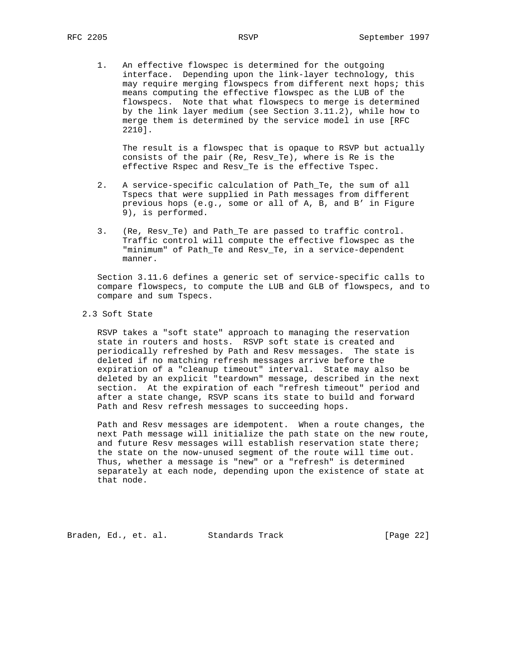1. An effective flowspec is determined for the outgoing interface. Depending upon the link-layer technology, this may require merging flowspecs from different next hops; this means computing the effective flowspec as the LUB of the flowspecs. Note that what flowspecs to merge is determined by the link layer medium (see Section 3.11.2), while how to merge them is determined by the service model in use [RFC 2210].

 The result is a flowspec that is opaque to RSVP but actually consists of the pair (Re, Resv\_Te), where is Re is the effective Rspec and Resv\_Te is the effective Tspec.

- 2. A service-specific calculation of Path\_Te, the sum of all Tspecs that were supplied in Path messages from different previous hops (e.g., some or all of A, B, and B' in Figure 9), is performed.
- 3. (Re, Resv\_Te) and Path\_Te are passed to traffic control. Traffic control will compute the effective flowspec as the "minimum" of Path\_Te and Resv\_Te, in a service-dependent manner.

 Section 3.11.6 defines a generic set of service-specific calls to compare flowspecs, to compute the LUB and GLB of flowspecs, and to compare and sum Tspecs.

2.3 Soft State

 RSVP takes a "soft state" approach to managing the reservation state in routers and hosts. RSVP soft state is created and periodically refreshed by Path and Resv messages. The state is deleted if no matching refresh messages arrive before the expiration of a "cleanup timeout" interval. State may also be deleted by an explicit "teardown" message, described in the next section. At the expiration of each "refresh timeout" period and after a state change, RSVP scans its state to build and forward Path and Resv refresh messages to succeeding hops.

 Path and Resv messages are idempotent. When a route changes, the next Path message will initialize the path state on the new route, and future Resv messages will establish reservation state there; the state on the now-unused segment of the route will time out. Thus, whether a message is "new" or a "refresh" is determined separately at each node, depending upon the existence of state at that node.

Braden, Ed., et. al. Standards Track [Page 22]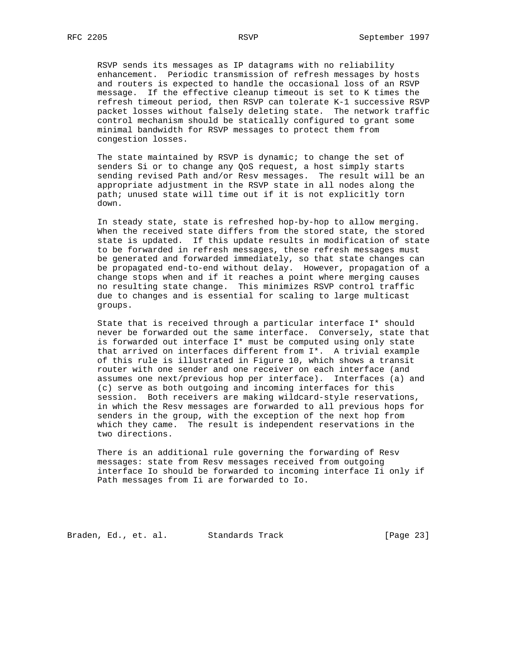RSVP sends its messages as IP datagrams with no reliability enhancement. Periodic transmission of refresh messages by hosts and routers is expected to handle the occasional loss of an RSVP message. If the effective cleanup timeout is set to K times the refresh timeout period, then RSVP can tolerate K-1 successive RSVP packet losses without falsely deleting state. The network traffic control mechanism should be statically configured to grant some minimal bandwidth for RSVP messages to protect them from congestion losses.

 The state maintained by RSVP is dynamic; to change the set of senders Si or to change any QoS request, a host simply starts sending revised Path and/or Resv messages. The result will be an appropriate adjustment in the RSVP state in all nodes along the path; unused state will time out if it is not explicitly torn down.

 In steady state, state is refreshed hop-by-hop to allow merging. When the received state differs from the stored state, the stored state is updated. If this update results in modification of state to be forwarded in refresh messages, these refresh messages must be generated and forwarded immediately, so that state changes can be propagated end-to-end without delay. However, propagation of a change stops when and if it reaches a point where merging causes no resulting state change. This minimizes RSVP control traffic due to changes and is essential for scaling to large multicast groups.

 State that is received through a particular interface I\* should never be forwarded out the same interface. Conversely, state that is forwarded out interface I\* must be computed using only state that arrived on interfaces different from I\*. A trivial example of this rule is illustrated in Figure 10, which shows a transit router with one sender and one receiver on each interface (and assumes one next/previous hop per interface). Interfaces (a) and (c) serve as both outgoing and incoming interfaces for this session. Both receivers are making wildcard-style reservations, in which the Resv messages are forwarded to all previous hops for senders in the group, with the exception of the next hop from which they came. The result is independent reservations in the two directions.

 There is an additional rule governing the forwarding of Resv messages: state from Resv messages received from outgoing interface Io should be forwarded to incoming interface Ii only if Path messages from Ii are forwarded to Io.

Braden, Ed., et. al. Standards Track [Page 23]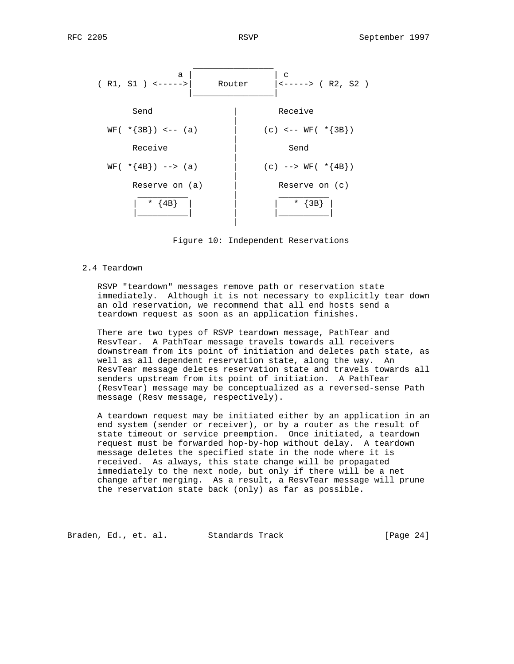

Figure 10: Independent Reservations

2.4 Teardown

 RSVP "teardown" messages remove path or reservation state immediately. Although it is not necessary to explicitly tear down an old reservation, we recommend that all end hosts send a teardown request as soon as an application finishes.

 There are two types of RSVP teardown message, PathTear and ResvTear. A PathTear message travels towards all receivers downstream from its point of initiation and deletes path state, as well as all dependent reservation state, along the way. An ResvTear message deletes reservation state and travels towards all senders upstream from its point of initiation. A PathTear (ResvTear) message may be conceptualized as a reversed-sense Path message (Resv message, respectively).

 A teardown request may be initiated either by an application in an end system (sender or receiver), or by a router as the result of state timeout or service preemption. Once initiated, a teardown request must be forwarded hop-by-hop without delay. A teardown message deletes the specified state in the node where it is received. As always, this state change will be propagated immediately to the next node, but only if there will be a net change after merging. As a result, a ResvTear message will prune the reservation state back (only) as far as possible.

Braden, Ed., et. al. Standards Track [Page 24]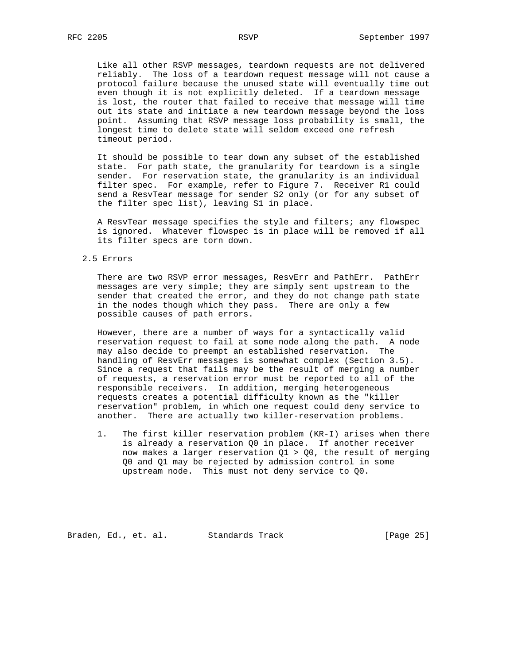Like all other RSVP messages, teardown requests are not delivered reliably. The loss of a teardown request message will not cause a protocol failure because the unused state will eventually time out even though it is not explicitly deleted. If a teardown message is lost, the router that failed to receive that message will time out its state and initiate a new teardown message beyond the loss point. Assuming that RSVP message loss probability is small, the longest time to delete state will seldom exceed one refresh timeout period.

 It should be possible to tear down any subset of the established state. For path state, the granularity for teardown is a single sender. For reservation state, the granularity is an individual filter spec. For example, refer to Figure 7. Receiver R1 could send a ResvTear message for sender S2 only (or for any subset of the filter spec list), leaving S1 in place.

 A ResvTear message specifies the style and filters; any flowspec is ignored. Whatever flowspec is in place will be removed if all its filter specs are torn down.

## 2.5 Errors

There are two RSVP error messages, ResvErr and PathErr. PathErr messages are very simple; they are simply sent upstream to the sender that created the error, and they do not change path state in the nodes though which they pass. There are only a few possible causes of path errors.

 However, there are a number of ways for a syntactically valid reservation request to fail at some node along the path. A node may also decide to preempt an established reservation. The handling of ResvErr messages is somewhat complex (Section 3.5). Since a request that fails may be the result of merging a number of requests, a reservation error must be reported to all of the responsible receivers. In addition, merging heterogeneous requests creates a potential difficulty known as the "killer reservation" problem, in which one request could deny service to another. There are actually two killer-reservation problems.

 1. The first killer reservation problem (KR-I) arises when there is already a reservation Q0 in place. If another receiver now makes a larger reservation  $Q1 > Q0$ , the result of merging Q0 and Q1 may be rejected by admission control in some upstream node. This must not deny service to Q0.

Braden, Ed., et. al. Standards Track [Page 25]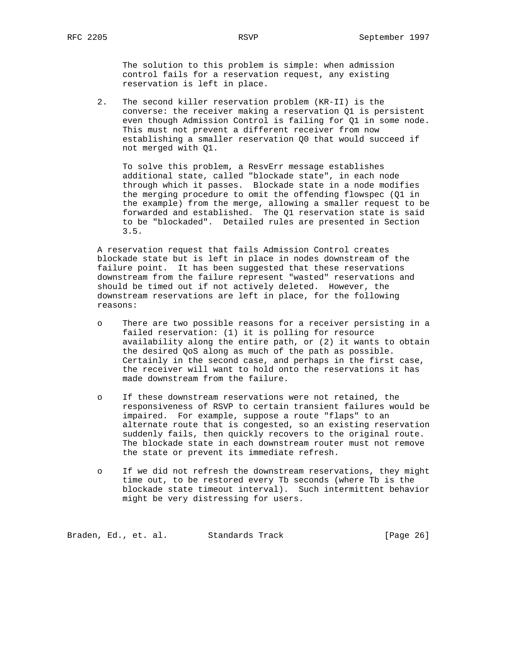The solution to this problem is simple: when admission control fails for a reservation request, any existing reservation is left in place.

 2. The second killer reservation problem (KR-II) is the converse: the receiver making a reservation Q1 is persistent even though Admission Control is failing for Q1 in some node. This must not prevent a different receiver from now establishing a smaller reservation Q0 that would succeed if not merged with Q1.

 To solve this problem, a ResvErr message establishes additional state, called "blockade state", in each node through which it passes. Blockade state in a node modifies the merging procedure to omit the offending flowspec (Q1 in the example) from the merge, allowing a smaller request to be forwarded and established. The Q1 reservation state is said to be "blockaded". Detailed rules are presented in Section 3.5.

 A reservation request that fails Admission Control creates blockade state but is left in place in nodes downstream of the failure point. It has been suggested that these reservations downstream from the failure represent "wasted" reservations and should be timed out if not actively deleted. However, the downstream reservations are left in place, for the following reasons:

- o There are two possible reasons for a receiver persisting in a failed reservation: (1) it is polling for resource availability along the entire path, or (2) it wants to obtain the desired QoS along as much of the path as possible. Certainly in the second case, and perhaps in the first case, the receiver will want to hold onto the reservations it has made downstream from the failure.
- o If these downstream reservations were not retained, the responsiveness of RSVP to certain transient failures would be impaired. For example, suppose a route "flaps" to an alternate route that is congested, so an existing reservation suddenly fails, then quickly recovers to the original route. The blockade state in each downstream router must not remove the state or prevent its immediate refresh.
- o If we did not refresh the downstream reservations, they might time out, to be restored every Tb seconds (where Tb is the blockade state timeout interval). Such intermittent behavior might be very distressing for users.

Braden, Ed., et. al. Standards Track (Page 26)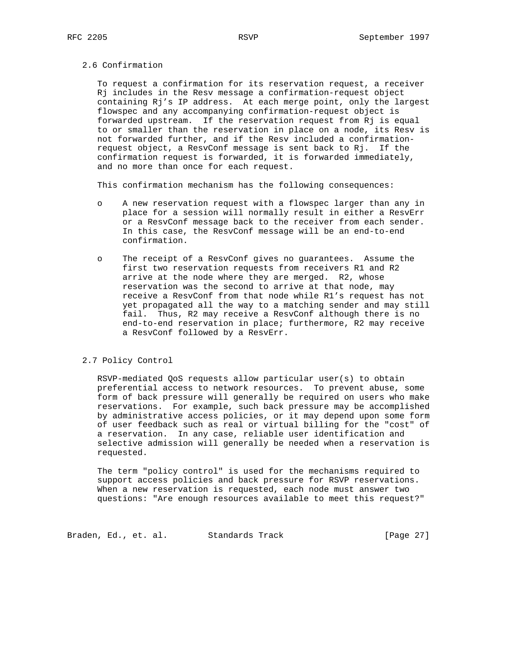# 2.6 Confirmation

 To request a confirmation for its reservation request, a receiver Rj includes in the Resv message a confirmation-request object containing Rj's IP address. At each merge point, only the largest flowspec and any accompanying confirmation-request object is forwarded upstream. If the reservation request from Rj is equal to or smaller than the reservation in place on a node, its Resv is not forwarded further, and if the Resv included a confirmation request object, a ResvConf message is sent back to Rj. If the confirmation request is forwarded, it is forwarded immediately, and no more than once for each request.

This confirmation mechanism has the following consequences:

- o A new reservation request with a flowspec larger than any in place for a session will normally result in either a ResvErr or a ResvConf message back to the receiver from each sender. In this case, the ResvConf message will be an end-to-end confirmation.
- o The receipt of a ResvConf gives no guarantees. Assume the first two reservation requests from receivers R1 and R2 arrive at the node where they are merged. R2, whose reservation was the second to arrive at that node, may receive a ResvConf from that node while R1's request has not yet propagated all the way to a matching sender and may still fail. Thus, R2 may receive a ResvConf although there is no end-to-end reservation in place; furthermore, R2 may receive a ResvConf followed by a ResvErr.

# 2.7 Policy Control

 RSVP-mediated QoS requests allow particular user(s) to obtain preferential access to network resources. To prevent abuse, some form of back pressure will generally be required on users who make reservations. For example, such back pressure may be accomplished by administrative access policies, or it may depend upon some form of user feedback such as real or virtual billing for the "cost" of a reservation. In any case, reliable user identification and selective admission will generally be needed when a reservation is requested.

 The term "policy control" is used for the mechanisms required to support access policies and back pressure for RSVP reservations. When a new reservation is requested, each node must answer two questions: "Are enough resources available to meet this request?"

Braden, Ed., et. al. Standards Track (Page 27)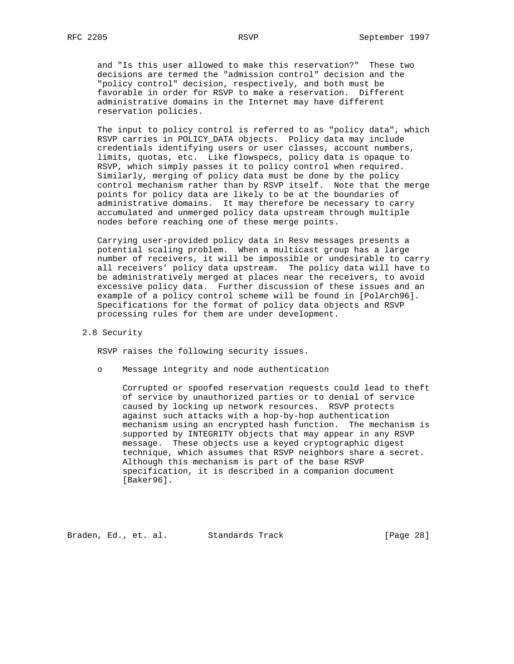and "Is this user allowed to make this reservation?" These two decisions are termed the "admission control" decision and the "policy control" decision, respectively, and both must be favorable in order for RSVP to make a reservation. Different administrative domains in the Internet may have different reservation policies.

 The input to policy control is referred to as "policy data", which RSVP carries in POLICY\_DATA objects. Policy data may include credentials identifying users or user classes, account numbers, limits, quotas, etc. Like flowspecs, policy data is opaque to RSVP, which simply passes it to policy control when required. Similarly, merging of policy data must be done by the policy control mechanism rather than by RSVP itself. Note that the merge points for policy data are likely to be at the boundaries of administrative domains. It may therefore be necessary to carry accumulated and unmerged policy data upstream through multiple nodes before reaching one of these merge points.

 Carrying user-provided policy data in Resv messages presents a potential scaling problem. When a multicast group has a large number of receivers, it will be impossible or undesirable to carry all receivers' policy data upstream. The policy data will have to be administratively merged at places near the receivers, to avoid excessive policy data. Further discussion of these issues and an example of a policy control scheme will be found in [PolArch96]. Specifications for the format of policy data objects and RSVP processing rules for them are under development.

2.8 Security

RSVP raises the following security issues.

o Message integrity and node authentication

 Corrupted or spoofed reservation requests could lead to theft of service by unauthorized parties or to denial of service caused by locking up network resources. RSVP protects against such attacks with a hop-by-hop authentication mechanism using an encrypted hash function. The mechanism is supported by INTEGRITY objects that may appear in any RSVP message. These objects use a keyed cryptographic digest technique, which assumes that RSVP neighbors share a secret. Although this mechanism is part of the base RSVP specification, it is described in a companion document [Baker96].

Braden, Ed., et. al. Standards Track [Page 28]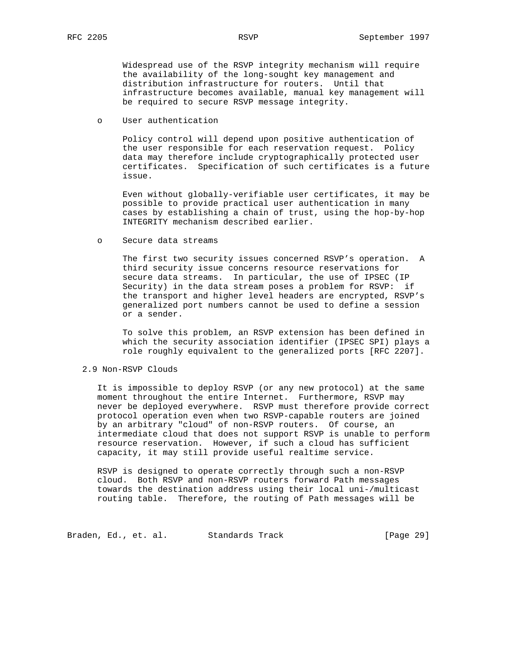Widespread use of the RSVP integrity mechanism will require the availability of the long-sought key management and distribution infrastructure for routers. Until that infrastructure becomes available, manual key management will be required to secure RSVP message integrity.

o User authentication

 Policy control will depend upon positive authentication of the user responsible for each reservation request. Policy data may therefore include cryptographically protected user certificates. Specification of such certificates is a future issue.

 Even without globally-verifiable user certificates, it may be possible to provide practical user authentication in many cases by establishing a chain of trust, using the hop-by-hop INTEGRITY mechanism described earlier.

o Secure data streams

 The first two security issues concerned RSVP's operation. A third security issue concerns resource reservations for secure data streams. In particular, the use of IPSEC (IP Security) in the data stream poses a problem for RSVP: if the transport and higher level headers are encrypted, RSVP's generalized port numbers cannot be used to define a session or a sender.

 To solve this problem, an RSVP extension has been defined in which the security association identifier (IPSEC SPI) plays a role roughly equivalent to the generalized ports [RFC 2207].

# 2.9 Non-RSVP Clouds

 It is impossible to deploy RSVP (or any new protocol) at the same moment throughout the entire Internet. Furthermore, RSVP may never be deployed everywhere. RSVP must therefore provide correct protocol operation even when two RSVP-capable routers are joined by an arbitrary "cloud" of non-RSVP routers. Of course, an intermediate cloud that does not support RSVP is unable to perform resource reservation. However, if such a cloud has sufficient capacity, it may still provide useful realtime service.

 RSVP is designed to operate correctly through such a non-RSVP cloud. Both RSVP and non-RSVP routers forward Path messages towards the destination address using their local uni-/multicast routing table. Therefore, the routing of Path messages will be

Braden, Ed., et. al. Standards Track (Page 29)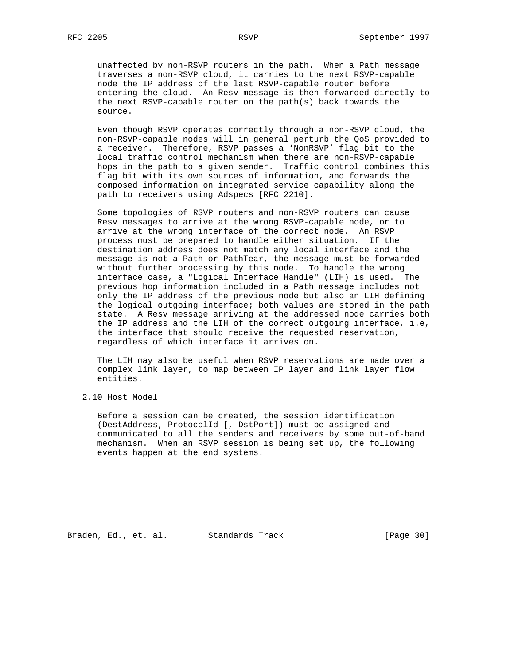unaffected by non-RSVP routers in the path. When a Path message traverses a non-RSVP cloud, it carries to the next RSVP-capable node the IP address of the last RSVP-capable router before entering the cloud. An Resv message is then forwarded directly to the next RSVP-capable router on the path(s) back towards the source.

 Even though RSVP operates correctly through a non-RSVP cloud, the non-RSVP-capable nodes will in general perturb the QoS provided to a receiver. Therefore, RSVP passes a 'NonRSVP' flag bit to the local traffic control mechanism when there are non-RSVP-capable hops in the path to a given sender. Traffic control combines this flag bit with its own sources of information, and forwards the composed information on integrated service capability along the path to receivers using Adspecs [RFC 2210].

 Some topologies of RSVP routers and non-RSVP routers can cause Resv messages to arrive at the wrong RSVP-capable node, or to arrive at the wrong interface of the correct node. An RSVP process must be prepared to handle either situation. If the destination address does not match any local interface and the message is not a Path or PathTear, the message must be forwarded without further processing by this node. To handle the wrong interface case, a "Logical Interface Handle" (LIH) is used. The previous hop information included in a Path message includes not only the IP address of the previous node but also an LIH defining the logical outgoing interface; both values are stored in the path state. A Resv message arriving at the addressed node carries both the IP address and the LIH of the correct outgoing interface, i.e, the interface that should receive the requested reservation, regardless of which interface it arrives on.

 The LIH may also be useful when RSVP reservations are made over a complex link layer, to map between IP layer and link layer flow entities.

2.10 Host Model

 Before a session can be created, the session identification (DestAddress, ProtocolId [, DstPort]) must be assigned and communicated to all the senders and receivers by some out-of-band mechanism. When an RSVP session is being set up, the following events happen at the end systems.

Braden, Ed., et. al. Standards Track [Page 30]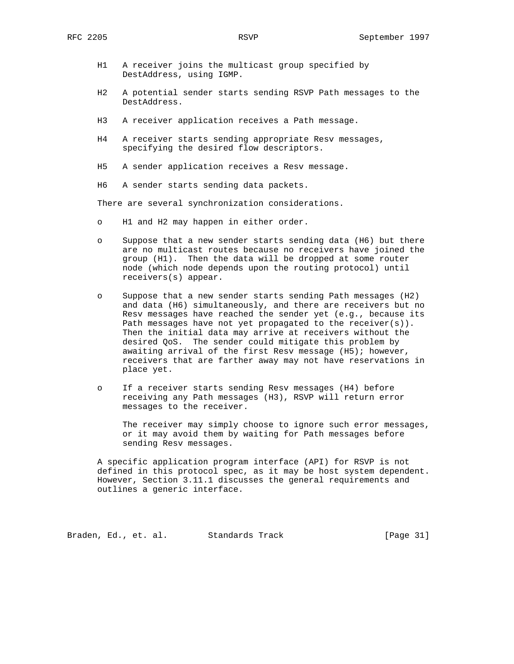- H1 A receiver joins the multicast group specified by DestAddress, using IGMP.
- H2 A potential sender starts sending RSVP Path messages to the DestAddress.
- H3 A receiver application receives a Path message.
- H4 A receiver starts sending appropriate Resv messages, specifying the desired flow descriptors.
- H5 A sender application receives a Resv message.
- H6 A sender starts sending data packets.

There are several synchronization considerations.

- o H1 and H2 may happen in either order.
- o Suppose that a new sender starts sending data (H6) but there are no multicast routes because no receivers have joined the group (H1). Then the data will be dropped at some router node (which node depends upon the routing protocol) until receivers(s) appear.
- o Suppose that a new sender starts sending Path messages (H2) and data (H6) simultaneously, and there are receivers but no Resv messages have reached the sender yet (e.g., because its Path messages have not yet propagated to the receiver(s)). Then the initial data may arrive at receivers without the desired QoS. The sender could mitigate this problem by awaiting arrival of the first Resv message (H5); however, receivers that are farther away may not have reservations in place yet.
- o If a receiver starts sending Resv messages (H4) before receiving any Path messages (H3), RSVP will return error messages to the receiver.

 The receiver may simply choose to ignore such error messages, or it may avoid them by waiting for Path messages before sending Resv messages.

 A specific application program interface (API) for RSVP is not defined in this protocol spec, as it may be host system dependent. However, Section 3.11.1 discusses the general requirements and outlines a generic interface.

Braden, Ed., et. al. Standards Track [Page 31]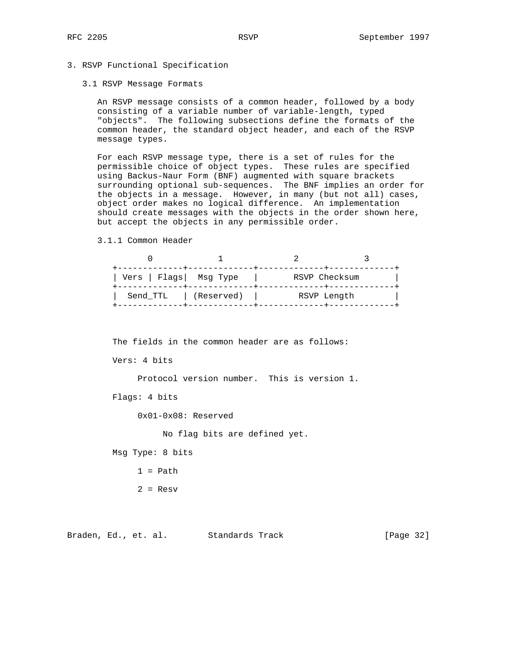# 3. RSVP Functional Specification

#### 3.1 RSVP Message Formats

 An RSVP message consists of a common header, followed by a body consisting of a variable number of variable-length, typed "objects". The following subsections define the formats of the common header, the standard object header, and each of the RSVP message types.

 For each RSVP message type, there is a set of rules for the permissible choice of object types. These rules are specified using Backus-Naur Form (BNF) augmented with square brackets surrounding optional sub-sequences. The BNF implies an order for the objects in a message. However, in many (but not all) cases, object order makes no logical difference. An implementation should create messages with the objects in the order shown here, but accept the objects in any permissible order.

3.1.1 Common Header

| Vers   Flags  Msg Type |            | RSVP Checksum |  |
|------------------------|------------|---------------|--|
| Send TTL               | (Reserved) | RSVP Length   |  |

The fields in the common header are as follows:

Vers: 4 bits

Protocol version number. This is version 1.

Flags: 4 bits

0x01-0x08: Reserved

No flag bits are defined yet.

Msg Type: 8 bits

- $1 = Path$
- $2 =$  Resv

Braden, Ed., et. al. Standards Track [Page 32]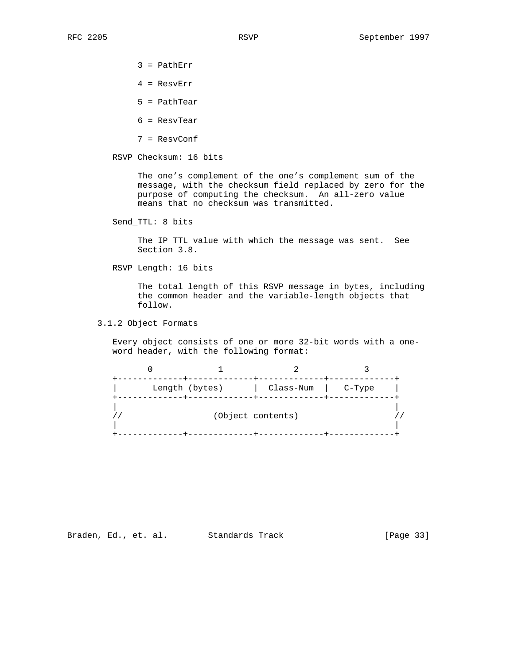- 3 = PathErr
- 4 = ResvErr
- 5 = PathTear
- 6 = ResvTear
- 7 = ResvConf

RSVP Checksum: 16 bits

 The one's complement of the one's complement sum of the message, with the checksum field replaced by zero for the purpose of computing the checksum. An all-zero value means that no checksum was transmitted.

Send\_TTL: 8 bits

 The IP TTL value with which the message was sent. See Section 3.8.

RSVP Length: 16 bits

 The total length of this RSVP message in bytes, including the common header and the variable-length objects that follow.

3.1.2 Object Formats

 Every object consists of one or more 32-bit words with a one word header, with the following format:

|  | Length (bytes) | Class-Num         | C-Type |  |
|--|----------------|-------------------|--------|--|
|  |                | (Object contents) |        |  |

Braden, Ed., et. al. Standards Track [Page 33]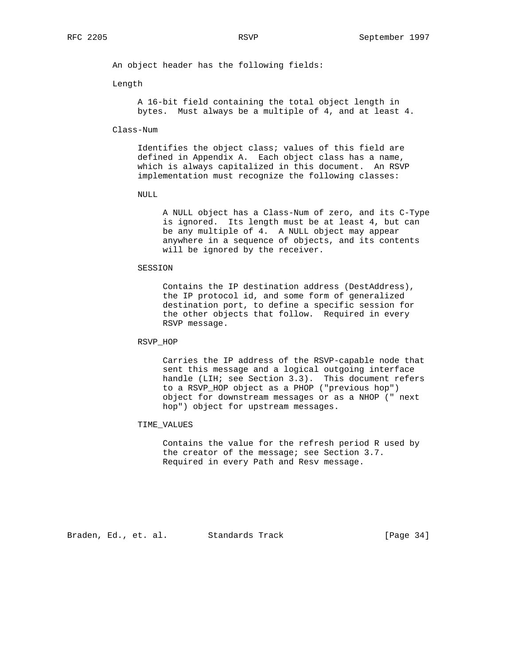An object header has the following fields:

Length

 A 16-bit field containing the total object length in bytes. Must always be a multiple of 4, and at least 4.

Class-Num

 Identifies the object class; values of this field are defined in Appendix A. Each object class has a name, which is always capitalized in this document. An RSVP implementation must recognize the following classes:

NULL

 A NULL object has a Class-Num of zero, and its C-Type is ignored. Its length must be at least 4, but can be any multiple of 4. A NULL object may appear anywhere in a sequence of objects, and its contents will be ignored by the receiver.

SESSION

 Contains the IP destination address (DestAddress), the IP protocol id, and some form of generalized destination port, to define a specific session for the other objects that follow. Required in every RSVP message.

RSVP\_HOP

 Carries the IP address of the RSVP-capable node that sent this message and a logical outgoing interface handle (LIH; see Section 3.3). This document refers to a RSVP\_HOP object as a PHOP ("previous hop") object for downstream messages or as a NHOP (" next hop") object for upstream messages.

TIME\_VALUES

 Contains the value for the refresh period R used by the creator of the message; see Section 3.7. Required in every Path and Resv message.

Braden, Ed., et. al. Standards Track [Page 34]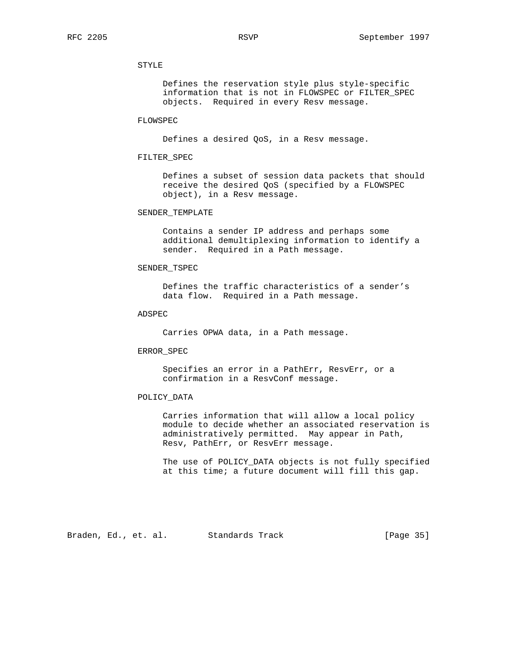# STYLE

 Defines the reservation style plus style-specific information that is not in FLOWSPEC or FILTER\_SPEC objects. Required in every Resv message.

# FLOWSPEC

Defines a desired QoS, in a Resv message.

# FILTER\_SPEC

 Defines a subset of session data packets that should receive the desired QoS (specified by a FLOWSPEC object), in a Resv message.

### SENDER\_TEMPLATE

 Contains a sender IP address and perhaps some additional demultiplexing information to identify a sender. Required in a Path message.

# SENDER\_TSPEC

 Defines the traffic characteristics of a sender's data flow. Required in a Path message.

# ADSPEC

Carries OPWA data, in a Path message.

## ERROR\_SPEC

 Specifies an error in a PathErr, ResvErr, or a confirmation in a ResvConf message.

# POLICY\_DATA

 Carries information that will allow a local policy module to decide whether an associated reservation is administratively permitted. May appear in Path, Resv, PathErr, or ResvErr message.

 The use of POLICY\_DATA objects is not fully specified at this time; a future document will fill this gap.

Braden, Ed., et. al. Standards Track [Page 35]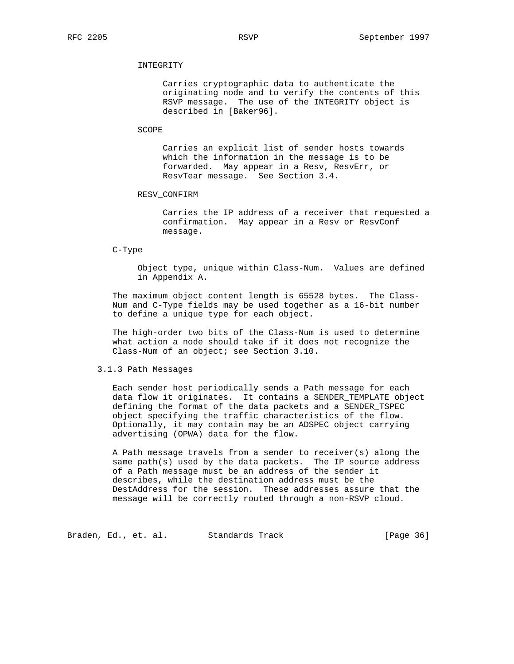## INTEGRITY

 Carries cryptographic data to authenticate the originating node and to verify the contents of this RSVP message. The use of the INTEGRITY object is described in [Baker96].

#### SCOPE

 Carries an explicit list of sender hosts towards which the information in the message is to be forwarded. May appear in a Resv, ResvErr, or ResvTear message. See Section 3.4.

## RESV\_CONFIRM

 Carries the IP address of a receiver that requested a confirmation. May appear in a Resv or ResvConf message.

#### C-Type

 Object type, unique within Class-Num. Values are defined in Appendix A.

 The maximum object content length is 65528 bytes. The Class- Num and C-Type fields may be used together as a 16-bit number to define a unique type for each object.

 The high-order two bits of the Class-Num is used to determine what action a node should take if it does not recognize the Class-Num of an object; see Section 3.10.

#### 3.1.3 Path Messages

 Each sender host periodically sends a Path message for each data flow it originates. It contains a SENDER\_TEMPLATE object defining the format of the data packets and a SENDER\_TSPEC object specifying the traffic characteristics of the flow. Optionally, it may contain may be an ADSPEC object carrying advertising (OPWA) data for the flow.

 A Path message travels from a sender to receiver(s) along the same path(s) used by the data packets. The IP source address of a Path message must be an address of the sender it describes, while the destination address must be the DestAddress for the session. These addresses assure that the message will be correctly routed through a non-RSVP cloud.

Braden, Ed., et. al. Standards Track [Page 36]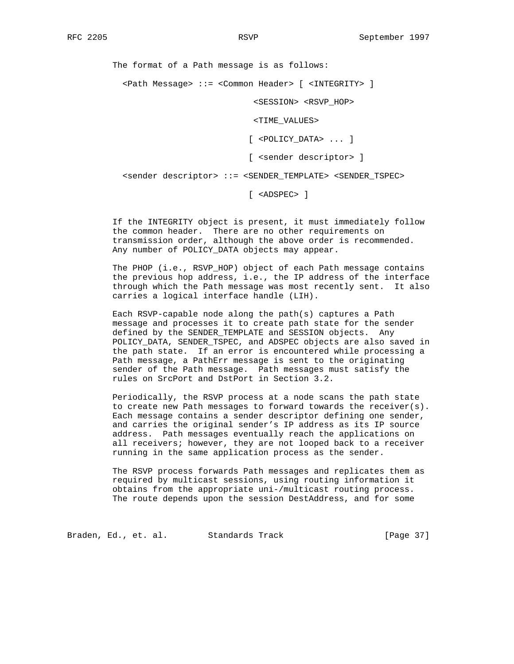The format of a Path message is as follows:

<Path Message> ::= <Common Header> [ <INTEGRITY> ]

<SESSION> <RSVP\_HOP>

<TIME\_VALUES>

[ <POLICY\_DATA> ... ]

[ <sender descriptor> ]

<sender descriptor> ::= <SENDER\_TEMPLATE> <SENDER\_TSPEC>

[ <ADSPEC> ]

 If the INTEGRITY object is present, it must immediately follow the common header. There are no other requirements on transmission order, although the above order is recommended. Any number of POLICY\_DATA objects may appear.

 The PHOP (i.e., RSVP\_HOP) object of each Path message contains the previous hop address, i.e., the IP address of the interface through which the Path message was most recently sent. It also carries a logical interface handle (LIH).

 Each RSVP-capable node along the path(s) captures a Path message and processes it to create path state for the sender defined by the SENDER\_TEMPLATE and SESSION objects. Any POLICY\_DATA, SENDER\_TSPEC, and ADSPEC objects are also saved in the path state. If an error is encountered while processing a Path message, a PathErr message is sent to the originating sender of the Path message. Path messages must satisfy the rules on SrcPort and DstPort in Section 3.2.

 Periodically, the RSVP process at a node scans the path state to create new Path messages to forward towards the receiver(s). Each message contains a sender descriptor defining one sender, and carries the original sender's IP address as its IP source address. Path messages eventually reach the applications on all receivers; however, they are not looped back to a receiver running in the same application process as the sender.

 The RSVP process forwards Path messages and replicates them as required by multicast sessions, using routing information it obtains from the appropriate uni-/multicast routing process. The route depends upon the session DestAddress, and for some

Braden, Ed., et. al. Standards Track (Page 37)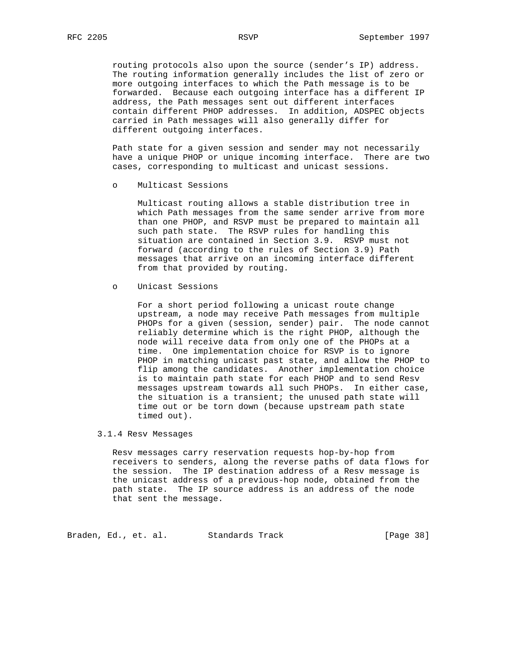routing protocols also upon the source (sender's IP) address. The routing information generally includes the list of zero or more outgoing interfaces to which the Path message is to be forwarded. Because each outgoing interface has a different IP address, the Path messages sent out different interfaces contain different PHOP addresses. In addition, ADSPEC objects carried in Path messages will also generally differ for different outgoing interfaces.

 Path state for a given session and sender may not necessarily have a unique PHOP or unique incoming interface. There are two cases, corresponding to multicast and unicast sessions.

o Multicast Sessions

 Multicast routing allows a stable distribution tree in which Path messages from the same sender arrive from more than one PHOP, and RSVP must be prepared to maintain all such path state. The RSVP rules for handling this situation are contained in Section 3.9. RSVP must not forward (according to the rules of Section 3.9) Path messages that arrive on an incoming interface different from that provided by routing.

o Unicast Sessions

 For a short period following a unicast route change upstream, a node may receive Path messages from multiple PHOPs for a given (session, sender) pair. The node cannot reliably determine which is the right PHOP, although the node will receive data from only one of the PHOPs at a time. One implementation choice for RSVP is to ignore PHOP in matching unicast past state, and allow the PHOP to flip among the candidates. Another implementation choice is to maintain path state for each PHOP and to send Resv messages upstream towards all such PHOPs. In either case, the situation is a transient; the unused path state will time out or be torn down (because upstream path state timed out).

# 3.1.4 Resv Messages

 Resv messages carry reservation requests hop-by-hop from receivers to senders, along the reverse paths of data flows for the session. The IP destination address of a Resv message is the unicast address of a previous-hop node, obtained from the path state. The IP source address is an address of the node that sent the message.

Braden, Ed., et. al. Standards Track [Page 38]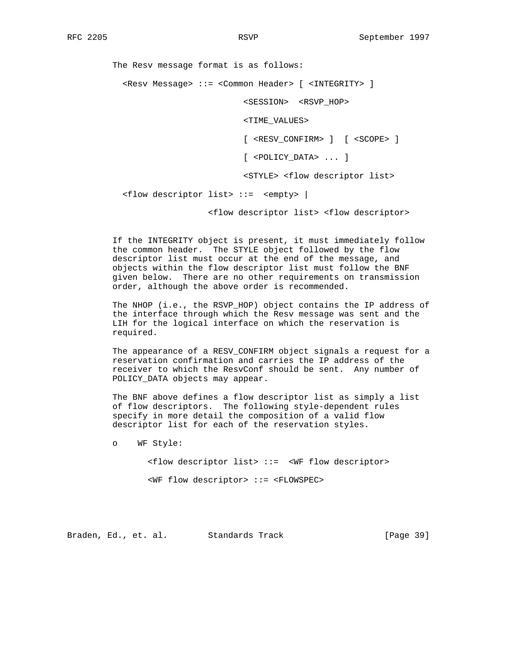The Resv message format is as follows: <Resv Message> ::= <Common Header> [ <INTEGRITY> ]

<SESSION> <RSVP\_HOP>

<TIME\_VALUES>

[ <RESV\_CONFIRM> ] [ <SCOPE> ]

[ <POLICY\_DATA> ... ]

<STYLE> <flow descriptor list>

<flow descriptor list> ::= <empty> |

<flow descriptor list> <flow descriptor>

 If the INTEGRITY object is present, it must immediately follow the common header. The STYLE object followed by the flow descriptor list must occur at the end of the message, and objects within the flow descriptor list must follow the BNF given below. There are no other requirements on transmission order, although the above order is recommended.

 The NHOP (i.e., the RSVP\_HOP) object contains the IP address of the interface through which the Resv message was sent and the LIH for the logical interface on which the reservation is required.

 The appearance of a RESV\_CONFIRM object signals a request for a reservation confirmation and carries the IP address of the receiver to which the ResvConf should be sent. Any number of POLICY\_DATA objects may appear.

 The BNF above defines a flow descriptor list as simply a list of flow descriptors. The following style-dependent rules specify in more detail the composition of a valid flow descriptor list for each of the reservation styles.

o WF Style:

 <flow descriptor list> ::= <WF flow descriptor> <WF flow descriptor> ::= <FLOWSPEC>

Braden, Ed., et. al. Standards Track [Page 39]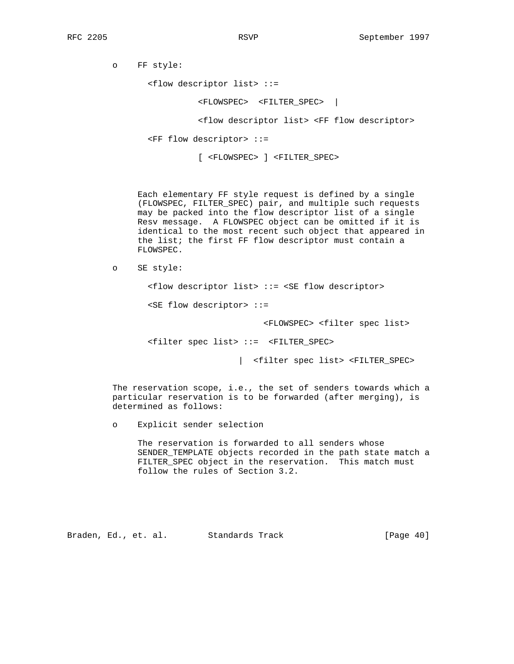o FF style:

<flow descriptor list> ::=

<FLOWSPEC> <FILTER\_SPEC> |

<flow descriptor list> <FF flow descriptor>

<FF flow descriptor> ::=

[ <FLOWSPEC> ] <FILTER\_SPEC>

 Each elementary FF style request is defined by a single (FLOWSPEC, FILTER\_SPEC) pair, and multiple such requests may be packed into the flow descriptor list of a single Resv message. A FLOWSPEC object can be omitted if it is identical to the most recent such object that appeared in the list; the first FF flow descriptor must contain a FLOWSPEC.

```
 o SE style:
```
<flow descriptor list> ::= <SE flow descriptor>

<SE flow descriptor> ::=

<FLOWSPEC> <filter spec list>

<filter spec list> ::= <FILTER\_SPEC>

| <filter spec list> <FILTER\_SPEC>

 The reservation scope, i.e., the set of senders towards which a particular reservation is to be forwarded (after merging), is determined as follows:

o Explicit sender selection

 The reservation is forwarded to all senders whose SENDER\_TEMPLATE objects recorded in the path state match a FILTER\_SPEC object in the reservation. This match must follow the rules of Section 3.2.

Braden, Ed., et. al. Standards Track [Page 40]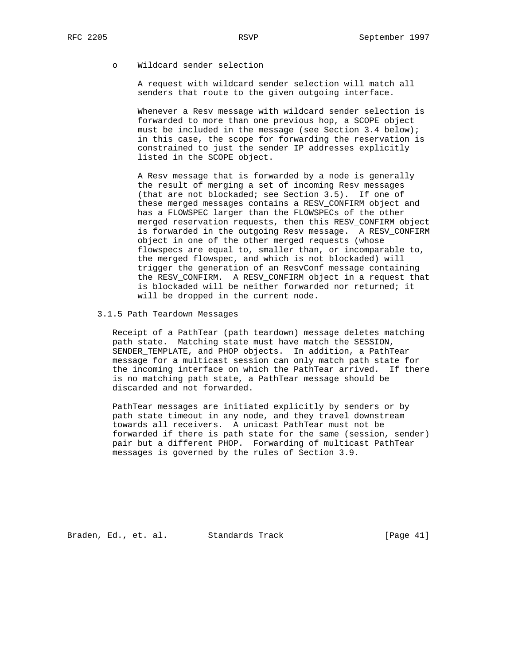o Wildcard sender selection

 A request with wildcard sender selection will match all senders that route to the given outgoing interface.

 Whenever a Resv message with wildcard sender selection is forwarded to more than one previous hop, a SCOPE object must be included in the message (see Section 3.4 below); in this case, the scope for forwarding the reservation is constrained to just the sender IP addresses explicitly listed in the SCOPE object.

 A Resv message that is forwarded by a node is generally the result of merging a set of incoming Resv messages (that are not blockaded; see Section 3.5). If one of these merged messages contains a RESV\_CONFIRM object and has a FLOWSPEC larger than the FLOWSPECs of the other merged reservation requests, then this RESV\_CONFIRM object is forwarded in the outgoing Resv message. A RESV\_CONFIRM object in one of the other merged requests (whose flowspecs are equal to, smaller than, or incomparable to, the merged flowspec, and which is not blockaded) will trigger the generation of an ResvConf message containing the RESV\_CONFIRM. A RESV\_CONFIRM object in a request that is blockaded will be neither forwarded nor returned; it will be dropped in the current node.

### 3.1.5 Path Teardown Messages

 Receipt of a PathTear (path teardown) message deletes matching path state. Matching state must have match the SESSION, SENDER\_TEMPLATE, and PHOP objects. In addition, a PathTear message for a multicast session can only match path state for the incoming interface on which the PathTear arrived. If there is no matching path state, a PathTear message should be discarded and not forwarded.

 PathTear messages are initiated explicitly by senders or by path state timeout in any node, and they travel downstream towards all receivers. A unicast PathTear must not be forwarded if there is path state for the same (session, sender) pair but a different PHOP. Forwarding of multicast PathTear messages is governed by the rules of Section 3.9.

Braden, Ed., et. al. Standards Track (Page 41)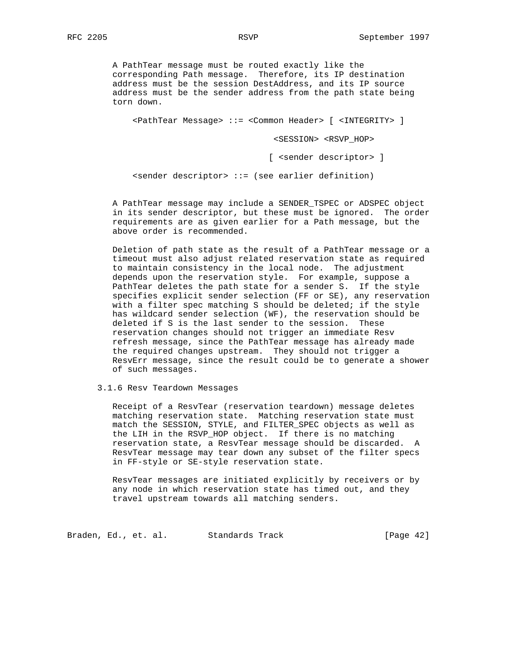A PathTear message must be routed exactly like the corresponding Path message. Therefore, its IP destination address must be the session DestAddress, and its IP source address must be the sender address from the path state being torn down.

<PathTear Message> ::= <Common Header> [ <INTEGRITY> ]

<SESSION> <RSVP\_HOP>

[ <sender descriptor> ]

<sender descriptor> ::= (see earlier definition)

 A PathTear message may include a SENDER\_TSPEC or ADSPEC object in its sender descriptor, but these must be ignored. The order requirements are as given earlier for a Path message, but the above order is recommended.

 Deletion of path state as the result of a PathTear message or a timeout must also adjust related reservation state as required to maintain consistency in the local node. The adjustment depends upon the reservation style. For example, suppose a PathTear deletes the path state for a sender S. If the style specifies explicit sender selection (FF or SE), any reservation with a filter spec matching S should be deleted; if the style has wildcard sender selection (WF), the reservation should be deleted if S is the last sender to the session. These reservation changes should not trigger an immediate Resv refresh message, since the PathTear message has already made the required changes upstream. They should not trigger a ResvErr message, since the result could be to generate a shower of such messages.

3.1.6 Resv Teardown Messages

 Receipt of a ResvTear (reservation teardown) message deletes matching reservation state. Matching reservation state must match the SESSION, STYLE, and FILTER\_SPEC objects as well as the LIH in the RSVP\_HOP object. If there is no matching reservation state, a ResvTear message should be discarded. A ResvTear message may tear down any subset of the filter specs in FF-style or SE-style reservation state.

 ResvTear messages are initiated explicitly by receivers or by any node in which reservation state has timed out, and they travel upstream towards all matching senders.

Braden, Ed., et. al. Standards Track [Page 42]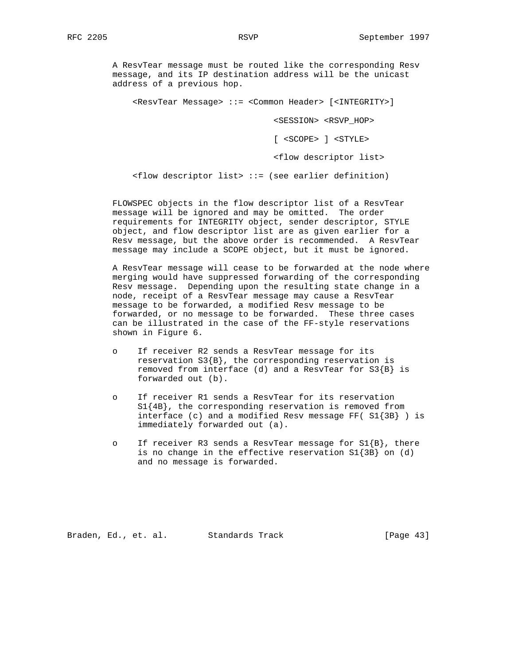A ResvTear message must be routed like the corresponding Resv message, and its IP destination address will be the unicast address of a previous hop.

<ResvTear Message> ::= <Common Header> [<INTEGRITY>]

<SESSION> <RSVP\_HOP>

[ <SCOPE> ] <STYLE>

<flow descriptor list>

 $f$ low descriptor list> ::= (see earlier definition)

 FLOWSPEC objects in the flow descriptor list of a ResvTear message will be ignored and may be omitted. The order requirements for INTEGRITY object, sender descriptor, STYLE object, and flow descriptor list are as given earlier for a Resv message, but the above order is recommended. A ResvTear message may include a SCOPE object, but it must be ignored.

 A ResvTear message will cease to be forwarded at the node where merging would have suppressed forwarding of the corresponding Resv message. Depending upon the resulting state change in a node, receipt of a ResvTear message may cause a ResvTear message to be forwarded, a modified Resv message to be forwarded, or no message to be forwarded. These three cases can be illustrated in the case of the FF-style reservations shown in Figure 6.

- o If receiver R2 sends a ResvTear message for its reservation  $S3{B}$ , the corresponding reservation is removed from interface (d) and a ResvTear for  $S3{B}$  is forwarded out (b).
- o If receiver R1 sends a ResvTear for its reservation S1{4B}, the corresponding reservation is removed from interface (c) and a modified Resv message FF(  $SI$ {3B} ) is immediately forwarded out (a).
- o If receiver R3 sends a ResvTear message for  $SI{B}$ , there is no change in the effective reservation S1{3B} on (d) and no message is forwarded.

Braden, Ed., et. al. Standards Track [Page 43]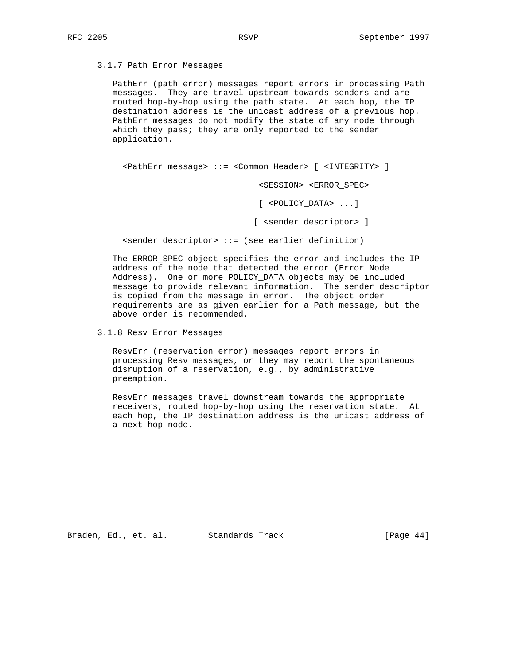3.1.7 Path Error Messages

 PathErr (path error) messages report errors in processing Path messages. They are travel upstream towards senders and are routed hop-by-hop using the path state. At each hop, the IP destination address is the unicast address of a previous hop. PathErr messages do not modify the state of any node through which they pass; they are only reported to the sender application.

<PathErr message> ::= <Common Header> [ <INTEGRITY> ]

<SESSION> <ERROR\_SPEC>

[ <POLICY\_DATA> ...]

[ <sender descriptor> ]

<sender descriptor> ::= (see earlier definition)

 The ERROR\_SPEC object specifies the error and includes the IP address of the node that detected the error (Error Node Address). One or more POLICY\_DATA objects may be included message to provide relevant information. The sender descriptor is copied from the message in error. The object order requirements are as given earlier for a Path message, but the above order is recommended.

3.1.8 Resv Error Messages

 ResvErr (reservation error) messages report errors in processing Resv messages, or they may report the spontaneous disruption of a reservation, e.g., by administrative preemption.

 ResvErr messages travel downstream towards the appropriate receivers, routed hop-by-hop using the reservation state. At each hop, the IP destination address is the unicast address of a next-hop node.

Braden, Ed., et. al. Standards Track [Page 44]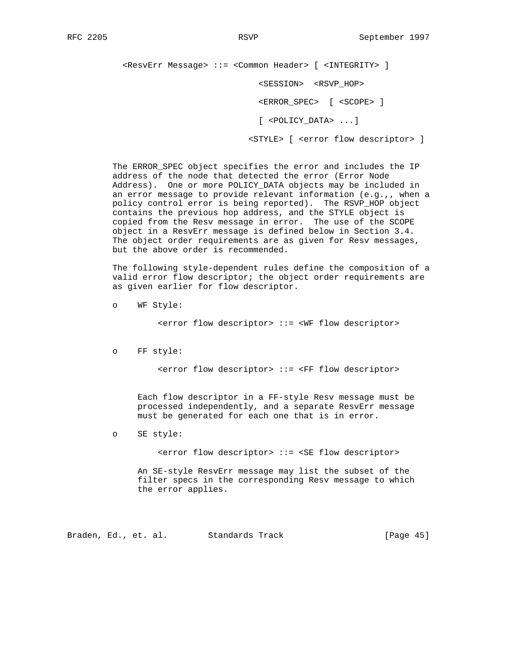<ResvErr Message> ::= <Common Header> [ <INTEGRITY> ] <SESSION> <RSVP\_HOP> <ERROR\_SPEC> [ <SCOPE> ]

[ <POLICY\_DATA> ...]

<STYLE> [ <error flow descriptor> ]

 The ERROR\_SPEC object specifies the error and includes the IP address of the node that detected the error (Error Node Address). One or more POLICY\_DATA objects may be included in an error message to provide relevant information (e.g.,, when a policy control error is being reported). The RSVP\_HOP object contains the previous hop address, and the STYLE object is copied from the Resv message in error. The use of the SCOPE object in a ResvErr message is defined below in Section 3.4. The object order requirements are as given for Resv messages, but the above order is recommended.

 The following style-dependent rules define the composition of a valid error flow descriptor; the object order requirements are as given earlier for flow descriptor.

o WF Style:

<error flow descriptor> ::= <WF flow descriptor>

o FF style:

<error flow descriptor> ::= <FF flow descriptor>

 Each flow descriptor in a FF-style Resv message must be processed independently, and a separate ResvErr message must be generated for each one that is in error.

o SE style:

<error flow descriptor> ::= <SE flow descriptor>

 An SE-style ResvErr message may list the subset of the filter specs in the corresponding Resv message to which the error applies.

Braden, Ed., et. al. Standards Track [Page 45]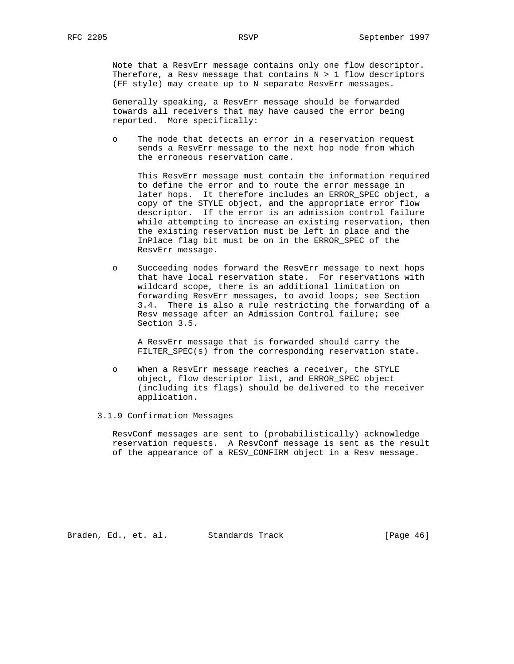Note that a ResvErr message contains only one flow descriptor. Therefore, a Resv message that contains  $N > 1$  flow descriptors (FF style) may create up to N separate ResvErr messages.

 Generally speaking, a ResvErr message should be forwarded towards all receivers that may have caused the error being reported. More specifically:

 o The node that detects an error in a reservation request sends a ResvErr message to the next hop node from which the erroneous reservation came.

 This ResvErr message must contain the information required to define the error and to route the error message in later hops. It therefore includes an ERROR\_SPEC object, a copy of the STYLE object, and the appropriate error flow descriptor. If the error is an admission control failure while attempting to increase an existing reservation, then the existing reservation must be left in place and the InPlace flag bit must be on in the ERROR\_SPEC of the ResvErr message.

 o Succeeding nodes forward the ResvErr message to next hops that have local reservation state. For reservations with wildcard scope, there is an additional limitation on forwarding ResvErr messages, to avoid loops; see Section 3.4. There is also a rule restricting the forwarding of a Resv message after an Admission Control failure; see Section 3.5.

 A ResvErr message that is forwarded should carry the FILTER\_SPEC(s) from the corresponding reservation state.

- o When a ResvErr message reaches a receiver, the STYLE object, flow descriptor list, and ERROR\_SPEC object (including its flags) should be delivered to the receiver application.
- 3.1.9 Confirmation Messages

 ResvConf messages are sent to (probabilistically) acknowledge reservation requests. A ResvConf message is sent as the result of the appearance of a RESV\_CONFIRM object in a Resv message.

Braden, Ed., et. al. Standards Track [Page 46]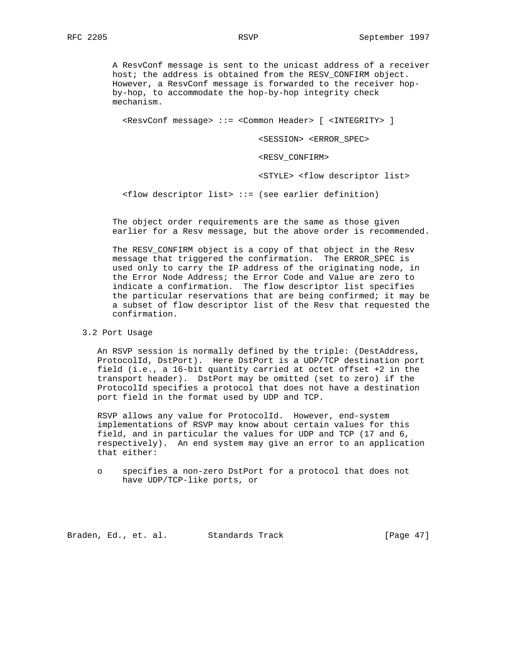A ResvConf message is sent to the unicast address of a receiver host; the address is obtained from the RESV\_CONFIRM object. However, a ResvConf message is forwarded to the receiver hop by-hop, to accommodate the hop-by-hop integrity check mechanism.

<ResvConf message> ::= <Common Header> [ <INTEGRITY> ]

<SESSION> <ERROR\_SPEC>

<RESV\_CONFIRM>

<STYLE> <flow descriptor list>

 $\langle$  flow descriptor list> ::= (see earlier definition)

 The object order requirements are the same as those given earlier for a Resv message, but the above order is recommended.

 The RESV\_CONFIRM object is a copy of that object in the Resv message that triggered the confirmation. The ERROR\_SPEC is used only to carry the IP address of the originating node, in the Error Node Address; the Error Code and Value are zero to indicate a confirmation. The flow descriptor list specifies the particular reservations that are being confirmed; it may be a subset of flow descriptor list of the Resv that requested the confirmation.

### 3.2 Port Usage

 An RSVP session is normally defined by the triple: (DestAddress, ProtocolId, DstPort). Here DstPort is a UDP/TCP destination port field (i.e., a 16-bit quantity carried at octet offset +2 in the transport header). DstPort may be omitted (set to zero) if the ProtocolId specifies a protocol that does not have a destination port field in the format used by UDP and TCP.

 RSVP allows any value for ProtocolId. However, end-system implementations of RSVP may know about certain values for this field, and in particular the values for UDP and TCP (17 and 6, respectively). An end system may give an error to an application that either:

Braden, Ed., et. al. Standards Track [Page 47]

o specifies a non-zero DstPort for a protocol that does not have UDP/TCP-like ports, or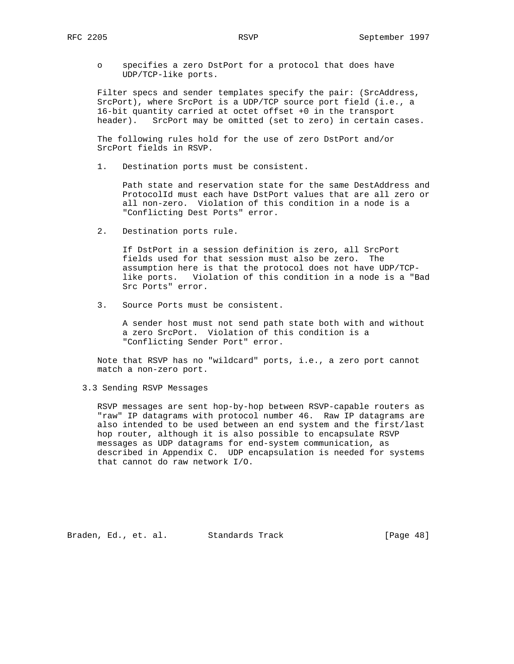o specifies a zero DstPort for a protocol that does have UDP/TCP-like ports.

 Filter specs and sender templates specify the pair: (SrcAddress, SrcPort), where SrcPort is a UDP/TCP source port field (i.e., a 16-bit quantity carried at octet offset +0 in the transport header). SrcPort may be omitted (set to zero) in certain cases.

 The following rules hold for the use of zero DstPort and/or SrcPort fields in RSVP.

1. Destination ports must be consistent.

 Path state and reservation state for the same DestAddress and ProtocolId must each have DstPort values that are all zero or all non-zero. Violation of this condition in a node is a "Conflicting Dest Ports" error.

2. Destination ports rule.

 If DstPort in a session definition is zero, all SrcPort fields used for that session must also be zero. The assumption here is that the protocol does not have UDP/TCP like ports. Violation of this condition in a node is a "Bad Src Ports" error.

3. Source Ports must be consistent.

 A sender host must not send path state both with and without a zero SrcPort. Violation of this condition is a "Conflicting Sender Port" error.

 Note that RSVP has no "wildcard" ports, i.e., a zero port cannot match a non-zero port.

3.3 Sending RSVP Messages

 RSVP messages are sent hop-by-hop between RSVP-capable routers as "raw" IP datagrams with protocol number 46. Raw IP datagrams are also intended to be used between an end system and the first/last hop router, although it is also possible to encapsulate RSVP messages as UDP datagrams for end-system communication, as described in Appendix C. UDP encapsulation is needed for systems that cannot do raw network I/O.

Braden, Ed., et. al. Standards Track [Page 48]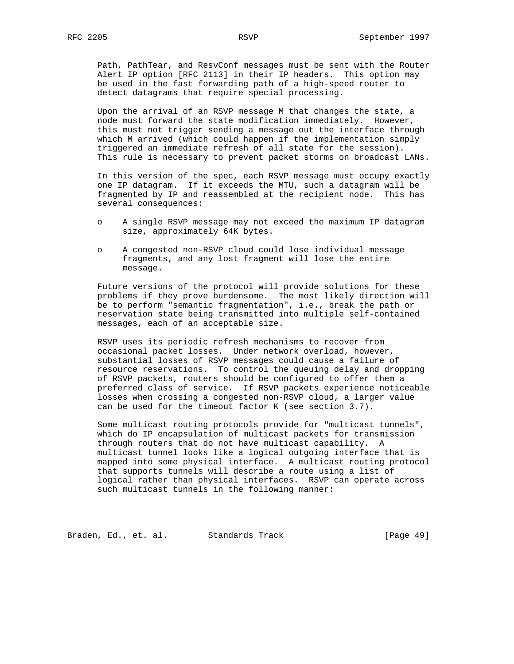Path, PathTear, and ResvConf messages must be sent with the Router Alert IP option [RFC 2113] in their IP headers. This option may be used in the fast forwarding path of a high-speed router to detect datagrams that require special processing.

 Upon the arrival of an RSVP message M that changes the state, a node must forward the state modification immediately. However, this must not trigger sending a message out the interface through which M arrived (which could happen if the implementation simply triggered an immediate refresh of all state for the session). This rule is necessary to prevent packet storms on broadcast LANs.

 In this version of the spec, each RSVP message must occupy exactly one IP datagram. If it exceeds the MTU, such a datagram will be fragmented by IP and reassembled at the recipient node. This has several consequences:

- o A single RSVP message may not exceed the maximum IP datagram size, approximately 64K bytes.
- o A congested non-RSVP cloud could lose individual message fragments, and any lost fragment will lose the entire message.

 Future versions of the protocol will provide solutions for these problems if they prove burdensome. The most likely direction will be to perform "semantic fragmentation", i.e., break the path or reservation state being transmitted into multiple self-contained messages, each of an acceptable size.

 RSVP uses its periodic refresh mechanisms to recover from occasional packet losses. Under network overload, however, substantial losses of RSVP messages could cause a failure of resource reservations. To control the queuing delay and dropping of RSVP packets, routers should be configured to offer them a preferred class of service. If RSVP packets experience noticeable losses when crossing a congested non-RSVP cloud, a larger value can be used for the timeout factor K (see section 3.7).

 Some multicast routing protocols provide for "multicast tunnels", which do IP encapsulation of multicast packets for transmission through routers that do not have multicast capability. A multicast tunnel looks like a logical outgoing interface that is mapped into some physical interface. A multicast routing protocol that supports tunnels will describe a route using a list of logical rather than physical interfaces. RSVP can operate across such multicast tunnels in the following manner:

Braden, Ed., et. al. Standards Track [Page 49]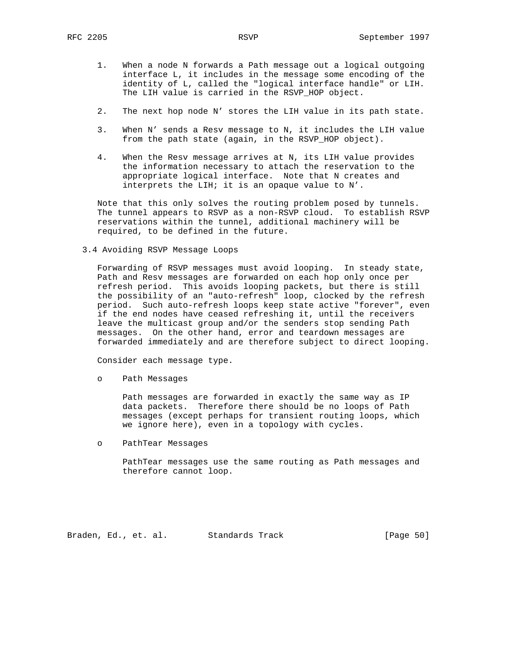- 1. When a node N forwards a Path message out a logical outgoing interface L, it includes in the message some encoding of the identity of L, called the "logical interface handle" or LIH. The LIH value is carried in the RSVP HOP object.
- 2. The next hop node N' stores the LIH value in its path state.
- 3. When N' sends a Resv message to N, it includes the LIH value from the path state (again, in the RSVP\_HOP object).
- 4. When the Resv message arrives at N, its LIH value provides the information necessary to attach the reservation to the appropriate logical interface. Note that N creates and interprets the LIH; it is an opaque value to N'.

 Note that this only solves the routing problem posed by tunnels. The tunnel appears to RSVP as a non-RSVP cloud. To establish RSVP reservations within the tunnel, additional machinery will be required, to be defined in the future.

3.4 Avoiding RSVP Message Loops

 Forwarding of RSVP messages must avoid looping. In steady state, Path and Resv messages are forwarded on each hop only once per refresh period. This avoids looping packets, but there is still the possibility of an "auto-refresh" loop, clocked by the refresh period. Such auto-refresh loops keep state active "forever", even if the end nodes have ceased refreshing it, until the receivers leave the multicast group and/or the senders stop sending Path messages. On the other hand, error and teardown messages are forwarded immediately and are therefore subject to direct looping.

Consider each message type.

o Path Messages

 Path messages are forwarded in exactly the same way as IP data packets. Therefore there should be no loops of Path messages (except perhaps for transient routing loops, which we ignore here), even in a topology with cycles.

o PathTear Messages

 PathTear messages use the same routing as Path messages and therefore cannot loop.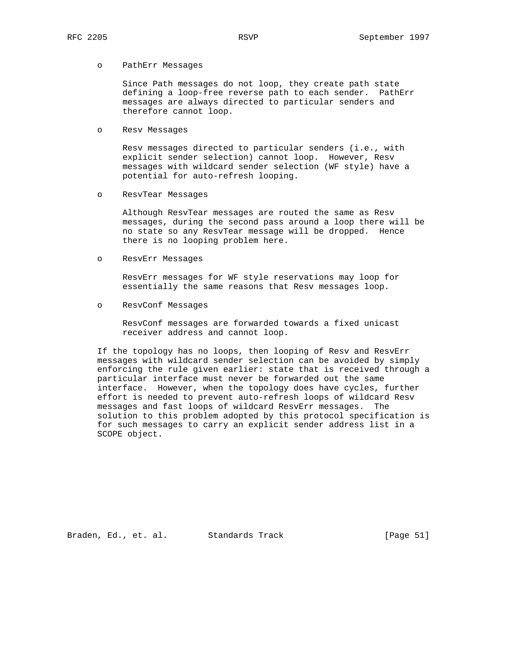#### o PathErr Messages

 Since Path messages do not loop, they create path state defining a loop-free reverse path to each sender. PathErr messages are always directed to particular senders and therefore cannot loop.

o Resv Messages

 Resv messages directed to particular senders (i.e., with explicit sender selection) cannot loop. However, Resv messages with wildcard sender selection (WF style) have a potential for auto-refresh looping.

o ResvTear Messages

 Although ResvTear messages are routed the same as Resv messages, during the second pass around a loop there will be no state so any ResvTear message will be dropped. Hence there is no looping problem here.

o ResvErr Messages

 ResvErr messages for WF style reservations may loop for essentially the same reasons that Resv messages loop.

o ResvConf Messages

 ResvConf messages are forwarded towards a fixed unicast receiver address and cannot loop.

 If the topology has no loops, then looping of Resv and ResvErr messages with wildcard sender selection can be avoided by simply enforcing the rule given earlier: state that is received through a particular interface must never be forwarded out the same interface. However, when the topology does have cycles, further effort is needed to prevent auto-refresh loops of wildcard Resv messages and fast loops of wildcard ResvErr messages. The solution to this problem adopted by this protocol specification is for such messages to carry an explicit sender address list in a SCOPE object.

Braden, Ed., et. al. Standards Track [Page 51]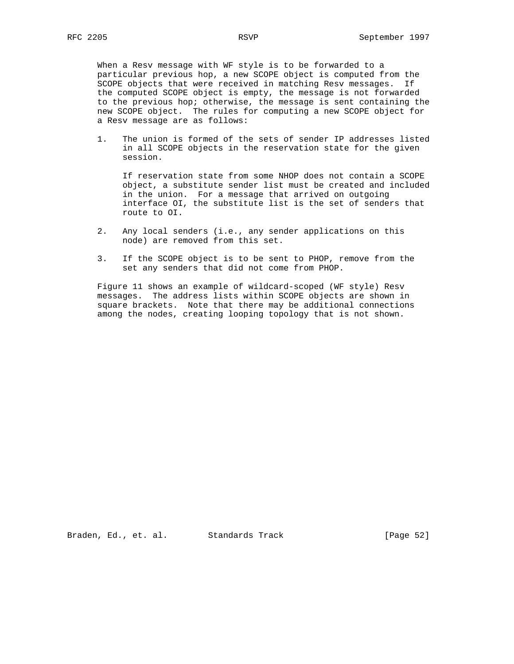When a Resv message with WF style is to be forwarded to a particular previous hop, a new SCOPE object is computed from the SCOPE objects that were received in matching Resv messages. If the computed SCOPE object is empty, the message is not forwarded to the previous hop; otherwise, the message is sent containing the new SCOPE object. The rules for computing a new SCOPE object for a Resv message are as follows:

 1. The union is formed of the sets of sender IP addresses listed in all SCOPE objects in the reservation state for the given session.

 If reservation state from some NHOP does not contain a SCOPE object, a substitute sender list must be created and included in the union. For a message that arrived on outgoing interface OI, the substitute list is the set of senders that route to OI.

- 2. Any local senders (i.e., any sender applications on this node) are removed from this set.
- 3. If the SCOPE object is to be sent to PHOP, remove from the set any senders that did not come from PHOP.

 Figure 11 shows an example of wildcard-scoped (WF style) Resv messages. The address lists within SCOPE objects are shown in square brackets. Note that there may be additional connections among the nodes, creating looping topology that is not shown.

Braden, Ed., et. al. Standards Track [Page 52]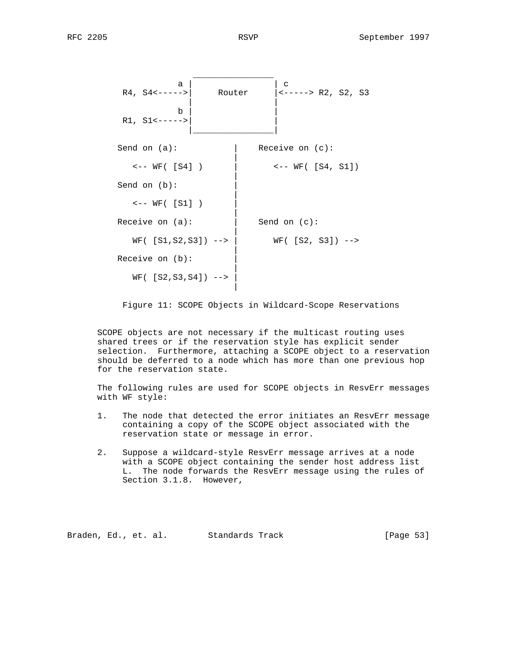

Figure 11: SCOPE Objects in Wildcard-Scope Reservations

 SCOPE objects are not necessary if the multicast routing uses shared trees or if the reservation style has explicit sender selection. Furthermore, attaching a SCOPE object to a reservation should be deferred to a node which has more than one previous hop for the reservation state.

 The following rules are used for SCOPE objects in ResvErr messages with WF style:

- 1. The node that detected the error initiates an ResvErr message containing a copy of the SCOPE object associated with the reservation state or message in error.
- 2. Suppose a wildcard-style ResvErr message arrives at a node with a SCOPE object containing the sender host address list L. The node forwards the ResvErr message using the rules of Section 3.1.8. However,

Braden, Ed., et. al. Standards Track [Page 53]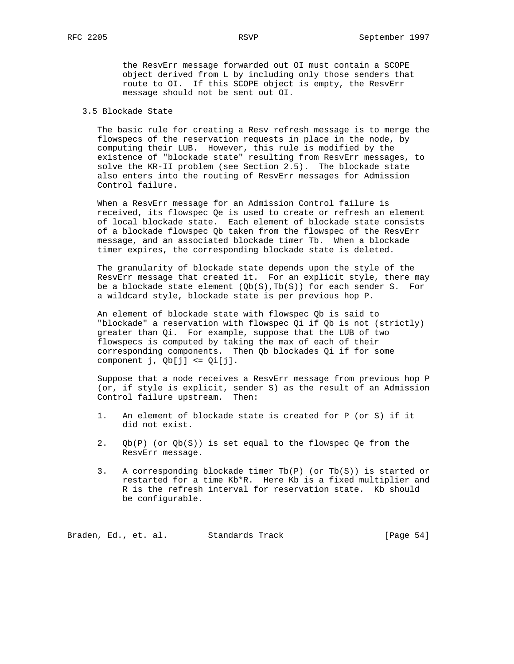the ResvErr message forwarded out OI must contain a SCOPE object derived from L by including only those senders that route to OI. If this SCOPE object is empty, the ResvErr message should not be sent out OI.

# 3.5 Blockade State

 The basic rule for creating a Resv refresh message is to merge the flowspecs of the reservation requests in place in the node, by computing their LUB. However, this rule is modified by the existence of "blockade state" resulting from ResvErr messages, to solve the KR-II problem (see Section 2.5). The blockade state also enters into the routing of ResvErr messages for Admission Control failure.

 When a ResvErr message for an Admission Control failure is received, its flowspec Qe is used to create or refresh an element of local blockade state. Each element of blockade state consists of a blockade flowspec Qb taken from the flowspec of the ResvErr message, and an associated blockade timer Tb. When a blockade timer expires, the corresponding blockade state is deleted.

 The granularity of blockade state depends upon the style of the ResvErr message that created it. For an explicit style, there may be a blockade state element  $(Qb(S), Tb(S))$  for each sender S. For a wildcard style, blockade state is per previous hop P.

 An element of blockade state with flowspec Qb is said to "blockade" a reservation with flowspec Qi if Qb is not (strictly) greater than Qi. For example, suppose that the LUB of two flowspecs is computed by taking the max of each of their corresponding components. Then Qb blockades Qi if for some component j, Qb[j] <= Qi[j].

 Suppose that a node receives a ResvErr message from previous hop P (or, if style is explicit, sender S) as the result of an Admission Control failure upstream. Then:

- 1. An element of blockade state is created for P (or S) if it did not exist.
- 2. Qb(P) (or Qb(S)) is set equal to the flowspec Qe from the ResvErr message.
- 3. A corresponding blockade timer Tb(P) (or Tb(S)) is started or restarted for a time Kb\*R. Here Kb is a fixed multiplier and R is the refresh interval for reservation state. Kb should be configurable.

Braden, Ed., et. al. Standards Track [Page 54]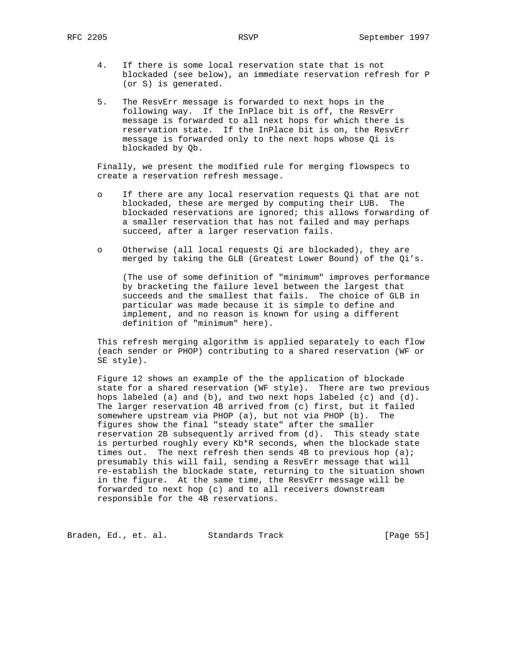- 4. If there is some local reservation state that is not blockaded (see below), an immediate reservation refresh for P (or S) is generated.
- 5. The ResvErr message is forwarded to next hops in the following way. If the InPlace bit is off, the ResvErr message is forwarded to all next hops for which there is reservation state. If the InPlace bit is on, the ResvErr message is forwarded only to the next hops whose Qi is blockaded by Qb.

 Finally, we present the modified rule for merging flowspecs to create a reservation refresh message.

- o If there are any local reservation requests Qi that are not blockaded, these are merged by computing their LUB. The blockaded reservations are ignored; this allows forwarding of a smaller reservation that has not failed and may perhaps succeed, after a larger reservation fails.
- o Otherwise (all local requests Qi are blockaded), they are merged by taking the GLB (Greatest Lower Bound) of the Qi's.

 (The use of some definition of "minimum" improves performance by bracketing the failure level between the largest that succeeds and the smallest that fails. The choice of GLB in particular was made because it is simple to define and implement, and no reason is known for using a different definition of "minimum" here).

 This refresh merging algorithm is applied separately to each flow (each sender or PHOP) contributing to a shared reservation (WF or SE style).

 Figure 12 shows an example of the the application of blockade state for a shared reservation (WF style). There are two previous hops labeled (a) and (b), and two next hops labeled (c) and (d). The larger reservation 4B arrived from (c) first, but it failed somewhere upstream via PHOP (a), but not via PHOP (b). The figures show the final "steady state" after the smaller reservation 2B subsequently arrived from (d). This steady state is perturbed roughly every Kb\*R seconds, when the blockade state times out. The next refresh then sends 4B to previous hop (a); presumably this will fail, sending a ResvErr message that will re-establish the blockade state, returning to the situation shown in the figure. At the same time, the ResvErr message will be forwarded to next hop (c) and to all receivers downstream responsible for the 4B reservations.

Braden, Ed., et. al. Standards Track [Page 55]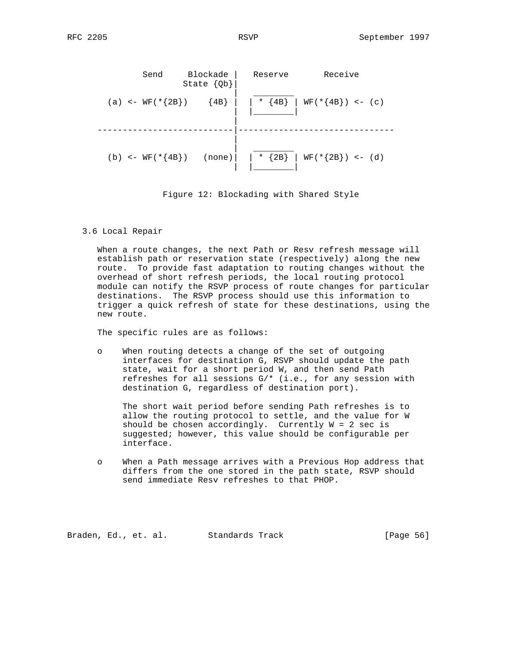Send Blockade | Reserve Receive State {Qb}| | \_\_\_\_\_\_\_\_ (a) <- WF(\*{2B}) {4B} | \* {4B} | WF(\*{4B}) <- (c) | |\_\_\_\_\_\_\_\_| | ---------------------------|------------------------------- | | \_\_\_\_\_\_\_\_ (b) <-  $WF(*{4B})$  (none) | \* {2B} |  $WF(*{2B})$  <- (d) | |\_\_\_\_\_\_\_\_|

Figure 12: Blockading with Shared Style

3.6 Local Repair

 When a route changes, the next Path or Resv refresh message will establish path or reservation state (respectively) along the new route. To provide fast adaptation to routing changes without the overhead of short refresh periods, the local routing protocol module can notify the RSVP process of route changes for particular destinations. The RSVP process should use this information to trigger a quick refresh of state for these destinations, using the new route.

The specific rules are as follows:

 o When routing detects a change of the set of outgoing interfaces for destination G, RSVP should update the path state, wait for a short period W, and then send Path refreshes for all sessions G/\* (i.e., for any session with destination G, regardless of destination port).

 The short wait period before sending Path refreshes is to allow the routing protocol to settle, and the value for W should be chosen accordingly. Currently  $W = 2$  sec is suggested; however, this value should be configurable per interface.

 o When a Path message arrives with a Previous Hop address that differs from the one stored in the path state, RSVP should send immediate Resv refreshes to that PHOP.

Braden, Ed., et. al. Standards Track [Page 56]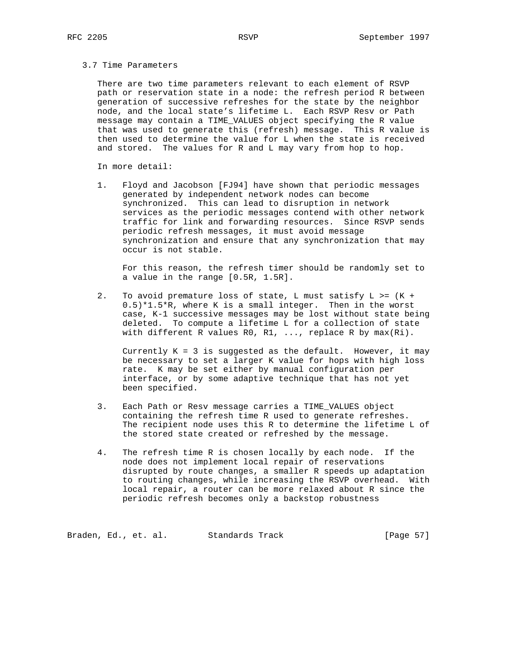#### 3.7 Time Parameters

 There are two time parameters relevant to each element of RSVP path or reservation state in a node: the refresh period R between generation of successive refreshes for the state by the neighbor node, and the local state's lifetime L. Each RSVP Resv or Path message may contain a TIME\_VALUES object specifying the R value that was used to generate this (refresh) message. This R value is then used to determine the value for L when the state is received and stored. The values for R and L may vary from hop to hop.

In more detail:

 1. Floyd and Jacobson [FJ94] have shown that periodic messages generated by independent network nodes can become synchronized. This can lead to disruption in network services as the periodic messages contend with other network traffic for link and forwarding resources. Since RSVP sends periodic refresh messages, it must avoid message synchronization and ensure that any synchronization that may occur is not stable.

 For this reason, the refresh timer should be randomly set to a value in the range [0.5R, 1.5R].

 2. To avoid premature loss of state, L must satisfy L >= (K + 0.5)\*1.5\*R, where K is a small integer. Then in the worst case, K-1 successive messages may be lost without state being deleted. To compute a lifetime L for a collection of state with different R values R0, R1, ..., replace R by max(Ri).

Currently  $K = 3$  is suggested as the default. However, it may be necessary to set a larger K value for hops with high loss rate. K may be set either by manual configuration per interface, or by some adaptive technique that has not yet been specified.

- 3. Each Path or Resv message carries a TIME\_VALUES object containing the refresh time R used to generate refreshes. The recipient node uses this R to determine the lifetime L of the stored state created or refreshed by the message.
- 4. The refresh time R is chosen locally by each node. If the node does not implement local repair of reservations disrupted by route changes, a smaller R speeds up adaptation to routing changes, while increasing the RSVP overhead. With local repair, a router can be more relaxed about R since the periodic refresh becomes only a backstop robustness

Braden, Ed., et. al. Standards Track (Page 57)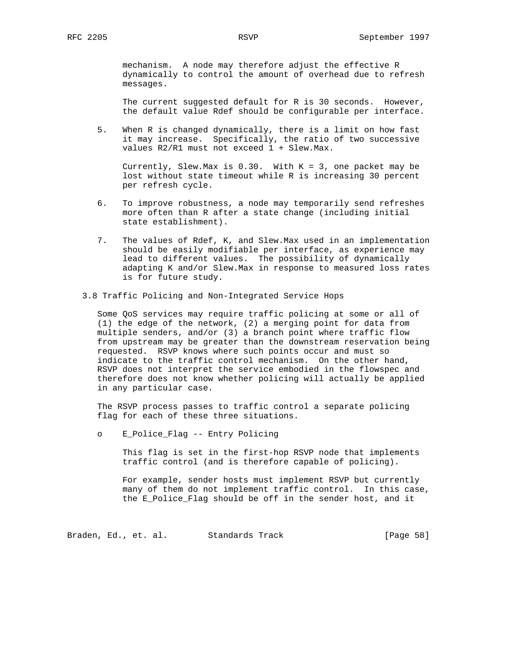mechanism. A node may therefore adjust the effective R dynamically to control the amount of overhead due to refresh messages.

 The current suggested default for R is 30 seconds. However, the default value Rdef should be configurable per interface.

 5. When R is changed dynamically, there is a limit on how fast it may increase. Specifically, the ratio of two successive values R2/R1 must not exceed 1 + Slew.Max.

Currently, Slew.Max is  $0.30$ . With  $K = 3$ , one packet may be lost without state timeout while R is increasing 30 percent per refresh cycle.

- 6. To improve robustness, a node may temporarily send refreshes more often than R after a state change (including initial state establishment).
- 7. The values of Rdef, K, and Slew.Max used in an implementation should be easily modifiable per interface, as experience may lead to different values. The possibility of dynamically adapting K and/or Slew.Max in response to measured loss rates is for future study.
- 3.8 Traffic Policing and Non-Integrated Service Hops

 Some QoS services may require traffic policing at some or all of (1) the edge of the network, (2) a merging point for data from multiple senders, and/or (3) a branch point where traffic flow from upstream may be greater than the downstream reservation being requested. RSVP knows where such points occur and must so indicate to the traffic control mechanism. On the other hand, RSVP does not interpret the service embodied in the flowspec and therefore does not know whether policing will actually be applied in any particular case.

 The RSVP process passes to traffic control a separate policing flag for each of these three situations.

o E\_Police\_Flag -- Entry Policing

 This flag is set in the first-hop RSVP node that implements traffic control (and is therefore capable of policing).

 For example, sender hosts must implement RSVP but currently many of them do not implement traffic control. In this case, the E\_Police\_Flag should be off in the sender host, and it

Braden, Ed., et. al. Standards Track (Page 58)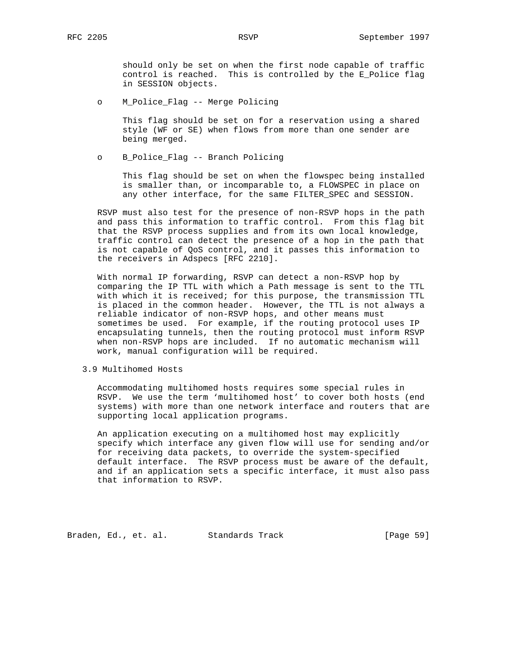should only be set on when the first node capable of traffic control is reached. This is controlled by the E\_Police flag in SESSION objects.

o M\_Police\_Flag -- Merge Policing

 This flag should be set on for a reservation using a shared style (WF or SE) when flows from more than one sender are being merged.

o B\_Police\_Flag -- Branch Policing

 This flag should be set on when the flowspec being installed is smaller than, or incomparable to, a FLOWSPEC in place on any other interface, for the same FILTER\_SPEC and SESSION.

 RSVP must also test for the presence of non-RSVP hops in the path and pass this information to traffic control. From this flag bit that the RSVP process supplies and from its own local knowledge, traffic control can detect the presence of a hop in the path that is not capable of QoS control, and it passes this information to the receivers in Adspecs [RFC 2210].

 With normal IP forwarding, RSVP can detect a non-RSVP hop by comparing the IP TTL with which a Path message is sent to the TTL with which it is received; for this purpose, the transmission TTL is placed in the common header. However, the TTL is not always a reliable indicator of non-RSVP hops, and other means must sometimes be used. For example, if the routing protocol uses IP encapsulating tunnels, then the routing protocol must inform RSVP when non-RSVP hops are included. If no automatic mechanism will work, manual configuration will be required.

3.9 Multihomed Hosts

 Accommodating multihomed hosts requires some special rules in RSVP. We use the term 'multihomed host' to cover both hosts (end systems) with more than one network interface and routers that are supporting local application programs.

 An application executing on a multihomed host may explicitly specify which interface any given flow will use for sending and/or for receiving data packets, to override the system-specified default interface. The RSVP process must be aware of the default, and if an application sets a specific interface, it must also pass that information to RSVP.

Braden, Ed., et. al. Standards Track [Page 59]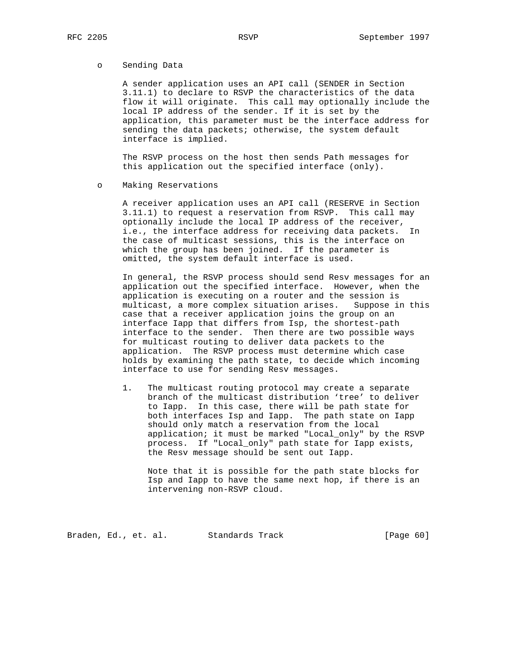## o Sending Data

 A sender application uses an API call (SENDER in Section 3.11.1) to declare to RSVP the characteristics of the data flow it will originate. This call may optionally include the local IP address of the sender. If it is set by the application, this parameter must be the interface address for sending the data packets; otherwise, the system default interface is implied.

 The RSVP process on the host then sends Path messages for this application out the specified interface (only).

#### o Making Reservations

 A receiver application uses an API call (RESERVE in Section 3.11.1) to request a reservation from RSVP. This call may optionally include the local IP address of the receiver, i.e., the interface address for receiving data packets. In the case of multicast sessions, this is the interface on which the group has been joined. If the parameter is omitted, the system default interface is used.

 In general, the RSVP process should send Resv messages for an application out the specified interface. However, when the application is executing on a router and the session is multicast, a more complex situation arises. Suppose in this case that a receiver application joins the group on an interface Iapp that differs from Isp, the shortest-path interface to the sender. Then there are two possible ways for multicast routing to deliver data packets to the application. The RSVP process must determine which case holds by examining the path state, to decide which incoming interface to use for sending Resv messages.

 1. The multicast routing protocol may create a separate branch of the multicast distribution 'tree' to deliver to Iapp. In this case, there will be path state for both interfaces Isp and Iapp. The path state on Iapp should only match a reservation from the local application; it must be marked "Local\_only" by the RSVP process. If "Local\_only" path state for Iapp exists, the Resv message should be sent out Iapp.

 Note that it is possible for the path state blocks for Isp and Iapp to have the same next hop, if there is an intervening non-RSVP cloud.

Braden, Ed., et. al. Standards Track (Page 60)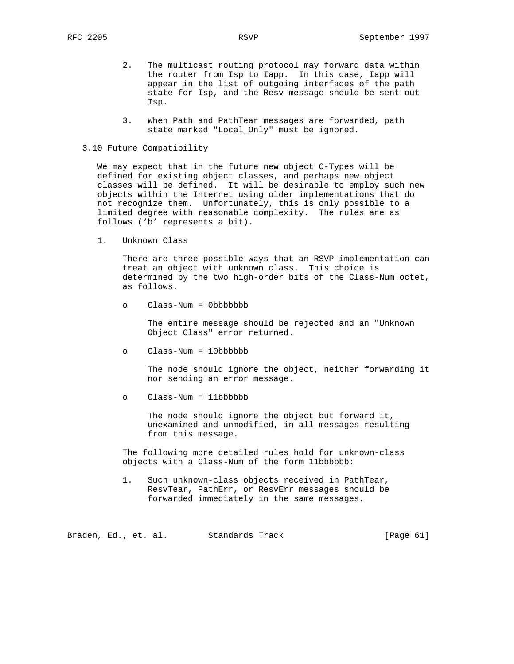- 2. The multicast routing protocol may forward data within the router from Isp to Iapp. In this case, Iapp will appear in the list of outgoing interfaces of the path state for Isp, and the Resv message should be sent out Isp.
- 3. When Path and PathTear messages are forwarded, path state marked "Local\_Only" must be ignored.

# 3.10 Future Compatibility

 We may expect that in the future new object C-Types will be defined for existing object classes, and perhaps new object classes will be defined. It will be desirable to employ such new objects within the Internet using older implementations that do not recognize them. Unfortunately, this is only possible to a limited degree with reasonable complexity. The rules are as follows ('b' represents a bit).

1. Unknown Class

 There are three possible ways that an RSVP implementation can treat an object with unknown class. This choice is determined by the two high-order bits of the Class-Num octet, as follows.

o Class-Num = 0bbbbbbb

 The entire message should be rejected and an "Unknown Object Class" error returned.

o Class-Num = 10bbbbbb

 The node should ignore the object, neither forwarding it nor sending an error message.

o Class-Num = 11bbbbbb

 The node should ignore the object but forward it, unexamined and unmodified, in all messages resulting from this message.

 The following more detailed rules hold for unknown-class objects with a Class-Num of the form 11bbbbbb:

 1. Such unknown-class objects received in PathTear, ResvTear, PathErr, or ResvErr messages should be forwarded immediately in the same messages.

Braden, Ed., et. al. Standards Track [Page 61]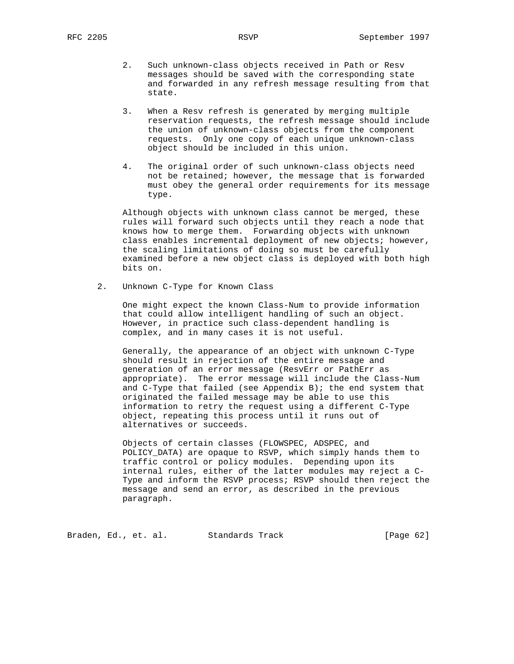- 2. Such unknown-class objects received in Path or Resv messages should be saved with the corresponding state and forwarded in any refresh message resulting from that state.
- 3. When a Resv refresh is generated by merging multiple reservation requests, the refresh message should include the union of unknown-class objects from the component requests. Only one copy of each unique unknown-class object should be included in this union.
- 4. The original order of such unknown-class objects need not be retained; however, the message that is forwarded must obey the general order requirements for its message type.

 Although objects with unknown class cannot be merged, these rules will forward such objects until they reach a node that knows how to merge them. Forwarding objects with unknown class enables incremental deployment of new objects; however, the scaling limitations of doing so must be carefully examined before a new object class is deployed with both high bits on.

2. Unknown C-Type for Known Class

 One might expect the known Class-Num to provide information that could allow intelligent handling of such an object. However, in practice such class-dependent handling is complex, and in many cases it is not useful.

 Generally, the appearance of an object with unknown C-Type should result in rejection of the entire message and generation of an error message (ResvErr or PathErr as appropriate). The error message will include the Class-Num and C-Type that failed (see Appendix B); the end system that originated the failed message may be able to use this information to retry the request using a different C-Type object, repeating this process until it runs out of alternatives or succeeds.

 Objects of certain classes (FLOWSPEC, ADSPEC, and POLICY\_DATA) are opaque to RSVP, which simply hands them to traffic control or policy modules. Depending upon its internal rules, either of the latter modules may reject a C- Type and inform the RSVP process; RSVP should then reject the message and send an error, as described in the previous paragraph.

Braden, Ed., et. al. Standards Track [Page 62]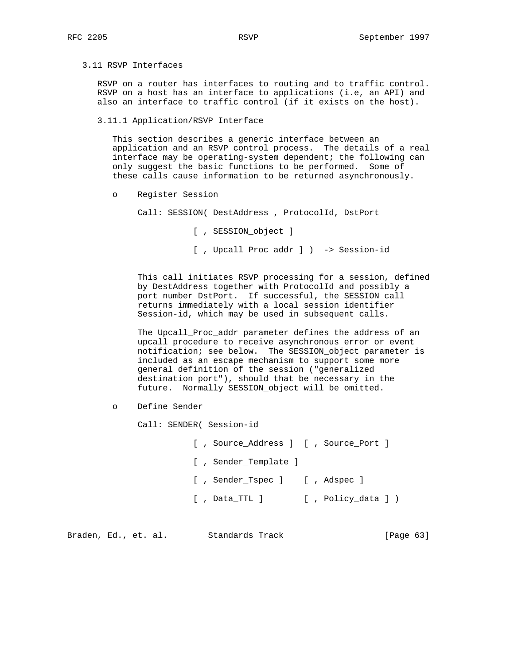# 3.11 RSVP Interfaces

 RSVP on a router has interfaces to routing and to traffic control. RSVP on a host has an interface to applications (i.e, an API) and also an interface to traffic control (if it exists on the host).

### 3.11.1 Application/RSVP Interface

 This section describes a generic interface between an application and an RSVP control process. The details of a real interface may be operating-system dependent; the following can only suggest the basic functions to be performed. Some of these calls cause information to be returned asynchronously.

o Register Session

Call: SESSION( DestAddress , ProtocolId, DstPort

[ , SESSION\_object ]

[ , Upcall\_Proc\_addr ] ) -> Session-id

 This call initiates RSVP processing for a session, defined by DestAddress together with ProtocolId and possibly a port number DstPort. If successful, the SESSION call returns immediately with a local session identifier Session-id, which may be used in subsequent calls.

 The Upcall\_Proc\_addr parameter defines the address of an upcall procedure to receive asynchronous error or event notification; see below. The SESSION\_object parameter is included as an escape mechanism to support some more general definition of the session ("generalized destination port"), should that be necessary in the future. Normally SESSION\_object will be omitted.

o Define Sender

Call: SENDER( Session-id

 [ , Source\_Address ] [ , Source\_Port ] [ , Sender\_Template ] [ , Sender\_Tspec ] [ , Adspec ] [, Data\_TTL ] [, Policy\_data ] )

Braden, Ed., et. al. Standards Track [Page 63]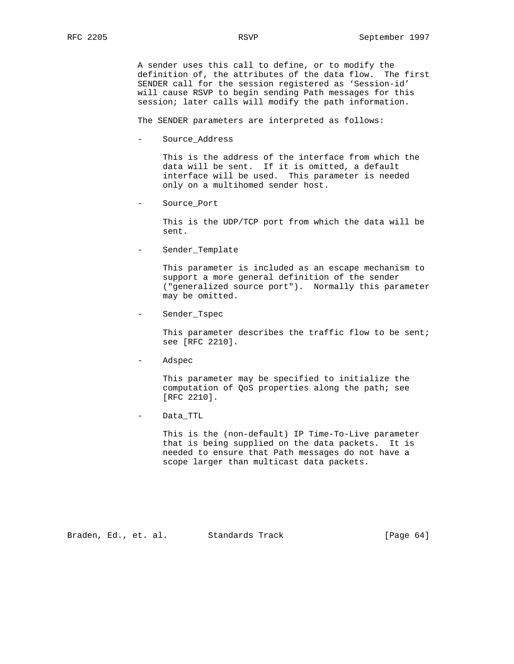A sender uses this call to define, or to modify the definition of, the attributes of the data flow. The first SENDER call for the session registered as 'Session-id' will cause RSVP to begin sending Path messages for this session; later calls will modify the path information.

The SENDER parameters are interpreted as follows:

- Source\_Address

 This is the address of the interface from which the data will be sent. If it is omitted, a default interface will be used. This parameter is needed only on a multihomed sender host.

Source Port

 This is the UDP/TCP port from which the data will be sent.

Sender\_Template

 This parameter is included as an escape mechanism to support a more general definition of the sender ("generalized source port"). Normally this parameter may be omitted.

- Sender\_Tspec

This parameter describes the traffic flow to be sent; see [RFC 2210].

- Adspec

 This parameter may be specified to initialize the computation of QoS properties along the path; see [RFC 2210].

Data\_TTL

 This is the (non-default) IP Time-To-Live parameter that is being supplied on the data packets. It is needed to ensure that Path messages do not have a scope larger than multicast data packets.

Braden, Ed., et. al. Standards Track [Page 64]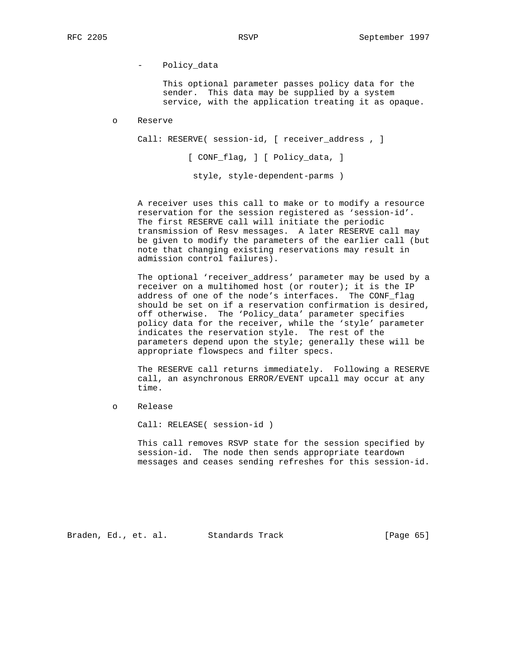- Policy\_data

 This optional parameter passes policy data for the sender. This data may be supplied by a system service, with the application treating it as opaque.

o Reserve

Call: RESERVE( session-id, [ receiver\_address , ]

[ CONF\_flag, ] [ Policy\_data, ]

style, style-dependent-parms )

 A receiver uses this call to make or to modify a resource reservation for the session registered as 'session-id'. The first RESERVE call will initiate the periodic transmission of Resv messages. A later RESERVE call may be given to modify the parameters of the earlier call (but note that changing existing reservations may result in admission control failures).

 The optional 'receiver\_address' parameter may be used by a receiver on a multihomed host (or router); it is the IP address of one of the node's interfaces. The CONF\_flag should be set on if a reservation confirmation is desired, off otherwise. The 'Policy\_data' parameter specifies policy data for the receiver, while the 'style' parameter indicates the reservation style. The rest of the parameters depend upon the style; generally these will be appropriate flowspecs and filter specs.

 The RESERVE call returns immediately. Following a RESERVE call, an asynchronous ERROR/EVENT upcall may occur at any time.

o Release

Call: RELEASE( session-id )

 This call removes RSVP state for the session specified by session-id. The node then sends appropriate teardown messages and ceases sending refreshes for this session-id.

Braden, Ed., et. al. Standards Track [Page 65]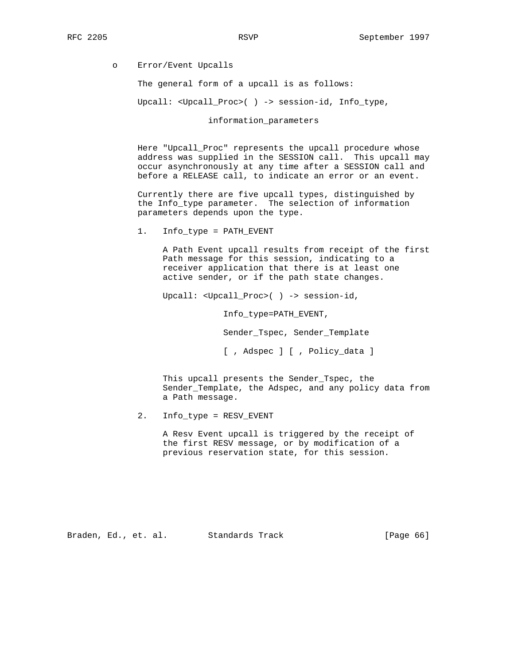o Error/Event Upcalls

The general form of a upcall is as follows:

Upcall: <Upcall\_Proc>( ) -> session-id, Info\_type,

information\_parameters

 Here "Upcall\_Proc" represents the upcall procedure whose address was supplied in the SESSION call. This upcall may occur asynchronously at any time after a SESSION call and before a RELEASE call, to indicate an error or an event.

 Currently there are five upcall types, distinguished by the Info\_type parameter. The selection of information parameters depends upon the type.

1. Info\_type = PATH\_EVENT

 A Path Event upcall results from receipt of the first Path message for this session, indicating to a receiver application that there is at least one active sender, or if the path state changes.

Upcall: <Upcall\_Proc>( ) -> session-id,

Info\_type=PATH\_EVENT,

Sender\_Tspec, Sender\_Template

[ , Adspec ] [ , Policy\_data ]

 This upcall presents the Sender\_Tspec, the Sender\_Template, the Adspec, and any policy data from a Path message.

2. Info\_type = RESV\_EVENT

 A Resv Event upcall is triggered by the receipt of the first RESV message, or by modification of a previous reservation state, for this session.

Braden, Ed., et. al. Standards Track [Page 66]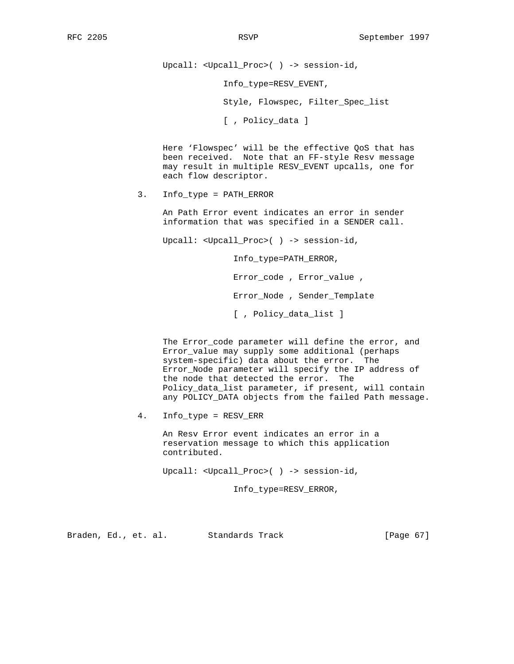Upcall: <Upcall\_Proc>( ) -> session-id,

Info\_type=RESV\_EVENT,

Style, Flowspec, Filter\_Spec\_list

[ , Policy\_data ]

 Here 'Flowspec' will be the effective QoS that has been received. Note that an FF-style Resv message may result in multiple RESV\_EVENT upcalls, one for each flow descriptor.

3. Info\_type = PATH\_ERROR

 An Path Error event indicates an error in sender information that was specified in a SENDER call.

Upcall: <Upcall\_Proc>( ) -> session-id,

Info\_type=PATH\_ERROR,

Error\_code , Error\_value ,

Error\_Node , Sender\_Template

[ , Policy\_data\_list ]

 The Error\_code parameter will define the error, and Error\_value may supply some additional (perhaps system-specific) data about the error. The Error\_Node parameter will specify the IP address of the node that detected the error. The Policy\_data\_list parameter, if present, will contain any POLICY\_DATA objects from the failed Path message.

4. Info\_type = RESV\_ERR

 An Resv Error event indicates an error in a reservation message to which this application contributed.

Upcall: <Upcall\_Proc>( ) -> session-id,

Info\_type=RESV\_ERROR,

Braden, Ed., et. al. Standards Track [Page 67]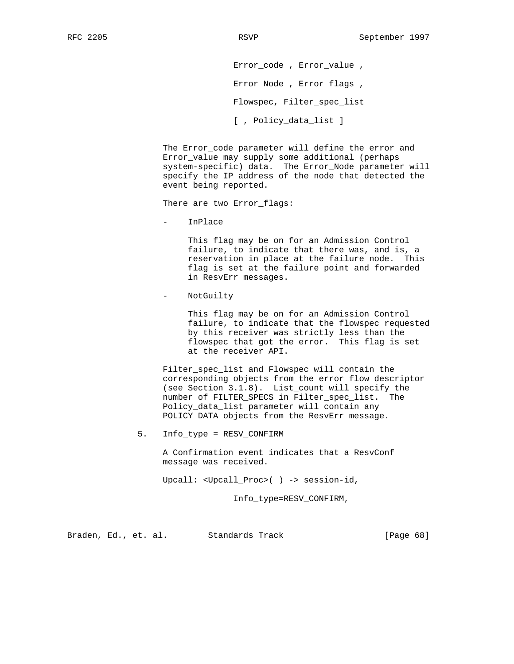Error\_code , Error\_value , Error\_Node , Error\_flags , Flowspec, Filter\_spec\_list [ , Policy\_data\_list ]

 The Error\_code parameter will define the error and Error\_value may supply some additional (perhaps system-specific) data. The Error\_Node parameter will specify the IP address of the node that detected the event being reported.

There are two Error\_flags:

- InPlace

 This flag may be on for an Admission Control failure, to indicate that there was, and is, a reservation in place at the failure node. This flag is set at the failure point and forwarded in ResvErr messages.

NotGuilty

 This flag may be on for an Admission Control failure, to indicate that the flowspec requested by this receiver was strictly less than the flowspec that got the error. This flag is set at the receiver API.

 Filter\_spec\_list and Flowspec will contain the corresponding objects from the error flow descriptor (see Section 3.1.8). List\_count will specify the number of FILTER\_SPECS in Filter\_spec\_list. The Policy\_data\_list parameter will contain any POLICY\_DATA objects from the ResvErr message.

5. Info\_type = RESV\_CONFIRM

 A Confirmation event indicates that a ResvConf message was received.

Upcall: <Upcall\_Proc>( ) -> session-id,

Info\_type=RESV\_CONFIRM,

Braden, Ed., et. al. Standards Track [Page 68]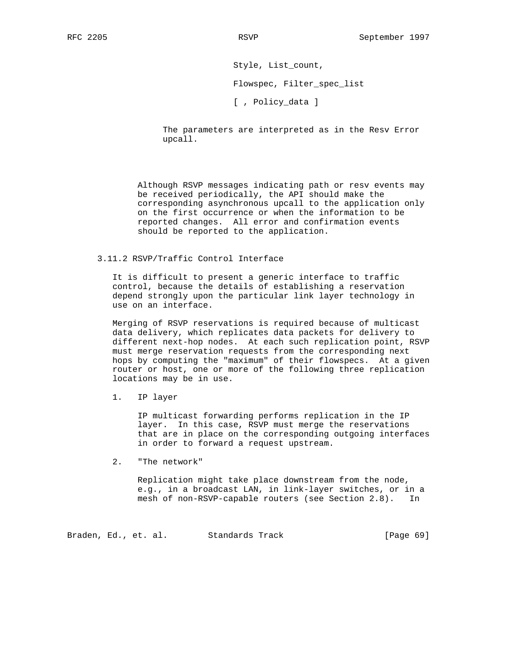Style, List\_count,

Flowspec, Filter\_spec\_list

[ , Policy\_data ]

 The parameters are interpreted as in the Resv Error upcall.

 Although RSVP messages indicating path or resv events may be received periodically, the API should make the corresponding asynchronous upcall to the application only on the first occurrence or when the information to be reported changes. All error and confirmation events should be reported to the application.

# 3.11.2 RSVP/Traffic Control Interface

 It is difficult to present a generic interface to traffic control, because the details of establishing a reservation depend strongly upon the particular link layer technology in use on an interface.

 Merging of RSVP reservations is required because of multicast data delivery, which replicates data packets for delivery to different next-hop nodes. At each such replication point, RSVP must merge reservation requests from the corresponding next hops by computing the "maximum" of their flowspecs. At a given router or host, one or more of the following three replication locations may be in use.

1. IP layer

 IP multicast forwarding performs replication in the IP layer. In this case, RSVP must merge the reservations that are in place on the corresponding outgoing interfaces in order to forward a request upstream.

2. "The network"

 Replication might take place downstream from the node, e.g., in a broadcast LAN, in link-layer switches, or in a mesh of non-RSVP-capable routers (see Section 2.8). In

Braden, Ed., et. al. Standards Track (Page 69)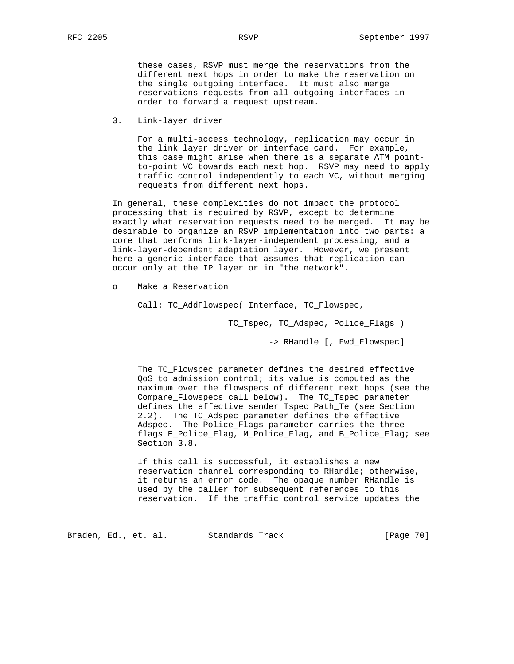these cases, RSVP must merge the reservations from the different next hops in order to make the reservation on the single outgoing interface. It must also merge reservations requests from all outgoing interfaces in order to forward a request upstream.

3. Link-layer driver

 For a multi-access technology, replication may occur in the link layer driver or interface card. For example, this case might arise when there is a separate ATM point to-point VC towards each next hop. RSVP may need to apply traffic control independently to each VC, without merging requests from different next hops.

 In general, these complexities do not impact the protocol processing that is required by RSVP, except to determine exactly what reservation requests need to be merged. It may be desirable to organize an RSVP implementation into two parts: a core that performs link-layer-independent processing, and a link-layer-dependent adaptation layer. However, we present here a generic interface that assumes that replication can occur only at the IP layer or in "the network".

o Make a Reservation

Call: TC\_AddFlowspec( Interface, TC\_Flowspec,

TC\_Tspec, TC\_Adspec, Police\_Flags )

-> RHandle [, Fwd\_Flowspec]

The TC Flowspec parameter defines the desired effective QoS to admission control; its value is computed as the maximum over the flowspecs of different next hops (see the Compare\_Flowspecs call below). The TC\_Tspec parameter defines the effective sender Tspec Path\_Te (see Section 2.2). The TC\_Adspec parameter defines the effective Adspec. The Police\_Flags parameter carries the three flags E\_Police\_Flag, M\_Police\_Flag, and B\_Police\_Flag; see Section 3.8.

 If this call is successful, it establishes a new reservation channel corresponding to RHandle; otherwise, it returns an error code. The opaque number RHandle is used by the caller for subsequent references to this reservation. If the traffic control service updates the

Braden, Ed., et. al. Standards Track [Page 70]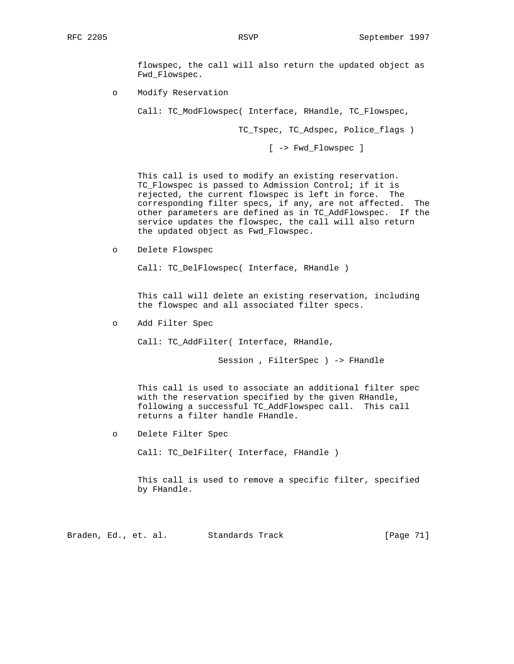flowspec, the call will also return the updated object as Fwd\_Flowspec.

o Modify Reservation

Call: TC\_ModFlowspec( Interface, RHandle, TC\_Flowspec,

TC\_Tspec, TC\_Adspec, Police\_flags )

[ -> Fwd\_Flowspec ]

 This call is used to modify an existing reservation. TC\_Flowspec is passed to Admission Control; if it is rejected, the current flowspec is left in force. The corresponding filter specs, if any, are not affected. The other parameters are defined as in TC\_AddFlowspec. If the service updates the flowspec, the call will also return the updated object as Fwd\_Flowspec.

o Delete Flowspec

Call: TC\_DelFlowspec( Interface, RHandle )

 This call will delete an existing reservation, including the flowspec and all associated filter specs.

o Add Filter Spec

Call: TC\_AddFilter( Interface, RHandle,

Session , FilterSpec ) -> FHandle

 This call is used to associate an additional filter spec with the reservation specified by the given RHandle, following a successful TC\_AddFlowspec call. This call returns a filter handle FHandle.

o Delete Filter Spec

Call: TC\_DelFilter( Interface, FHandle )

 This call is used to remove a specific filter, specified by FHandle.

Braden, Ed., et. al. Standards Track [Page 71]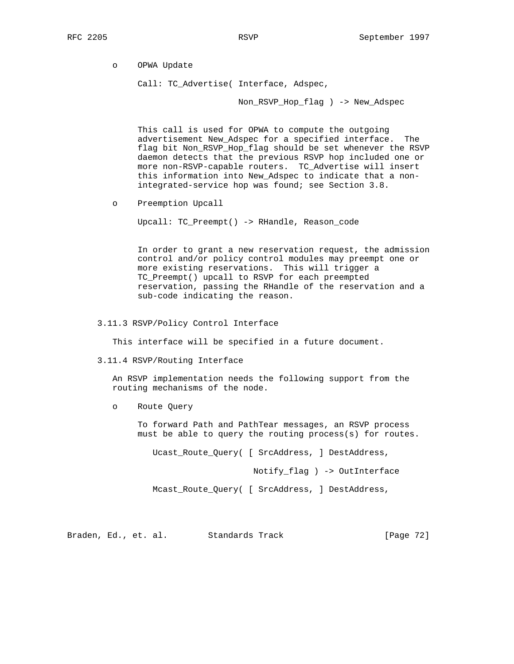o OPWA Update

Call: TC\_Advertise( Interface, Adspec,

Non\_RSVP\_Hop\_flag ) -> New\_Adspec

 This call is used for OPWA to compute the outgoing advertisement New\_Adspec for a specified interface. The flag bit Non RSVP Hop flag should be set whenever the RSVP daemon detects that the previous RSVP hop included one or more non-RSVP-capable routers. TC\_Advertise will insert this information into New\_Adspec to indicate that a non integrated-service hop was found; see Section 3.8.

o Preemption Upcall

Upcall: TC\_Preempt() -> RHandle, Reason\_code

 In order to grant a new reservation request, the admission control and/or policy control modules may preempt one or more existing reservations. This will trigger a TC\_Preempt() upcall to RSVP for each preempted reservation, passing the RHandle of the reservation and a sub-code indicating the reason.

3.11.3 RSVP/Policy Control Interface

This interface will be specified in a future document.

3.11.4 RSVP/Routing Interface

 An RSVP implementation needs the following support from the routing mechanisms of the node.

o Route Query

 To forward Path and PathTear messages, an RSVP process must be able to query the routing process(s) for routes.

Ucast\_Route\_Query( [ SrcAddress, ] DestAddress,

Notify\_flag ) -> OutInterface

Mcast\_Route\_Query( [ SrcAddress, ] DestAddress,

Braden, Ed., et. al. Standards Track [Page 72]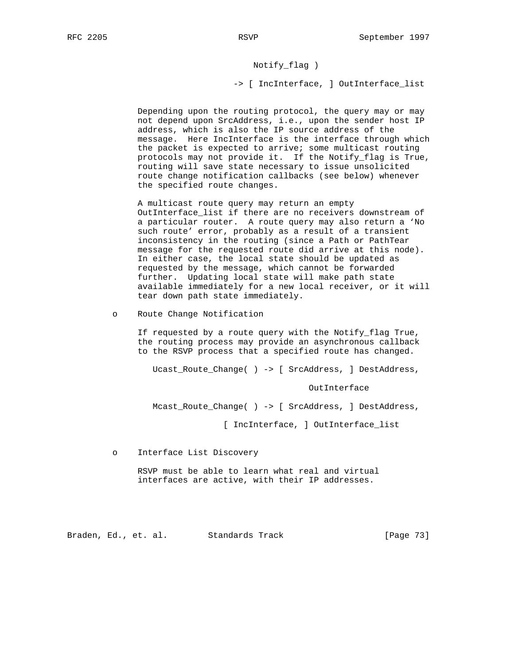# Notify\_flag )

-> [ IncInterface, ] OutInterface\_list

 Depending upon the routing protocol, the query may or may not depend upon SrcAddress, i.e., upon the sender host IP address, which is also the IP source address of the message. Here IncInterface is the interface through which the packet is expected to arrive; some multicast routing protocols may not provide it. If the Notify\_flag is True, routing will save state necessary to issue unsolicited route change notification callbacks (see below) whenever the specified route changes.

 A multicast route query may return an empty OutInterface\_list if there are no receivers downstream of a particular router. A route query may also return a 'No such route' error, probably as a result of a transient inconsistency in the routing (since a Path or PathTear message for the requested route did arrive at this node). In either case, the local state should be updated as requested by the message, which cannot be forwarded further. Updating local state will make path state available immediately for a new local receiver, or it will tear down path state immediately.

o Route Change Notification

 If requested by a route query with the Notify\_flag True, the routing process may provide an asynchronous callback to the RSVP process that a specified route has changed.

Ucast\_Route\_Change( ) -> [ SrcAddress, ] DestAddress,

OutInterface

Mcast\_Route\_Change( ) -> [ SrcAddress, ] DestAddress,

[ IncInterface, ] OutInterface\_list

o Interface List Discovery

 RSVP must be able to learn what real and virtual interfaces are active, with their IP addresses.

Braden, Ed., et. al. Standards Track [Page 73]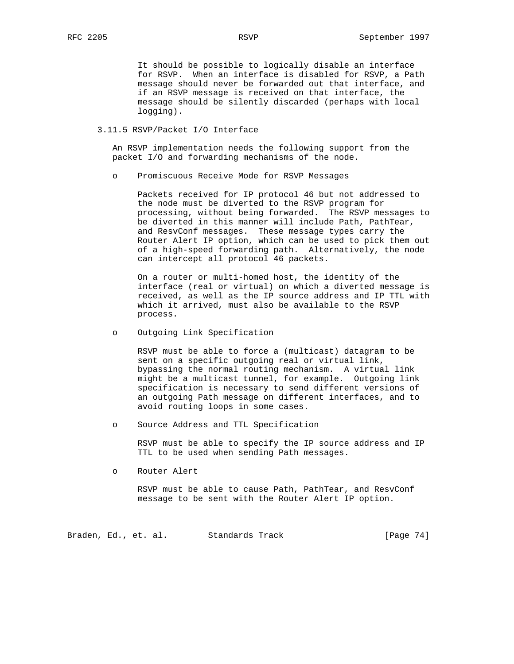It should be possible to logically disable an interface for RSVP. When an interface is disabled for RSVP, a Path message should never be forwarded out that interface, and if an RSVP message is received on that interface, the message should be silently discarded (perhaps with local logging).

# 3.11.5 RSVP/Packet I/O Interface

 An RSVP implementation needs the following support from the packet I/O and forwarding mechanisms of the node.

o Promiscuous Receive Mode for RSVP Messages

 Packets received for IP protocol 46 but not addressed to the node must be diverted to the RSVP program for processing, without being forwarded. The RSVP messages to be diverted in this manner will include Path, PathTear, and ResvConf messages. These message types carry the Router Alert IP option, which can be used to pick them out of a high-speed forwarding path. Alternatively, the node can intercept all protocol 46 packets.

 On a router or multi-homed host, the identity of the interface (real or virtual) on which a diverted message is received, as well as the IP source address and IP TTL with which it arrived, must also be available to the RSVP process.

o Outgoing Link Specification

 RSVP must be able to force a (multicast) datagram to be sent on a specific outgoing real or virtual link, bypassing the normal routing mechanism. A virtual link might be a multicast tunnel, for example. Outgoing link specification is necessary to send different versions of an outgoing Path message on different interfaces, and to avoid routing loops in some cases.

o Source Address and TTL Specification

 RSVP must be able to specify the IP source address and IP TTL to be used when sending Path messages.

o Router Alert

 RSVP must be able to cause Path, PathTear, and ResvConf message to be sent with the Router Alert IP option.

Braden, Ed., et. al. Standards Track [Page 74]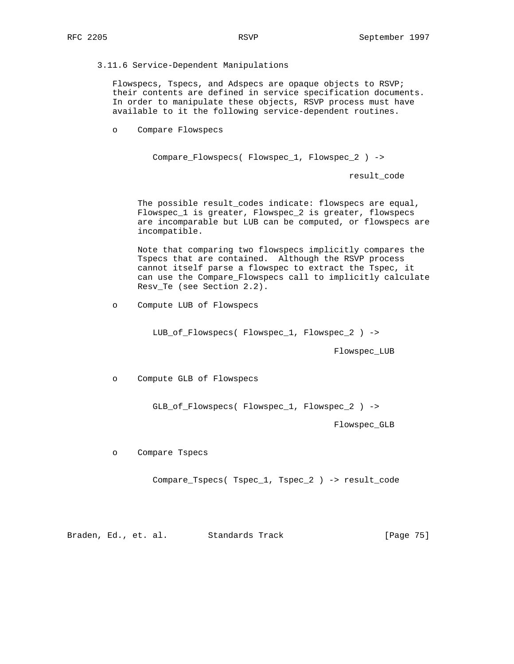## 3.11.6 Service-Dependent Manipulations

 Flowspecs, Tspecs, and Adspecs are opaque objects to RSVP; their contents are defined in service specification documents. In order to manipulate these objects, RSVP process must have available to it the following service-dependent routines.

o Compare Flowspecs

Compare\_Flowspecs( Flowspec\_1, Flowspec\_2 ) ->

result\_code

 The possible result\_codes indicate: flowspecs are equal, Flowspec\_1 is greater, Flowspec\_2 is greater, flowspecs are incomparable but LUB can be computed, or flowspecs are incompatible.

 Note that comparing two flowspecs implicitly compares the Tspecs that are contained. Although the RSVP process cannot itself parse a flowspec to extract the Tspec, it can use the Compare\_Flowspecs call to implicitly calculate Resv\_Te (see Section 2.2).

o Compute LUB of Flowspecs

LUB\_of\_Flowspecs( Flowspec\_1, Flowspec\_2 ) ->

Flowspec\_LUB

o Compute GLB of Flowspecs

GLB\_of\_Flowspecs( Flowspec\_1, Flowspec\_2 ) ->

Flowspec\_GLB

o Compare Tspecs

Compare\_Tspecs( Tspec\_1, Tspec\_2 ) -> result\_code

Braden, Ed., et. al. Standards Track [Page 75]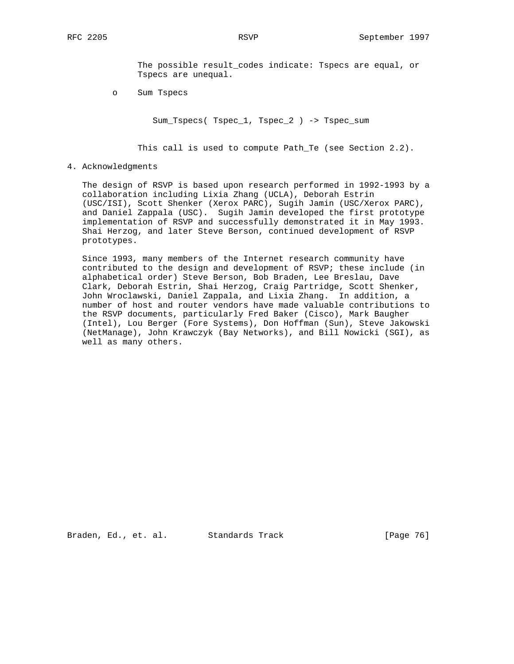The possible result\_codes indicate: Tspecs are equal, or Tspecs are unequal.

o Sum Tspecs

Sum\_Tspecs( Tspec\_1, Tspec\_2 ) -> Tspec\_sum

This call is used to compute Path\_Te (see Section 2.2).

## 4. Acknowledgments

 The design of RSVP is based upon research performed in 1992-1993 by a collaboration including Lixia Zhang (UCLA), Deborah Estrin (USC/ISI), Scott Shenker (Xerox PARC), Sugih Jamin (USC/Xerox PARC), and Daniel Zappala (USC). Sugih Jamin developed the first prototype implementation of RSVP and successfully demonstrated it in May 1993. Shai Herzog, and later Steve Berson, continued development of RSVP prototypes.

 Since 1993, many members of the Internet research community have contributed to the design and development of RSVP; these include (in alphabetical order) Steve Berson, Bob Braden, Lee Breslau, Dave Clark, Deborah Estrin, Shai Herzog, Craig Partridge, Scott Shenker, John Wroclawski, Daniel Zappala, and Lixia Zhang. In addition, a number of host and router vendors have made valuable contributions to the RSVP documents, particularly Fred Baker (Cisco), Mark Baugher (Intel), Lou Berger (Fore Systems), Don Hoffman (Sun), Steve Jakowski (NetManage), John Krawczyk (Bay Networks), and Bill Nowicki (SGI), as well as many others.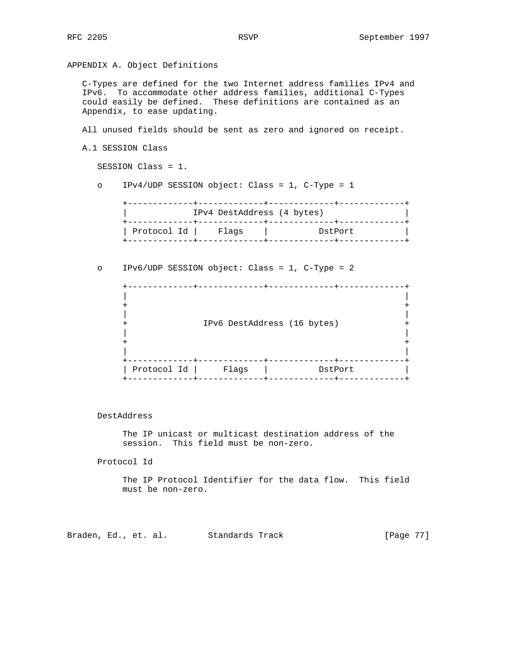APPENDIX A. Object Definitions

 C-Types are defined for the two Internet address families IPv4 and IPv6. To accommodate other address families, additional C-Types could easily be defined. These definitions are contained as an Appendix, to ease updating.

All unused fields should be sent as zero and ignored on receipt.

```
 A.1 SESSION Class
```
SESSION Class = 1.

o IPv4/UDP SESSION object: Class = 1, C-Type = 1

 +-------------+-------------+-------------+-------------+ | IPv4 DestAddress (4 bytes) | +-------------+-------------+-------------+-------------+ | Protocol Id | Flags | DstPort | +-------------+-------------+-------------+-------------+

o IPv6/UDP SESSION object: Class = 1, C-Type = 2

 +-------------+-------------+-------------+-------------+ | |  $+$  +  $+$  +  $+$  +  $+$  +  $+$  +  $+$  +  $+$  +  $+$  +  $+$  +  $+$  +  $+$  +  $+$  +  $+$  +  $+$  +  $+$  +  $+$  +  $+$  +  $+$  +  $+$  +  $+$  +  $+$  +  $+$  +  $+$  +  $+$  +  $+$  +  $+$  +  $+$  +  $+$  +  $+$  +  $+$  +  $+$  +  $+$  +  $+$  +  $+$  +  $+$  +  $+$  +  $+$  + | | + IPv6 DestAddress (16 bytes) + | | + + | | +-------------+-------------+-------------+-------------+ | Protocol Id | Flags | DstPort | +-------------+-------------+-------------+-------------+

DestAddress

 The IP unicast or multicast destination address of the session. This field must be non-zero.

Protocol Id

 The IP Protocol Identifier for the data flow. This field must be non-zero.

Braden, Ed., et. al. Standards Track [Page 77]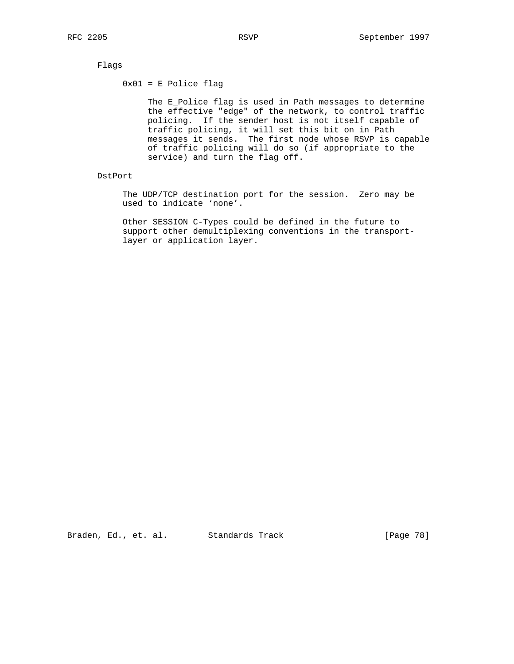Flags

 $0x01 = E_Police flag$ 

 The E\_Police flag is used in Path messages to determine the effective "edge" of the network, to control traffic policing. If the sender host is not itself capable of traffic policing, it will set this bit on in Path messages it sends. The first node whose RSVP is capable of traffic policing will do so (if appropriate to the service) and turn the flag off.

DstPort

 The UDP/TCP destination port for the session. Zero may be used to indicate 'none'.

 Other SESSION C-Types could be defined in the future to support other demultiplexing conventions in the transport layer or application layer.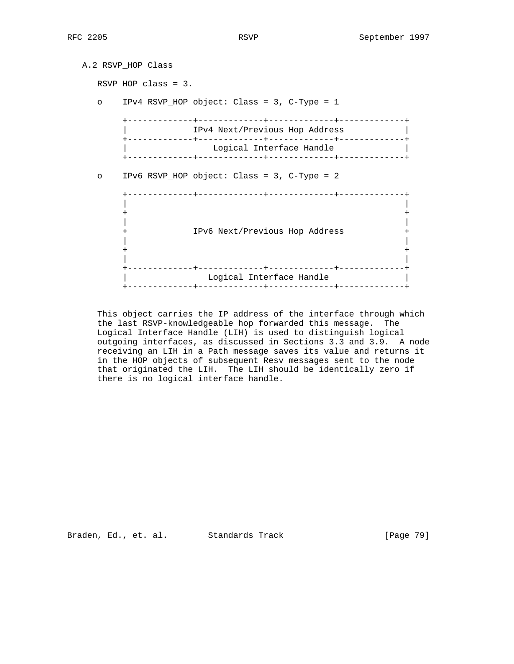| A.2 RSVP HOP Class |                        |                                                                           |  |  |  |
|--------------------|------------------------|---------------------------------------------------------------------------|--|--|--|
|                    | RSVP HOP class = $3$ . |                                                                           |  |  |  |
| $\circ$            |                        | IPv4 RSVP_HOP object: Class = 3, C-Type = 1                               |  |  |  |
|                    |                        | IPv4 Next/Previous Hop Address                                            |  |  |  |
|                    |                        | Logical Interface Handle<br>-+-------------+-<br>------------+----------- |  |  |  |
| $\circ$            |                        | IPv6 RSVP HOP object: Class = 3, C-Type = 2                               |  |  |  |
|                    |                        | IPv6 Next/Previous Hop Address                                            |  |  |  |
|                    |                        |                                                                           |  |  |  |
|                    |                        | Logical Interface Handle                                                  |  |  |  |

 This object carries the IP address of the interface through which the last RSVP-knowledgeable hop forwarded this message. The Logical Interface Handle (LIH) is used to distinguish logical outgoing interfaces, as discussed in Sections 3.3 and 3.9. A node receiving an LIH in a Path message saves its value and returns it in the HOP objects of subsequent Resv messages sent to the node that originated the LIH. The LIH should be identically zero if there is no logical interface handle.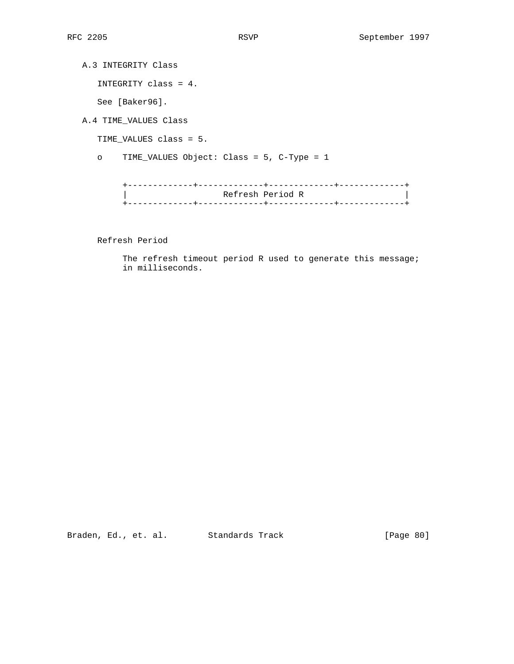A.3 INTEGRITY Class

INTEGRITY class = 4.

See [Baker96].

A.4 TIME\_VALUES Class

TIME\_VALUES class = 5.

o TIME\_VALUES Object: Class = 5, C-Type = 1

 +-------------+-------------+-------------+-------------+ | Refresh Period R | +-------------+-------------+-------------+-------------+

Refresh Period

The refresh timeout period R used to generate this message; in milliseconds.

Braden, Ed., et. al. Standards Track [Page 80]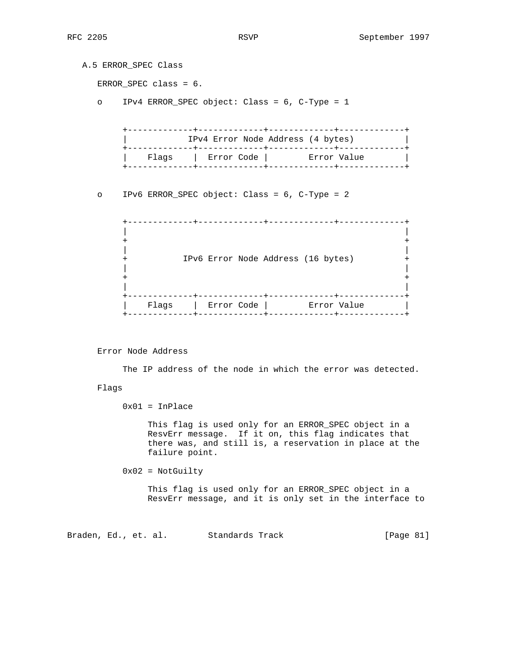A.5 ERROR\_SPEC Class ERROR\_SPEC class = 6. o IPv4 ERROR\_SPEC object: Class = 6, C-Type = 1 +-------------+-------------+-------------+-------------+ IPv4 Error Node Address (4 bytes) +-------------+-------------+-------------+-------------+ | Flags | Error Code | Error Value | +-------------+-------------+-------------+-------------+ o IPv6 ERROR\_SPEC object: Class = 6, C-Type = 2 +-------------+-------------+-------------+-------------+ | | + + | | + IPv6 Error Node Address (16 bytes) + | |  $+$  +  $+$  +  $+$  +  $+$  +  $+$  +  $+$  +  $+$  +  $+$  +  $+$  +  $+$  +  $+$  +  $+$  +  $+$  +  $+$  +  $+$  +  $+$  +  $+$  +  $+$  +  $+$  +  $+$  +  $+$  +  $+$  +  $+$  +  $+$  +  $+$  +  $+$  +  $+$  +  $+$  +  $+$  +  $+$  +  $+$  +  $+$  +  $+$  +  $+$  +  $+$  +  $+$  +  $+$  + | | +-------------+-------------+-------------+-------------+

| Flags | Error Code | Error Value |

Error Node Address

The IP address of the node in which the error was detected.

+-------------+-------------+-------------+-------------+

Flags

 $0x01 = InPlace$ 

 This flag is used only for an ERROR\_SPEC object in a ResvErr message. If it on, this flag indicates that there was, and still is, a reservation in place at the failure point.

 $0x02 = NotGultiply$ 

 This flag is used only for an ERROR\_SPEC object in a ResvErr message, and it is only set in the interface to

Braden, Ed., et. al. Standards Track [Page 81]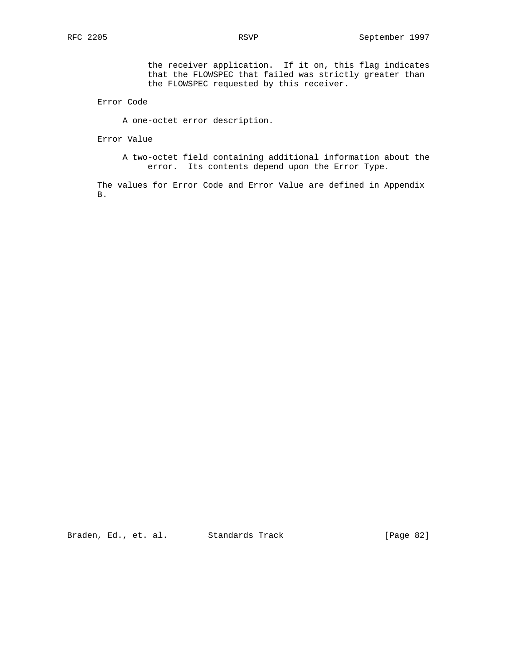the receiver application. If it on, this flag indicates that the FLOWSPEC that failed was strictly greater than the FLOWSPEC requested by this receiver.

Error Code

A one-octet error description.

Error Value

 A two-octet field containing additional information about the error. Its contents depend upon the Error Type.

 The values for Error Code and Error Value are defined in Appendix B.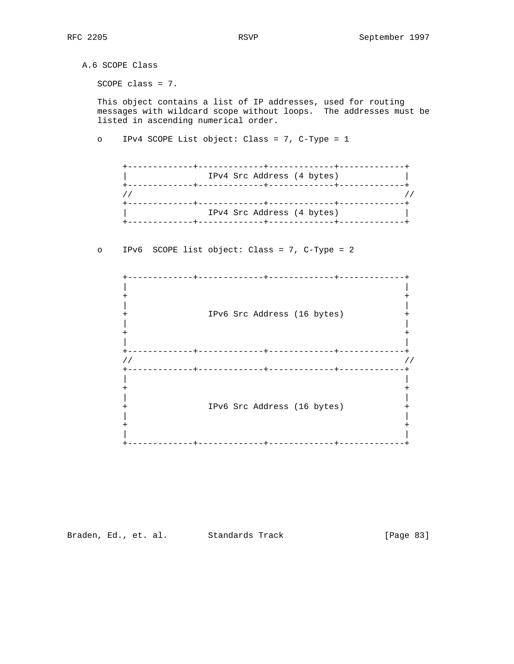A.6 SCOPE Class SCOPE class = 7. This object contains a list of IP addresses, used for routing messages with wildcard scope without loops. The addresses must be listed in ascending numerical order. o IPv4 SCOPE List object: Class = 7, C-Type = 1 +-------------+-------------+-------------+-------------+ IPv4 Src Address (4 bytes) +-------------+-------------+-------------+-------------+  $\frac{1}{2}$  //  $\frac{1}{2}$  //  $\frac{1}{2}$  //  $\frac{1}{2}$  //  $\frac{1}{2}$  //  $\frac{1}{2}$  //  $\frac{1}{2}$  //  $\frac{1}{2}$  //  $\frac{1}{2}$  //  $\frac{1}{2}$  //  $\frac{1}{2}$  //  $\frac{1}{2}$  //  $\frac{1}{2}$  //  $\frac{1}{2}$  //  $\frac{1}{2}$  //  $\frac{1}{2}$  //  $\frac{1}{2}$  // +-------------+-------------+-------------+-------------+ IPv4 Src Address (4 bytes) +-------------+-------------+-------------+-------------+ o IPv6 SCOPE list object: Class = 7, C-Type = 2 +-------------+-------------+-------------+-------------+ | | + + | | + IPv6 Src Address (16 bytes) + | |  $+$  +  $+$  +  $+$  +  $+$  +  $+$  +  $+$  +  $+$  +  $+$  +  $+$  +  $+$  +  $+$  +  $+$  +  $+$  +  $+$  +  $+$  +  $+$  +  $+$  +  $+$  +  $+$  +  $+$  +  $+$  +  $+$  +  $+$  +  $+$  +  $+$  +  $+$  +  $+$  +  $+$  +  $+$  +  $+$  +  $+$  +  $+$  +  $+$  +  $+$  +  $+$  +  $+$  +  $+$  + | | +-------------+-------------+-------------+-------------+  $\frac{1}{2}$  //  $\frac{1}{2}$  //  $\frac{1}{2}$  //  $\frac{1}{2}$  //  $\frac{1}{2}$  //  $\frac{1}{2}$  //  $\frac{1}{2}$  //  $\frac{1}{2}$  //  $\frac{1}{2}$  //  $\frac{1}{2}$  //  $\frac{1}{2}$  //  $\frac{1}{2}$  //  $\frac{1}{2}$  //  $\frac{1}{2}$  //  $\frac{1}{2}$  //  $\frac{1}{2}$  //  $\frac{1}{2}$  // +-------------+-------------+-------------+-------------+ | |  $+$  +  $+$  +  $+$  +  $+$  +  $+$  +  $+$  +  $+$  +  $+$  +  $+$  +  $+$  +  $+$  +  $+$  +  $+$  +  $+$  +  $+$  +  $+$  +  $+$  +  $+$  +  $+$  +  $+$  +  $+$  +  $+$  +  $+$  +  $+$  +  $+$  +  $+$  +  $+$  +  $+$  +  $+$  +  $+$  +  $+$  +  $+$  +  $+$  +  $+$  +  $+$  +  $+$  +  $+$  + | | + IPv6 Src Address (16 bytes) + | | + + | |

Braden, Ed., et. al. Standards Track [Page 83]

+-------------+-------------+-------------+-------------+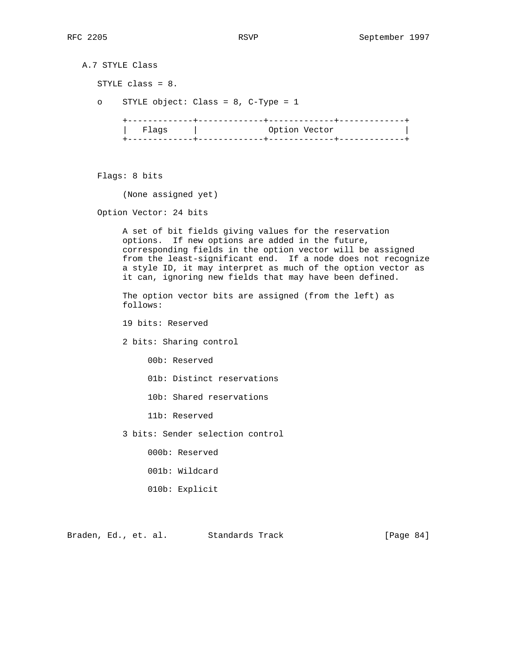A.7 STYLE Class STYLE class = 8. o STYLE object: Class = 8, C-Type = 1 +-------------+-------------+-------------+-------------+ | Flags | Option Vector | +-------------+-------------+-------------+-------------+

Flags: 8 bits

(None assigned yet)

Option Vector: 24 bits

 A set of bit fields giving values for the reservation options. If new options are added in the future, corresponding fields in the option vector will be assigned from the least-significant end. If a node does not recognize a style ID, it may interpret as much of the option vector as it can, ignoring new fields that may have been defined.

 The option vector bits are assigned (from the left) as follows:

19 bits: Reserved

2 bits: Sharing control

00b: Reserved

01b: Distinct reservations

10b: Shared reservations

11b: Reserved

3 bits: Sender selection control

000b: Reserved

- 001b: Wildcard
- 010b: Explicit

Braden, Ed., et. al. Standards Track [Page 84]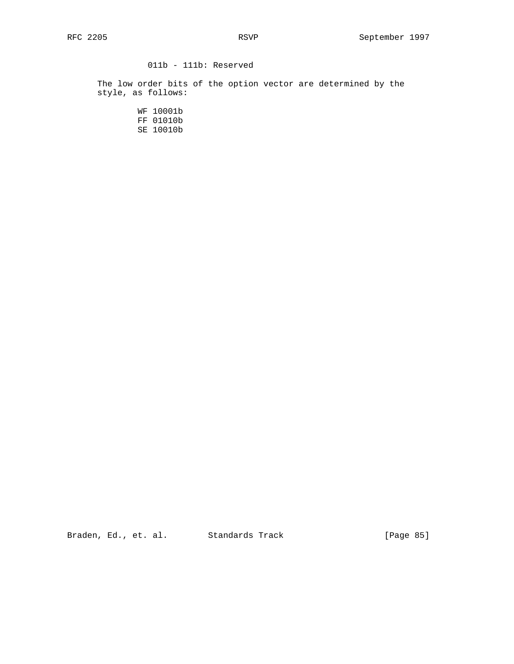# 011b - 111b: Reserved

 The low order bits of the option vector are determined by the style, as follows:

> WF 10001b FF 01010b SE 10010b

Braden, Ed., et. al. Standards Track [Page 85]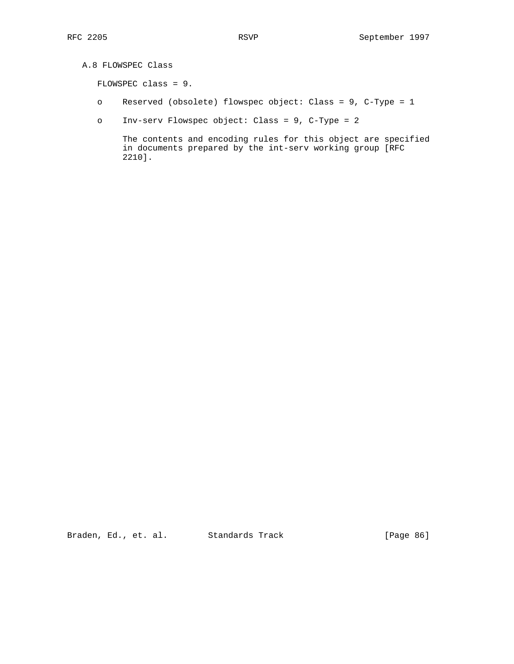```
 A.8 FLOWSPEC Class
```
FLOWSPEC class = 9.

- o Reserved (obsolete) flowspec object: Class = 9, C-Type = 1
- o Inv-serv Flowspec object: Class = 9, C-Type = 2

 The contents and encoding rules for this object are specified in documents prepared by the int-serv working group [RFC 2210].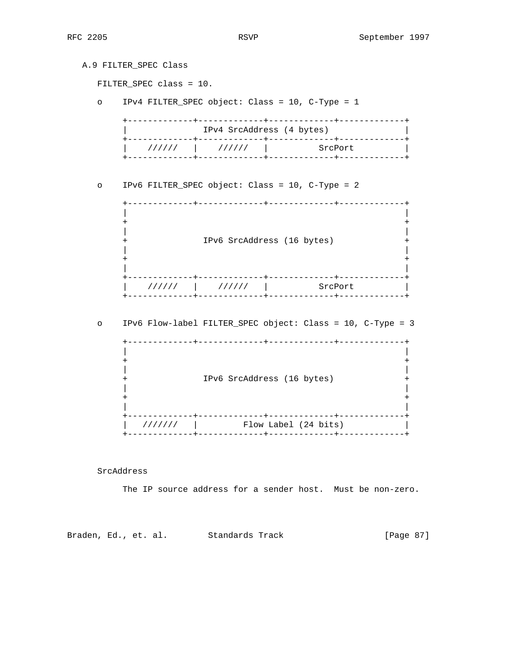|         | A.9 FILTER_SPEC Class<br>FILTER_SPEC class = 10.                 |
|---------|------------------------------------------------------------------|
| $\circ$ | IPv4 FILTER_SPEC object: Class = 10, C-Type = 1                  |
|         | IPv4 SrcAddress (4 bytes)<br>+-------------+--                   |
|         | $111111$ $111111$ $1$<br>SrcPort                                 |
| $\circ$ | IPv6 FILTER_SPEC object: Class = 10, C-Type = 2<br>------------- |
|         | IPv6 SrcAddress (16 bytes)                                       |
|         | $111111$ $111111$ $1$<br>SrcPort                                 |
| $\circ$ | IPv6 Flow-label FILTER_SPEC object: Class = 10, C-Type = 3       |
|         | IPv6 SrcAddress (16 bytes)                                       |

SrcAddress

The IP source address for a sender host. Must be non-zero.

Braden, Ed., et. al. Standards Track [Page 87]

 | /////// | Flow Label (24 bits) | +-------------+-------------+-------------+-------------+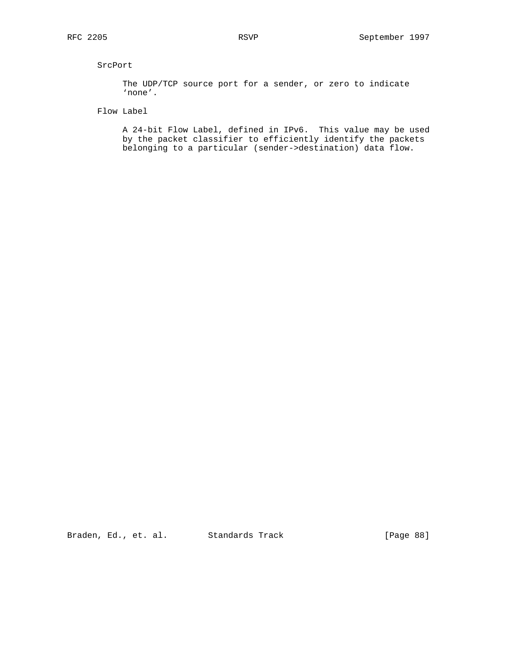# SrcPort

 The UDP/TCP source port for a sender, or zero to indicate 'none'.

Flow Label

 A 24-bit Flow Label, defined in IPv6. This value may be used by the packet classifier to efficiently identify the packets belonging to a particular (sender->destination) data flow.

Braden, Ed., et. al. Standards Track [Page 88]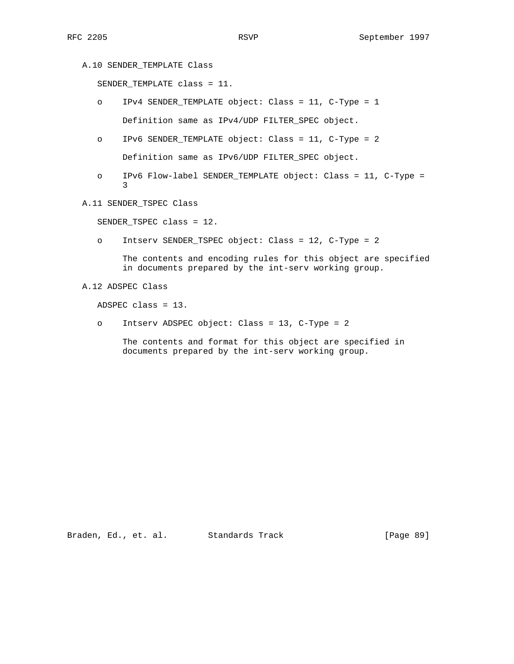A.10 SENDER\_TEMPLATE Class

SENDER\_TEMPLATE class = 11.

- o IPv4 SENDER\_TEMPLATE object: Class = 11, C-Type = 1 Definition same as IPv4/UDP FILTER\_SPEC object.
- o IPv6 SENDER\_TEMPLATE object: Class = 11, C-Type = 2 Definition same as IPv6/UDP FILTER\_SPEC object.
- o IPv6 Flow-label SENDER\_TEMPLATE object: Class = 11, C-Type = 3
	- A.11 SENDER\_TSPEC Class

SENDER\_TSPEC class = 12.

o Intserv SENDER\_TSPEC object: Class = 12, C-Type = 2

 The contents and encoding rules for this object are specified in documents prepared by the int-serv working group.

A.12 ADSPEC Class

ADSPEC class = 13.

o Intserv ADSPEC object: Class = 13, C-Type = 2

 The contents and format for this object are specified in documents prepared by the int-serv working group.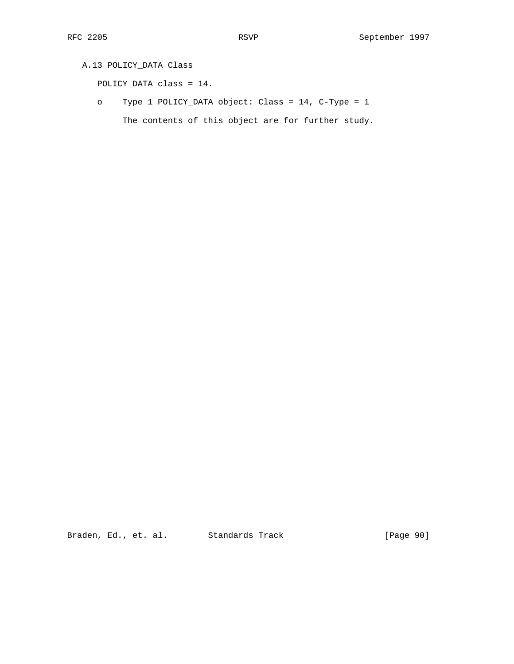# A.13 POLICY\_DATA Class

POLICY\_DATA class = 14.

 o Type 1 POLICY\_DATA object: Class = 14, C-Type = 1 The contents of this object are for further study.

Braden, Ed., et. al. Standards Track [Page 90]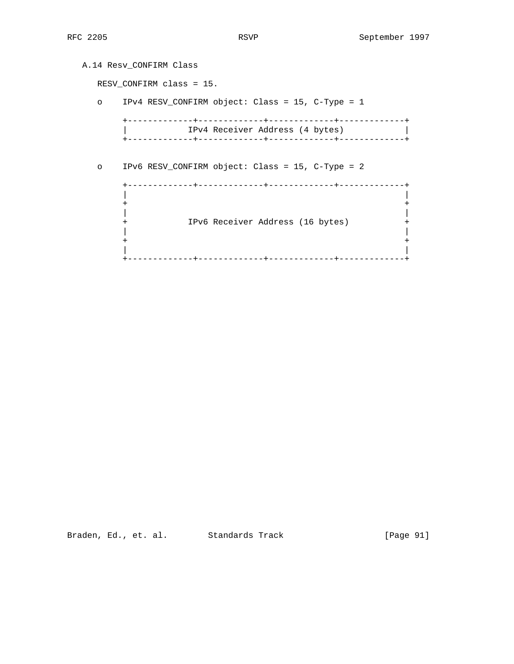|          | A.14 Resv CONFIRM Class                          |
|----------|--------------------------------------------------|
|          | RESV_CONFIRM class = 15.                         |
| $\Omega$ | IPv4 RESV_CONFIRM object: Class = 15, C-Type = 1 |
|          | IPv4 Receiver Address (4 bytes)                  |
| $\circ$  | IPv6 RESV CONFIRM object: Class = 15, C-Type = 2 |
|          | IPv6 Receiver Address (16 bytes)                 |
|          |                                                  |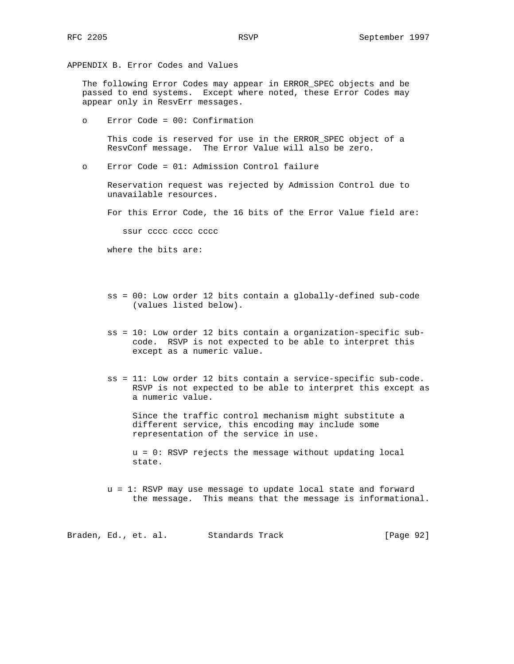APPENDIX B. Error Codes and Values

 The following Error Codes may appear in ERROR\_SPEC objects and be passed to end systems. Except where noted, these Error Codes may appear only in ResvErr messages.

o Error Code = 00: Confirmation

 This code is reserved for use in the ERROR\_SPEC object of a ResvConf message. The Error Value will also be zero.

o Error Code = 01: Admission Control failure

 Reservation request was rejected by Admission Control due to unavailable resources.

For this Error Code, the 16 bits of the Error Value field are:

ssur cccc cccc cccc

where the bits are:

- ss = 00: Low order 12 bits contain a globally-defined sub-code (values listed below).
- ss = 10: Low order 12 bits contain a organization-specific sub code. RSVP is not expected to be able to interpret this except as a numeric value.
- ss = 11: Low order 12 bits contain a service-specific sub-code. RSVP is not expected to be able to interpret this except as a numeric value.

 Since the traffic control mechanism might substitute a different service, this encoding may include some representation of the service in use.

 u = 0: RSVP rejects the message without updating local state.

 u = 1: RSVP may use message to update local state and forward the message. This means that the message is informational.

Braden, Ed., et. al. Standards Track [Page 92]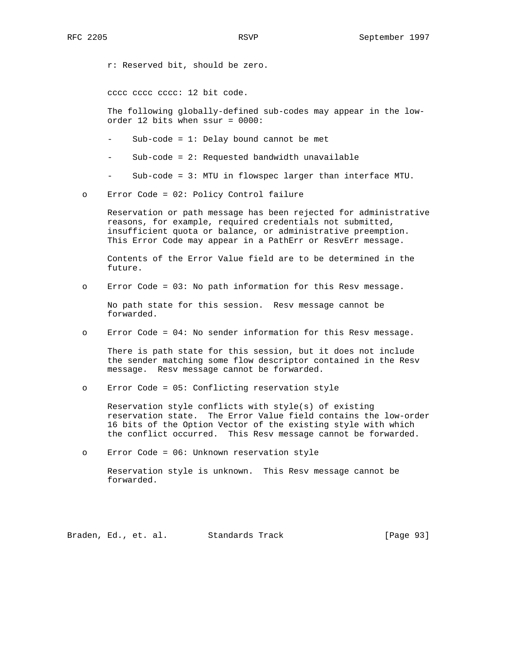r: Reserved bit, should be zero.

cccc cccc cccc: 12 bit code.

 The following globally-defined sub-codes may appear in the low order 12 bits when ssur = 0000:

- $Sub-code = 1: Delay bound cannot be met$
- $Sub-code = 2: Requested bandwidth unavailable$
- $Sub-code = 3: MTU in flowspec larger than interface MTU.$
- o Error Code = 02: Policy Control failure

 Reservation or path message has been rejected for administrative reasons, for example, required credentials not submitted, insufficient quota or balance, or administrative preemption. This Error Code may appear in a PathErr or ResvErr message.

 Contents of the Error Value field are to be determined in the future.

o Error Code = 03: No path information for this Resv message.

 No path state for this session. Resv message cannot be forwarded.

o Error Code = 04: No sender information for this Resv message.

 There is path state for this session, but it does not include the sender matching some flow descriptor contained in the Resv message. Resv message cannot be forwarded.

o Error Code = 05: Conflicting reservation style

 Reservation style conflicts with style(s) of existing reservation state. The Error Value field contains the low-order 16 bits of the Option Vector of the existing style with which the conflict occurred. This Resv message cannot be forwarded.

o Error Code = 06: Unknown reservation style

 Reservation style is unknown. This Resv message cannot be forwarded.

Braden, Ed., et. al. Standards Track [Page 93]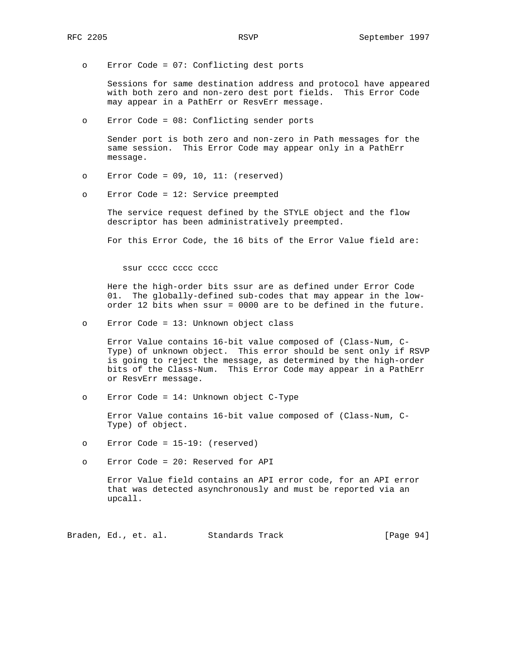o Error Code = 07: Conflicting dest ports

 Sessions for same destination address and protocol have appeared with both zero and non-zero dest port fields. This Error Code may appear in a PathErr or ResvErr message.

o Error Code = 08: Conflicting sender ports

 Sender port is both zero and non-zero in Path messages for the same session. This Error Code may appear only in a PathErr message.

- o Error Code = 09, 10, 11: (reserved)
- o Error Code = 12: Service preempted

 The service request defined by the STYLE object and the flow descriptor has been administratively preempted.

For this Error Code, the 16 bits of the Error Value field are:

ssur cccc cccc cccc

 Here the high-order bits ssur are as defined under Error Code 01. The globally-defined sub-codes that may appear in the low order 12 bits when ssur = 0000 are to be defined in the future.

o Error Code = 13: Unknown object class

 Error Value contains 16-bit value composed of (Class-Num, C- Type) of unknown object. This error should be sent only if RSVP is going to reject the message, as determined by the high-order bits of the Class-Num. This Error Code may appear in a PathErr or ResvErr message.

o Error Code = 14: Unknown object C-Type

 Error Value contains 16-bit value composed of (Class-Num, C- Type) of object.

- o Error Code = 15-19: (reserved)
- o Error Code = 20: Reserved for API

 Error Value field contains an API error code, for an API error that was detected asynchronously and must be reported via an upcall.

Braden, Ed., et. al. Standards Track [Page 94]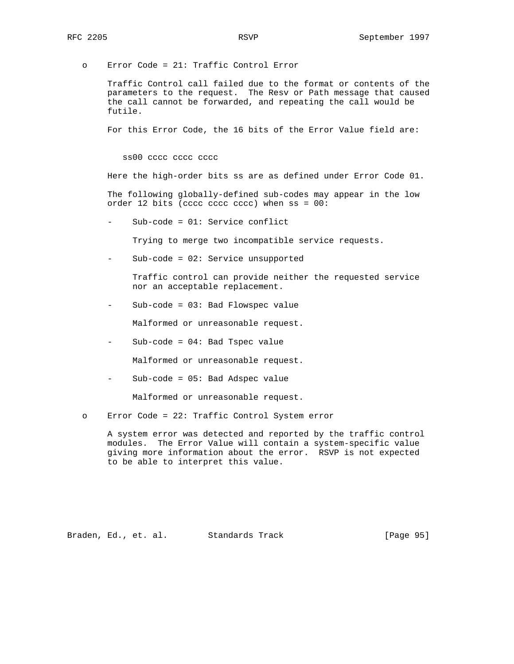o Error Code = 21: Traffic Control Error

 Traffic Control call failed due to the format or contents of the parameters to the request. The Resv or Path message that caused the call cannot be forwarded, and repeating the call would be futile.

For this Error Code, the 16 bits of the Error Value field are:

ss00 cccc cccc cccc

Here the high-order bits ss are as defined under Error Code 01.

 The following globally-defined sub-codes may appear in the low order 12 bits (cccc cccc cccc) when ss = 00:

 $Sub-code = 01: Service conflict$ 

Trying to merge two incompatible service requests.

Sub-code = 02: Service unsupported

 Traffic control can provide neither the requested service nor an acceptable replacement.

- Sub-code = 03: Bad Flowspec value

Malformed or unreasonable request.

- Sub-code = 04: Bad Tspec value

Malformed or unreasonable request.

- Sub-code = 05: Bad Adspec value

Malformed or unreasonable request.

o Error Code = 22: Traffic Control System error

 A system error was detected and reported by the traffic control modules. The Error Value will contain a system-specific value giving more information about the error. RSVP is not expected to be able to interpret this value.

Braden, Ed., et. al. Standards Track [Page 95]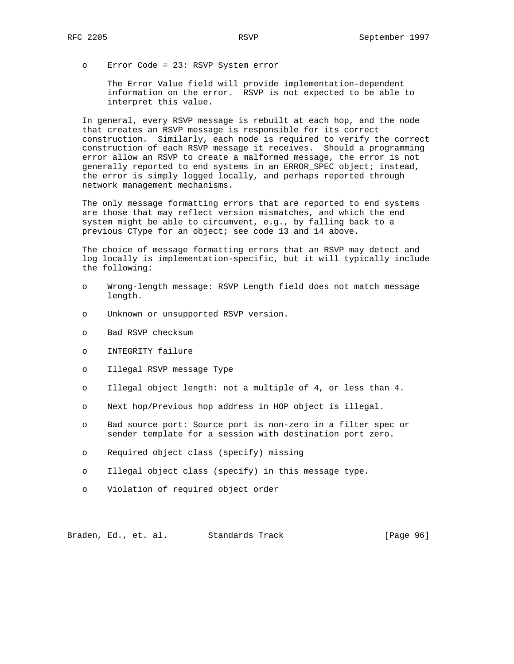o Error Code = 23: RSVP System error

 The Error Value field will provide implementation-dependent information on the error. RSVP is not expected to be able to interpret this value.

 In general, every RSVP message is rebuilt at each hop, and the node that creates an RSVP message is responsible for its correct construction. Similarly, each node is required to verify the correct construction of each RSVP message it receives. Should a programming error allow an RSVP to create a malformed message, the error is not generally reported to end systems in an ERROR\_SPEC object; instead, the error is simply logged locally, and perhaps reported through network management mechanisms.

 The only message formatting errors that are reported to end systems are those that may reflect version mismatches, and which the end system might be able to circumvent, e.g., by falling back to a previous CType for an object; see code 13 and 14 above.

 The choice of message formatting errors that an RSVP may detect and log locally is implementation-specific, but it will typically include the following:

- o Wrong-length message: RSVP Length field does not match message length.
- o Unknown or unsupported RSVP version.
- o Bad RSVP checksum
- o INTEGRITY failure
- o Illegal RSVP message Type
- o Illegal object length: not a multiple of 4, or less than 4.
- o Next hop/Previous hop address in HOP object is illegal.
- o Bad source port: Source port is non-zero in a filter spec or sender template for a session with destination port zero.
- o Required object class (specify) missing
- o Illegal object class (specify) in this message type.
- o Violation of required object order

Braden, Ed., et. al. Standards Track [Page 96]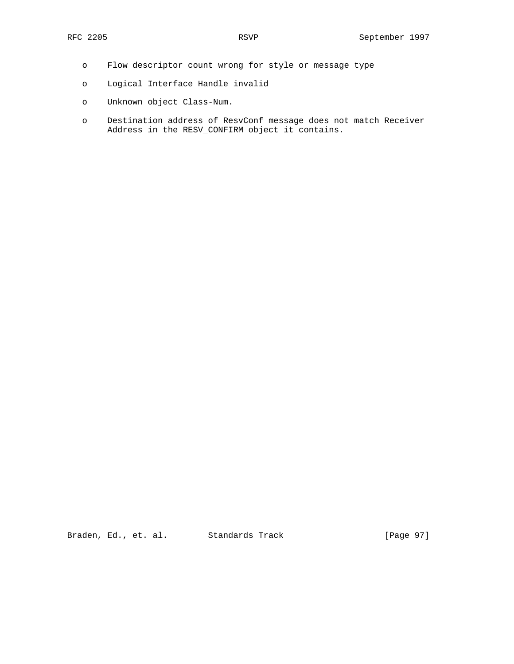- o Flow descriptor count wrong for style or message type
- o Logical Interface Handle invalid
- o Unknown object Class-Num.
- o Destination address of ResvConf message does not match Receiver Address in the RESV\_CONFIRM object it contains.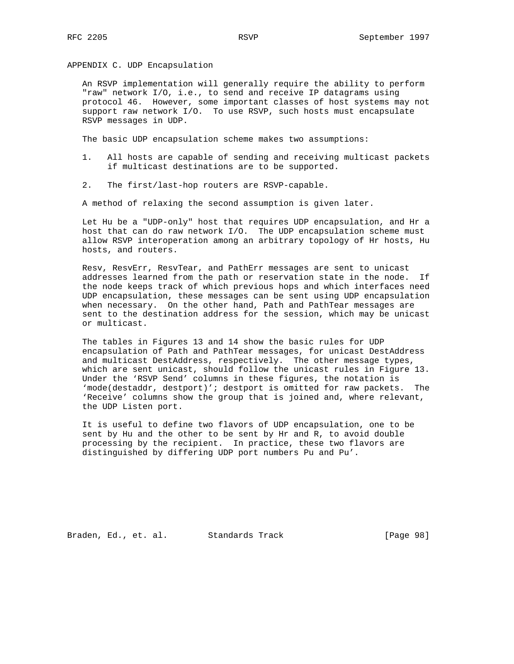APPENDIX C. UDP Encapsulation

 An RSVP implementation will generally require the ability to perform "raw" network I/O, i.e., to send and receive IP datagrams using protocol 46. However, some important classes of host systems may not support raw network I/O. To use RSVP, such hosts must encapsulate RSVP messages in UDP.

The basic UDP encapsulation scheme makes two assumptions:

- 1. All hosts are capable of sending and receiving multicast packets if multicast destinations are to be supported.
- 2. The first/last-hop routers are RSVP-capable.

A method of relaxing the second assumption is given later.

 Let Hu be a "UDP-only" host that requires UDP encapsulation, and Hr a host that can do raw network I/O. The UDP encapsulation scheme must allow RSVP interoperation among an arbitrary topology of Hr hosts, Hu hosts, and routers.

 Resv, ResvErr, ResvTear, and PathErr messages are sent to unicast addresses learned from the path or reservation state in the node. If the node keeps track of which previous hops and which interfaces need UDP encapsulation, these messages can be sent using UDP encapsulation when necessary. On the other hand, Path and PathTear messages are sent to the destination address for the session, which may be unicast or multicast.

 The tables in Figures 13 and 14 show the basic rules for UDP encapsulation of Path and PathTear messages, for unicast DestAddress and multicast DestAddress, respectively. The other message types, which are sent unicast, should follow the unicast rules in Figure 13. Under the 'RSVP Send' columns in these figures, the notation is 'mode(destaddr, destport)'; destport is omitted for raw packets. The 'Receive' columns show the group that is joined and, where relevant, the UDP Listen port.

 It is useful to define two flavors of UDP encapsulation, one to be sent by Hu and the other to be sent by Hr and R, to avoid double processing by the recipient. In practice, these two flavors are distinguished by differing UDP port numbers Pu and Pu'.

Braden, Ed., et. al. Standards Track [Page 98]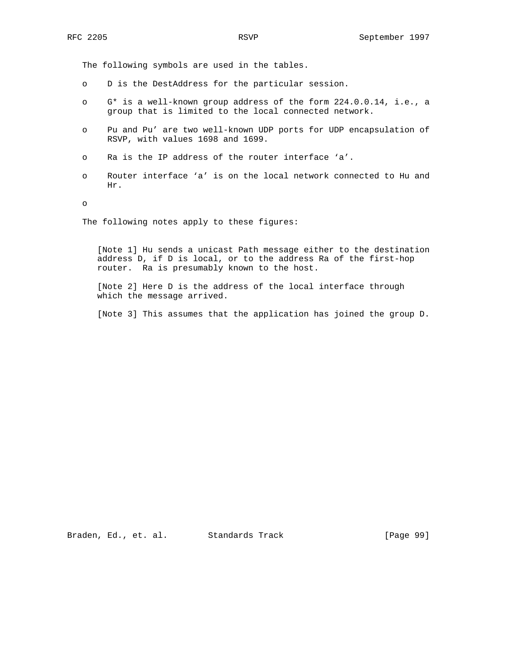The following symbols are used in the tables.

- o D is the DestAddress for the particular session.
- o G\* is a well-known group address of the form 224.0.0.14, i.e., a group that is limited to the local connected network.
- o Pu and Pu' are two well-known UDP ports for UDP encapsulation of RSVP, with values 1698 and 1699.
- o Ra is the IP address of the router interface 'a'.
- o Router interface 'a' is on the local network connected to Hu and Hr.

o

The following notes apply to these figures:

 [Note 1] Hu sends a unicast Path message either to the destination address D, if D is local, or to the address Ra of the first-hop router. Ra is presumably known to the host.

 [Note 2] Here D is the address of the local interface through which the message arrived.

[Note 3] This assumes that the application has joined the group D.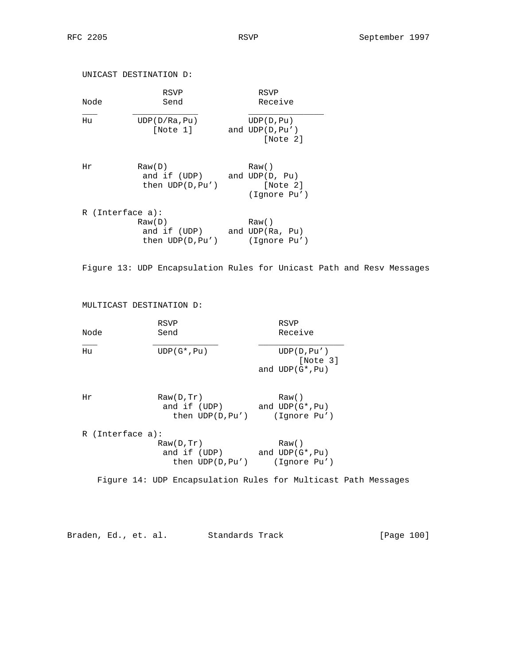UNICAST DESTINATION D: RSVP RSVP Node Send Send Receive  $\frac{1}{2}$  ,  $\frac{1}{2}$  ,  $\frac{1}{2}$  ,  $\frac{1}{2}$  ,  $\frac{1}{2}$  ,  $\frac{1}{2}$  ,  $\frac{1}{2}$  ,  $\frac{1}{2}$  ,  $\frac{1}{2}$  ,  $\frac{1}{2}$  ,  $\frac{1}{2}$  ,  $\frac{1}{2}$  ,  $\frac{1}{2}$  ,  $\frac{1}{2}$  ,  $\frac{1}{2}$  ,  $\frac{1}{2}$  ,  $\frac{1}{2}$  ,  $\frac{1}{2}$  ,  $\frac{1$  Hu UDP(D/Ra,Pu) UDP(D,Pu) [Note 1] and UDP(D,Pu') [Note 2] Hr Raw(D) Raw() and if (UDP) and UDP(D, Pu) then UDP(D, Pu') [Note 2] (Ignore Pu') R (Interface a): Raw(D) Raw() and if (UDP) and UDP(Ra, Pu) then UDP(D,Pu') (Ignore Pu')

Figure 13: UDP Encapsulation Rules for Unicast Path and Resv Messages

MULTICAST DESTINATION D:

| Node | RSVP<br>Send   | RSVP<br>Receive                               |
|------|----------------|-----------------------------------------------|
| Hu   | $UDP(G^*, Pu)$ | UDP(D, Pu')<br>[Note 3]<br>and $UDP(G^*, Pu)$ |

| Raw(D, Tr)         | Raw()             |
|--------------------|-------------------|
| and if (UDP)       | and $UDP(G^*,Pu)$ |
| then $UDP(D, Pu')$ | (Ignore Pu')      |
|                    |                   |

| $R$ (Interface a): |                    |
|--------------------|--------------------|
| Raw(D, Tr)         | Raw()              |
| and if (UDP)       | and $UDP(G^*, Pu)$ |
| then $UDP(D, Pu')$ | (Ignore Pu')       |

Figure 14: UDP Encapsulation Rules for Multicast Path Messages

Braden, Ed., et. al. Standards Track [Page 100]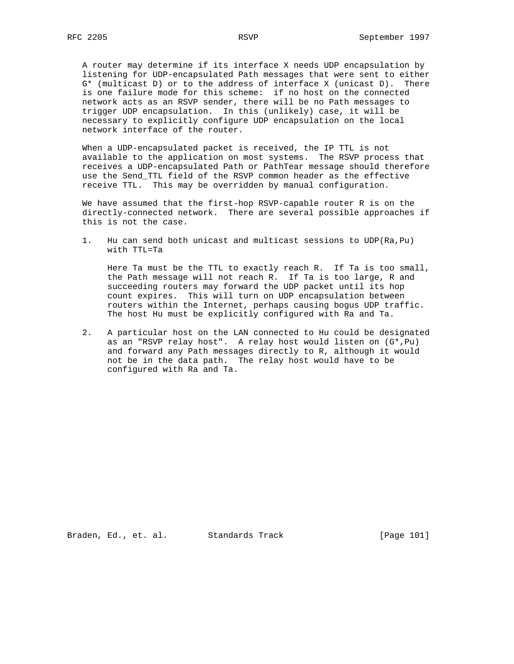A router may determine if its interface X needs UDP encapsulation by listening for UDP-encapsulated Path messages that were sent to either G\* (multicast D) or to the address of interface X (unicast D). There is one failure mode for this scheme: if no host on the connected network acts as an RSVP sender, there will be no Path messages to trigger UDP encapsulation. In this (unlikely) case, it will be necessary to explicitly configure UDP encapsulation on the local network interface of the router.

 When a UDP-encapsulated packet is received, the IP TTL is not available to the application on most systems. The RSVP process that receives a UDP-encapsulated Path or PathTear message should therefore use the Send\_TTL field of the RSVP common header as the effective receive TTL. This may be overridden by manual configuration.

 We have assumed that the first-hop RSVP-capable router R is on the directly-connected network. There are several possible approaches if this is not the case.

 1. Hu can send both unicast and multicast sessions to UDP(Ra,Pu) with TTL=Ta

 Here Ta must be the TTL to exactly reach R. If Ta is too small, the Path message will not reach R. If Ta is too large, R and succeeding routers may forward the UDP packet until its hop count expires. This will turn on UDP encapsulation between routers within the Internet, perhaps causing bogus UDP traffic. The host Hu must be explicitly configured with Ra and Ta.

 2. A particular host on the LAN connected to Hu could be designated as an "RSVP relay host". A relay host would listen on (G\*,Pu) and forward any Path messages directly to R, although it would not be in the data path. The relay host would have to be configured with Ra and Ta.

Braden, Ed., et. al. Standards Track [Page 101]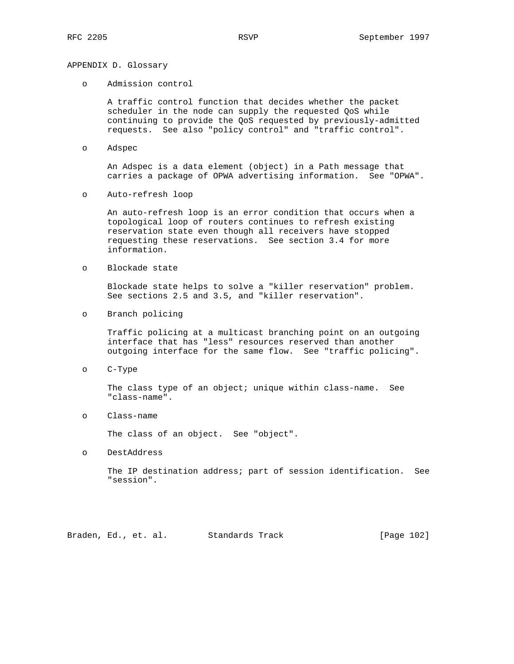# APPENDIX D. Glossary

o Admission control

 A traffic control function that decides whether the packet scheduler in the node can supply the requested QoS while continuing to provide the QoS requested by previously-admitted requests. See also "policy control" and "traffic control".

o Adspec

 An Adspec is a data element (object) in a Path message that carries a package of OPWA advertising information. See "OPWA".

o Auto-refresh loop

 An auto-refresh loop is an error condition that occurs when a topological loop of routers continues to refresh existing reservation state even though all receivers have stopped requesting these reservations. See section 3.4 for more information.

o Blockade state

 Blockade state helps to solve a "killer reservation" problem. See sections 2.5 and 3.5, and "killer reservation".

o Branch policing

 Traffic policing at a multicast branching point on an outgoing interface that has "less" resources reserved than another outgoing interface for the same flow. See "traffic policing".

o C-Type

The class type of an object; unique within class-name. See "class-name".

o Class-name

The class of an object. See "object".

o DestAddress

 The IP destination address; part of session identification. See "session".

Braden, Ed., et. al. Standards Track [Page 102]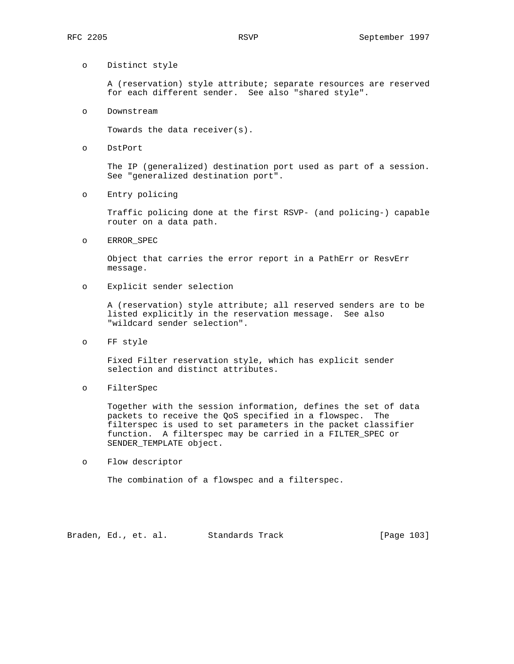# o Distinct style

 A (reservation) style attribute; separate resources are reserved for each different sender. See also "shared style".

o Downstream

Towards the data receiver(s).

o DstPort

 The IP (generalized) destination port used as part of a session. See "generalized destination port".

o Entry policing

 Traffic policing done at the first RSVP- (and policing-) capable router on a data path.

o ERROR\_SPEC

 Object that carries the error report in a PathErr or ResvErr message.

o Explicit sender selection

 A (reservation) style attribute; all reserved senders are to be listed explicitly in the reservation message. See also "wildcard sender selection".

o FF style

 Fixed Filter reservation style, which has explicit sender selection and distinct attributes.

o FilterSpec

 Together with the session information, defines the set of data packets to receive the QoS specified in a flowspec. The filterspec is used to set parameters in the packet classifier function. A filterspec may be carried in a FILTER\_SPEC or SENDER\_TEMPLATE object.

o Flow descriptor

The combination of a flowspec and a filterspec.

Braden, Ed., et. al. Standards Track [Page 103]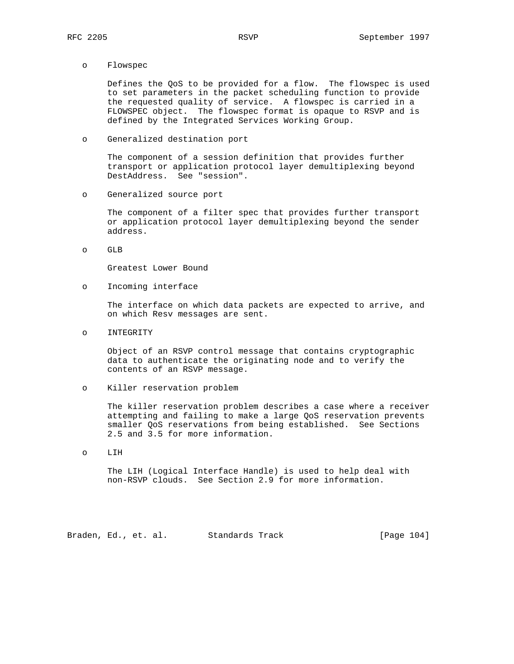o Flowspec

 Defines the QoS to be provided for a flow. The flowspec is used to set parameters in the packet scheduling function to provide the requested quality of service. A flowspec is carried in a FLOWSPEC object. The flowspec format is opaque to RSVP and is defined by the Integrated Services Working Group.

o Generalized destination port

 The component of a session definition that provides further transport or application protocol layer demultiplexing beyond DestAddress. See "session".

o Generalized source port

 The component of a filter spec that provides further transport or application protocol layer demultiplexing beyond the sender address.

o GLB

Greatest Lower Bound

o Incoming interface

 The interface on which data packets are expected to arrive, and on which Resv messages are sent.

o INTEGRITY

 Object of an RSVP control message that contains cryptographic data to authenticate the originating node and to verify the contents of an RSVP message.

o Killer reservation problem

 The killer reservation problem describes a case where a receiver attempting and failing to make a large QoS reservation prevents smaller QoS reservations from being established. See Sections 2.5 and 3.5 for more information.

o LIH

 The LIH (Logical Interface Handle) is used to help deal with non-RSVP clouds. See Section 2.9 for more information.

Braden, Ed., et. al. Standards Track [Page 104]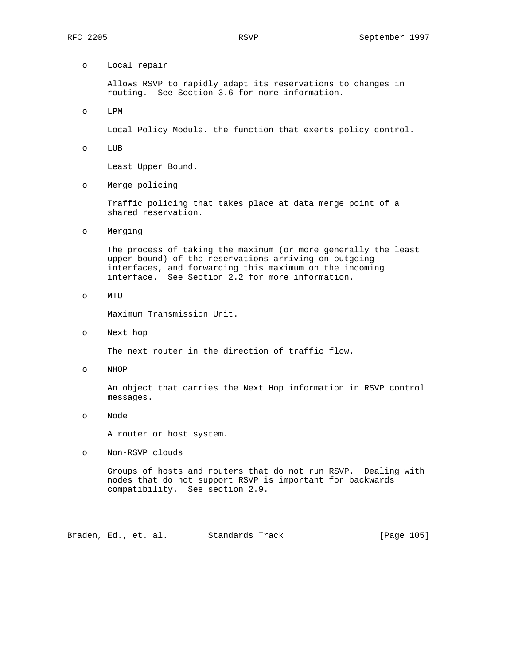o Local repair

 Allows RSVP to rapidly adapt its reservations to changes in routing. See Section 3.6 for more information.

o LPM

Local Policy Module. the function that exerts policy control.

o LUB

Least Upper Bound.

o Merge policing

 Traffic policing that takes place at data merge point of a shared reservation.

o Merging

 The process of taking the maximum (or more generally the least upper bound) of the reservations arriving on outgoing interfaces, and forwarding this maximum on the incoming interface. See Section 2.2 for more information.

o MTU

Maximum Transmission Unit.

o Next hop

The next router in the direction of traffic flow.

o NHOP

 An object that carries the Next Hop information in RSVP control messages.

o Node

A router or host system.

o Non-RSVP clouds

 Groups of hosts and routers that do not run RSVP. Dealing with nodes that do not support RSVP is important for backwards compatibility. See section 2.9.

Braden, Ed., et. al. Standards Track [Page 105]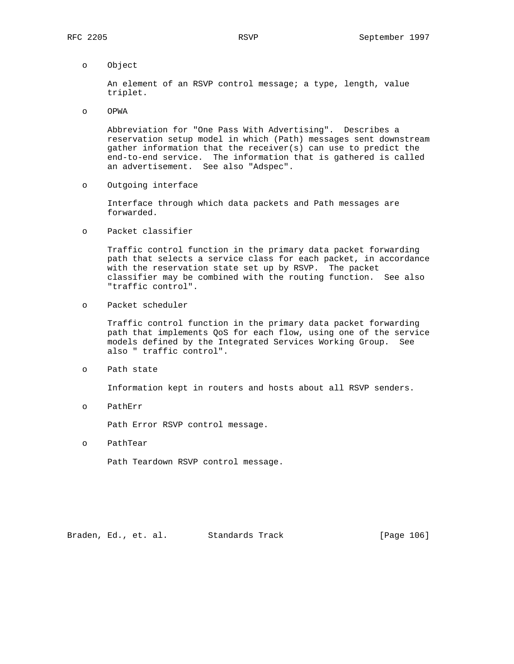o Object

 An element of an RSVP control message; a type, length, value triplet.

o OPWA

 Abbreviation for "One Pass With Advertising". Describes a reservation setup model in which (Path) messages sent downstream gather information that the receiver(s) can use to predict the end-to-end service. The information that is gathered is called an advertisement. See also "Adspec".

o Outgoing interface

 Interface through which data packets and Path messages are forwarded.

o Packet classifier

 Traffic control function in the primary data packet forwarding path that selects a service class for each packet, in accordance with the reservation state set up by RSVP. The packet classifier may be combined with the routing function. See also "traffic control".

o Packet scheduler

 Traffic control function in the primary data packet forwarding path that implements QoS for each flow, using one of the service models defined by the Integrated Services Working Group. See also " traffic control".

o Path state

Information kept in routers and hosts about all RSVP senders.

o PathErr

Path Error RSVP control message.

o PathTear

Path Teardown RSVP control message.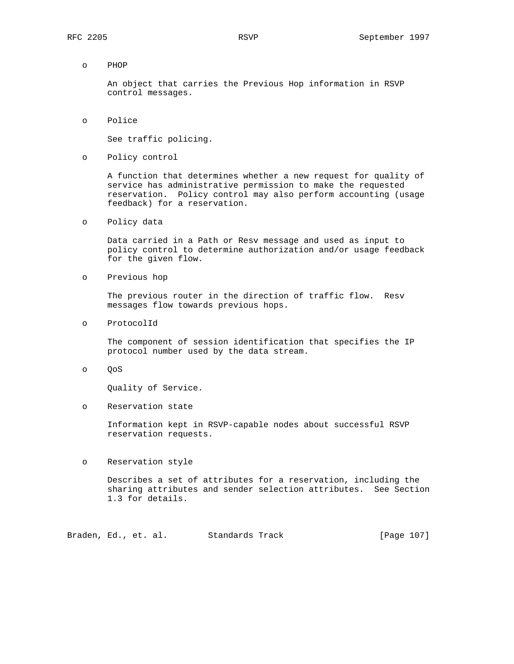o PHOP

 An object that carries the Previous Hop information in RSVP control messages.

o Police

See traffic policing.

o Policy control

 A function that determines whether a new request for quality of service has administrative permission to make the requested reservation. Policy control may also perform accounting (usage feedback) for a reservation.

o Policy data

 Data carried in a Path or Resv message and used as input to policy control to determine authorization and/or usage feedback for the given flow.

o Previous hop

 The previous router in the direction of traffic flow. Resv messages flow towards previous hops.

o ProtocolId

 The component of session identification that specifies the IP protocol number used by the data stream.

o QoS

Quality of Service.

o Reservation state

 Information kept in RSVP-capable nodes about successful RSVP reservation requests.

o Reservation style

 Describes a set of attributes for a reservation, including the sharing attributes and sender selection attributes. See Section 1.3 for details.

Braden, Ed., et. al. Standards Track [Page 107]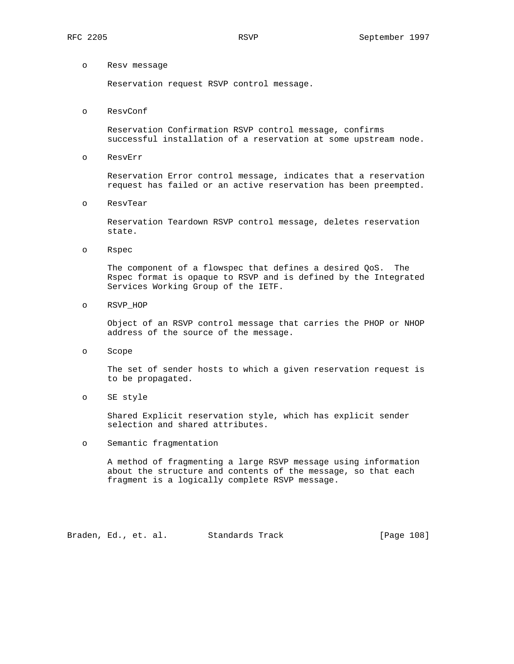#### o Resv message

Reservation request RSVP control message.

o ResvConf

 Reservation Confirmation RSVP control message, confirms successful installation of a reservation at some upstream node.

o ResvErr

 Reservation Error control message, indicates that a reservation request has failed or an active reservation has been preempted.

o ResvTear

 Reservation Teardown RSVP control message, deletes reservation state.

o Rspec

 The component of a flowspec that defines a desired QoS. The Rspec format is opaque to RSVP and is defined by the Integrated Services Working Group of the IETF.

o RSVP\_HOP

 Object of an RSVP control message that carries the PHOP or NHOP address of the source of the message.

o Scope

 The set of sender hosts to which a given reservation request is to be propagated.

o SE style

 Shared Explicit reservation style, which has explicit sender selection and shared attributes.

o Semantic fragmentation

 A method of fragmenting a large RSVP message using information about the structure and contents of the message, so that each fragment is a logically complete RSVP message.

Braden, Ed., et. al. Standards Track [Page 108]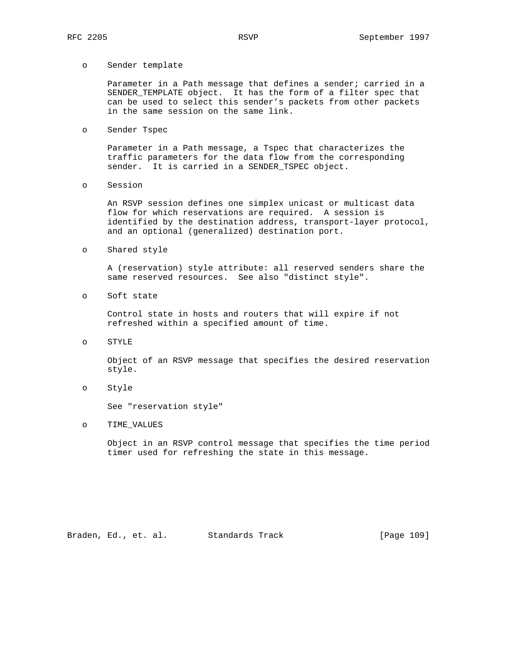## o Sender template

 Parameter in a Path message that defines a sender; carried in a SENDER\_TEMPLATE object. It has the form of a filter spec that can be used to select this sender's packets from other packets in the same session on the same link.

o Sender Tspec

 Parameter in a Path message, a Tspec that characterizes the traffic parameters for the data flow from the corresponding sender. It is carried in a SENDER\_TSPEC object.

o Session

 An RSVP session defines one simplex unicast or multicast data flow for which reservations are required. A session is identified by the destination address, transport-layer protocol, and an optional (generalized) destination port.

o Shared style

 A (reservation) style attribute: all reserved senders share the same reserved resources. See also "distinct style".

o Soft state

 Control state in hosts and routers that will expire if not refreshed within a specified amount of time.

o STYLE

 Object of an RSVP message that specifies the desired reservation style.

o Style

See "reservation style"

o TIME\_VALUES

 Object in an RSVP control message that specifies the time period timer used for refreshing the state in this message.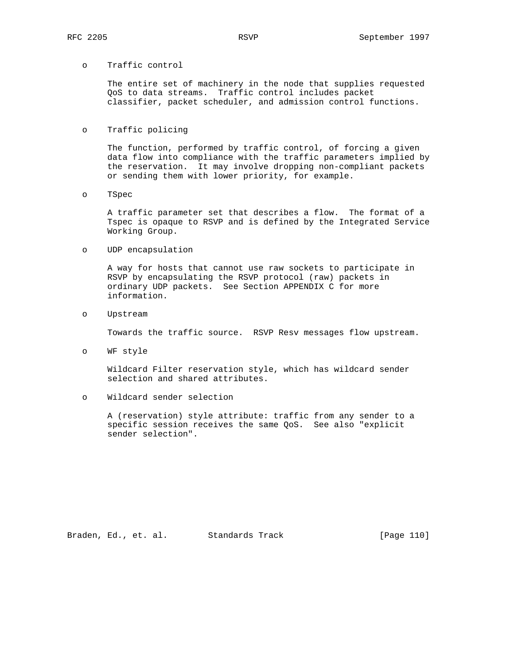## o Traffic control

 The entire set of machinery in the node that supplies requested QoS to data streams. Traffic control includes packet classifier, packet scheduler, and admission control functions.

## o Traffic policing

 The function, performed by traffic control, of forcing a given data flow into compliance with the traffic parameters implied by the reservation. It may involve dropping non-compliant packets or sending them with lower priority, for example.

o TSpec

 A traffic parameter set that describes a flow. The format of a Tspec is opaque to RSVP and is defined by the Integrated Service Working Group.

o UDP encapsulation

 A way for hosts that cannot use raw sockets to participate in RSVP by encapsulating the RSVP protocol (raw) packets in ordinary UDP packets. See Section APPENDIX C for more information.

o Upstream

Towards the traffic source. RSVP Resv messages flow upstream.

o WF style

 Wildcard Filter reservation style, which has wildcard sender selection and shared attributes.

o Wildcard sender selection

 A (reservation) style attribute: traffic from any sender to a specific session receives the same QoS. See also "explicit sender selection".

Braden, Ed., et. al. Standards Track [Page 110]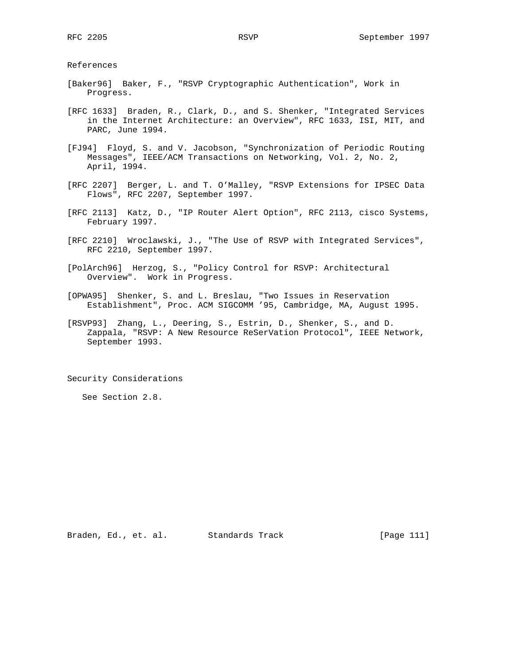References

- [Baker96] Baker, F., "RSVP Cryptographic Authentication", Work in Progress.
- [RFC 1633] Braden, R., Clark, D., and S. Shenker, "Integrated Services in the Internet Architecture: an Overview", RFC 1633, ISI, MIT, and PARC, June 1994.
- [FJ94] Floyd, S. and V. Jacobson, "Synchronization of Periodic Routing Messages", IEEE/ACM Transactions on Networking, Vol. 2, No. 2, April, 1994.
- [RFC 2207] Berger, L. and T. O'Malley, "RSVP Extensions for IPSEC Data Flows", RFC 2207, September 1997.
- [RFC 2113] Katz, D., "IP Router Alert Option", RFC 2113, cisco Systems, February 1997.
- [RFC 2210] Wroclawski, J., "The Use of RSVP with Integrated Services", RFC 2210, September 1997.
- [PolArch96] Herzog, S., "Policy Control for RSVP: Architectural Overview". Work in Progress.
- [OPWA95] Shenker, S. and L. Breslau, "Two Issues in Reservation Establishment", Proc. ACM SIGCOMM '95, Cambridge, MA, August 1995.
- [RSVP93] Zhang, L., Deering, S., Estrin, D., Shenker, S., and D. Zappala, "RSVP: A New Resource ReSerVation Protocol", IEEE Network, September 1993.

Security Considerations

See Section 2.8.

Braden, Ed., et. al. Standards Track [Page 111]